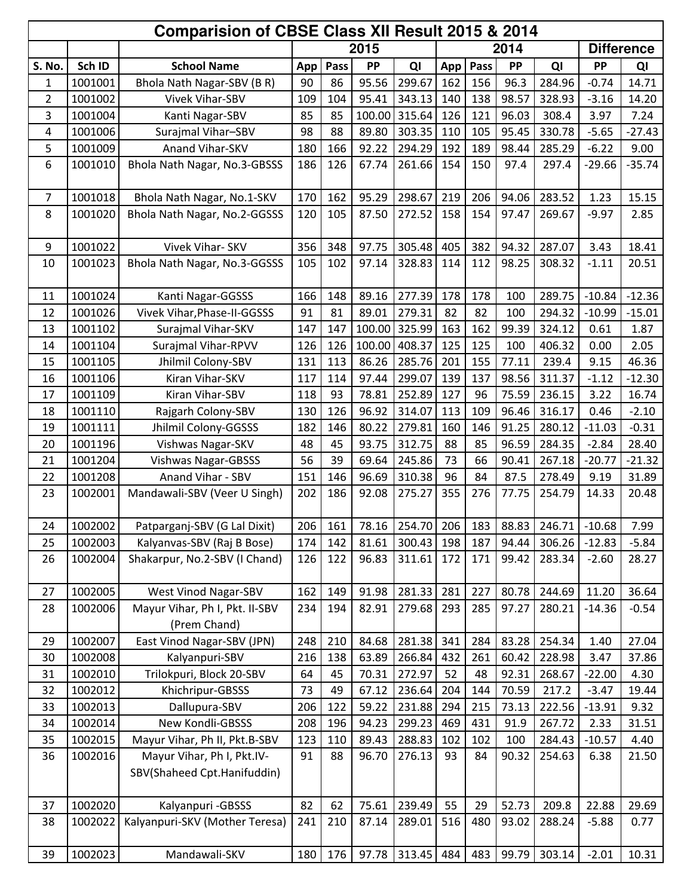|                |         | Comparision of CBSE Class XII Result 2015 & 2014          |     |           |        |        |     |      |       |                                          |          |                   |
|----------------|---------|-----------------------------------------------------------|-----|-----------|--------|--------|-----|------|-------|------------------------------------------|----------|-------------------|
|                |         |                                                           |     |           | 2015   |        |     |      | 2014  |                                          |          | <b>Difference</b> |
| S. No.         | Sch ID  | <b>School Name</b>                                        | App | Pass      | PP     | QI     | App | Pass | PP    | QI                                       | PP       | QI                |
| 1              | 1001001 | Bhola Nath Nagar-SBV (B R)                                | 90  | 86        | 95.56  | 299.67 | 162 | 156  | 96.3  | 284.96                                   | $-0.74$  | 14.71             |
| $\overline{2}$ | 1001002 | Vivek Vihar-SBV                                           | 109 | 104       | 95.41  | 343.13 | 140 | 138  | 98.57 | 328.93                                   | $-3.16$  | 14.20             |
| 3              | 1001004 | Kanti Nagar-SBV                                           | 85  | 85        | 100.00 | 315.64 | 126 | 121  | 96.03 | 308.4                                    | 3.97     | 7.24              |
| 4              | 1001006 | Surajmal Vihar-SBV                                        | 98  | 88        | 89.80  | 303.35 | 110 | 105  | 95.45 | 330.78                                   | $-5.65$  | $-27.43$          |
| 5              | 1001009 | Anand Vihar-SKV                                           | 180 | 166       | 92.22  | 294.29 | 192 | 189  | 98.44 | 285.29                                   | $-6.22$  | 9.00              |
| 6              | 1001010 | Bhola Nath Nagar, No.3-GBSSS                              | 186 | 126       | 67.74  | 261.66 | 154 | 150  | 97.4  | 297.4                                    | $-29.66$ | $-35.74$          |
| $\overline{7}$ | 1001018 | Bhola Nath Nagar, No.1-SKV                                | 170 | 162       | 95.29  | 298.67 | 219 | 206  | 94.06 | 283.52                                   | 1.23     | 15.15             |
| 8              | 1001020 | Bhola Nath Nagar, No.2-GGSSS                              | 120 | 105       | 87.50  | 272.52 | 158 | 154  | 97.47 | 269.67                                   | $-9.97$  | 2.85              |
| 9              | 1001022 | Vivek Vihar- SKV                                          | 356 | 348       | 97.75  | 305.48 | 405 | 382  | 94.32 | 287.07                                   | 3.43     | 18.41             |
| 10             | 1001023 | Bhola Nath Nagar, No.3-GGSSS                              | 105 | 102       | 97.14  | 328.83 | 114 | 112  | 98.25 | 308.32                                   | $-1.11$  | 20.51             |
| 11             | 1001024 | Kanti Nagar-GGSSS                                         | 166 | 148       | 89.16  | 277.39 | 178 | 178  | 100   | 289.75                                   | $-10.84$ | $-12.36$          |
| 12             | 1001026 | Vivek Vihar, Phase-II-GGSSS                               | 91  | 81        | 89.01  | 279.31 | 82  | 82   | 100   | 294.32                                   | $-10.99$ | $-15.01$          |
| 13             | 1001102 | Surajmal Vihar-SKV                                        | 147 | 147       | 100.00 | 325.99 | 163 | 162  | 99.39 | 324.12                                   | 0.61     | 1.87              |
| 14             | 1001104 | Surajmal Vihar-RPVV                                       | 126 | 126       | 100.00 | 408.37 | 125 | 125  | 100   | 406.32                                   | 0.00     | 2.05              |
| 15             | 1001105 | Jhilmil Colony-SBV                                        | 131 | 113       | 86.26  | 285.76 | 201 | 155  | 77.11 | 239.4                                    | 9.15     | 46.36             |
| 16             | 1001106 | Kiran Vihar-SKV                                           | 117 | 114       | 97.44  | 299.07 | 139 | 137  | 98.56 | 311.37                                   | $-1.12$  | $-12.30$          |
| 17             | 1001109 | Kiran Vihar-SBV                                           | 118 | 93        | 78.81  | 252.89 | 127 | 96   | 75.59 | 236.15                                   | 3.22     | 16.74             |
| 18             | 1001110 | Rajgarh Colony-SBV                                        | 130 | 126       | 96.92  | 314.07 | 113 | 109  | 96.46 | 316.17                                   | 0.46     | $-2.10$           |
| 19             | 1001111 | Jhilmil Colony-GGSSS                                      | 182 | 146       | 80.22  | 279.81 | 160 | 146  | 91.25 | 280.12                                   | $-11.03$ | $-0.31$           |
| 20             | 1001196 | Vishwas Nagar-SKV                                         | 48  | 45        | 93.75  | 312.75 | 88  | 85   | 96.59 | 284.35                                   | $-2.84$  | 28.40             |
| 21             | 1001204 | <b>Vishwas Nagar-GBSSS</b>                                | 56  | 39        | 69.64  | 245.86 | 73  | 66   | 90.41 | 267.18                                   | $-20.77$ | $-21.32$          |
| 22             | 1001208 | Anand Vihar - SBV                                         | 151 | 146       | 96.69  | 310.38 | 96  | 84   | 87.5  | 278.49                                   | 9.19     | 31.89             |
| 23             | 1002001 | Mandawali-SBV (Veer U Singh)                              | 202 | 186       | 92.08  | 275.27 | 355 | 276  | 77.75 | 254.79                                   | 14.33    | 20.48             |
| 24             | 1002002 | Patparganj-SBV (G Lal Dixit)                              |     | $206$ 161 |        |        |     |      |       | 78.16 254.70 206 183 88.83 246.71 -10.68 |          | 7.99              |
| 25             | 1002003 | Kalyanvas-SBV (Raj B Bose)                                | 174 | 142       | 81.61  | 300.43 | 198 | 187  | 94.44 | 306.26                                   | $-12.83$ | $-5.84$           |
| 26             | 1002004 | Shakarpur, No.2-SBV (I Chand)                             | 126 | 122       | 96.83  | 311.61 | 172 | 171  | 99.42 | 283.34                                   | $-2.60$  | 28.27             |
| 27             | 1002005 | West Vinod Nagar-SBV                                      | 162 | 149       | 91.98  | 281.33 | 281 | 227  | 80.78 | 244.69                                   | 11.20    | 36.64             |
| 28             | 1002006 | Mayur Vihar, Ph I, Pkt. II-SBV<br>(Prem Chand)            | 234 | 194       | 82.91  | 279.68 | 293 | 285  | 97.27 | 280.21                                   | $-14.36$ | $-0.54$           |
| 29             | 1002007 | East Vinod Nagar-SBV (JPN)                                | 248 | 210       | 84.68  | 281.38 | 341 | 284  | 83.28 | 254.34                                   | 1.40     | 27.04             |
| 30             | 1002008 | Kalyanpuri-SBV                                            | 216 | 138       | 63.89  | 266.84 | 432 | 261  | 60.42 | 228.98                                   | 3.47     | 37.86             |
| 31             | 1002010 | Trilokpuri, Block 20-SBV                                  | 64  | 45        | 70.31  | 272.97 | 52  | 48   | 92.31 | 268.67                                   | $-22.00$ | 4.30              |
| 32             | 1002012 | Khichripur-GBSSS                                          | 73  | 49        | 67.12  | 236.64 | 204 | 144  | 70.59 | 217.2                                    | $-3.47$  | 19.44             |
| 33             | 1002013 | Dallupura-SBV                                             | 206 | 122       | 59.22  | 231.88 | 294 | 215  | 73.13 | 222.56                                   | $-13.91$ | 9.32              |
| 34             | 1002014 | New Kondli-GBSSS                                          | 208 | 196       | 94.23  | 299.23 | 469 | 431  | 91.9  | 267.72                                   | 2.33     | 31.51             |
| 35             | 1002015 | Mayur Vihar, Ph II, Pkt.B-SBV                             | 123 | 110       | 89.43  | 288.83 | 102 | 102  | 100   | 284.43                                   | $-10.57$ | 4.40              |
| 36             | 1002016 | Mayur Vihar, Ph I, Pkt.IV-<br>SBV(Shaheed Cpt.Hanifuddin) | 91  | 88        | 96.70  | 276.13 | 93  | 84   | 90.32 | 254.63                                   | 6.38     | 21.50             |
| 37             | 1002020 | Kalyanpuri - GBSSS                                        | 82  | 62        | 75.61  | 239.49 | 55  | 29   | 52.73 | 209.8                                    | 22.88    | 29.69             |
| 38             | 1002022 | Kalyanpuri-SKV (Mother Teresa)                            | 241 | 210       | 87.14  | 289.01 | 516 | 480  | 93.02 | 288.24                                   | $-5.88$  | 0.77              |
| 39             | 1002023 | Mandawali-SKV                                             | 180 | 176       | 97.78  | 313.45 | 484 | 483  | 99.79 | 303.14                                   | $-2.01$  | 10.31             |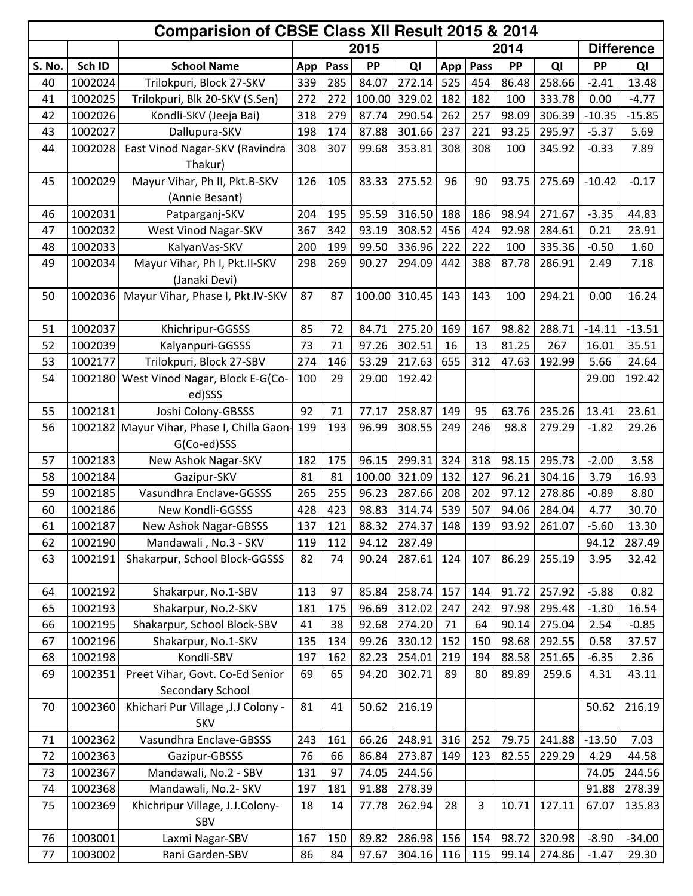|               | Comparision of CBSE Class XII Result 2015 & 2014 |                                            |     |      |        |               |     |      |       |              |           |                   |  |
|---------------|--------------------------------------------------|--------------------------------------------|-----|------|--------|---------------|-----|------|-------|--------------|-----------|-------------------|--|
|               |                                                  |                                            |     |      | 2015   |               |     |      | 2014  |              |           | <b>Difference</b> |  |
| <b>S. No.</b> | Sch ID                                           | <b>School Name</b>                         | App | Pass | PP     | QI            | App | Pass | PP    | QI           | <b>PP</b> | QI                |  |
| 40            | 1002024                                          | Trilokpuri, Block 27-SKV                   | 339 | 285  | 84.07  | 272.14        | 525 | 454  | 86.48 | 258.66       | $-2.41$   | 13.48             |  |
| 41            | 1002025                                          | Trilokpuri, Blk 20-SKV (S.Sen)             | 272 | 272  | 100.00 | 329.02        | 182 | 182  | 100   | 333.78       | 0.00      | $-4.77$           |  |
| 42            | 1002026                                          | Kondli-SKV (Jeeja Bai)                     | 318 | 279  | 87.74  | 290.54        | 262 | 257  | 98.09 | 306.39       | $-10.35$  | $-15.85$          |  |
| 43            | 1002027                                          | Dallupura-SKV                              | 198 | 174  | 87.88  | 301.66        | 237 | 221  | 93.25 | 295.97       | $-5.37$   | 5.69              |  |
| 44            | 1002028                                          | East Vinod Nagar-SKV (Ravindra             | 308 | 307  | 99.68  | 353.81        | 308 | 308  | 100   | 345.92       | $-0.33$   | 7.89              |  |
|               |                                                  | Thakur)                                    |     |      |        |               |     |      |       |              |           |                   |  |
| 45            | 1002029                                          | Mayur Vihar, Ph II, Pkt.B-SKV              | 126 | 105  | 83.33  | 275.52        | 96  | 90   | 93.75 | 275.69       | $-10.42$  | $-0.17$           |  |
|               |                                                  | (Annie Besant)                             |     |      |        |               |     |      |       |              |           |                   |  |
| 46            | 1002031                                          | Patparganj-SKV                             | 204 | 195  | 95.59  | 316.50        | 188 | 186  | 98.94 | 271.67       | $-3.35$   | 44.83             |  |
| 47            | 1002032                                          | West Vinod Nagar-SKV                       | 367 | 342  | 93.19  | 308.52        | 456 | 424  | 92.98 | 284.61       | 0.21      | 23.91             |  |
| 48            | 1002033                                          | KalyanVas-SKV                              | 200 | 199  | 99.50  | 336.96        | 222 | 222  | 100   | 335.36       | $-0.50$   | 1.60              |  |
| 49            | 1002034                                          | Mayur Vihar, Ph I, Pkt.II-SKV              | 298 | 269  | 90.27  | 294.09        | 442 | 388  | 87.78 | 286.91       | 2.49      | 7.18              |  |
|               |                                                  | (Janaki Devi)                              |     |      |        |               |     |      |       |              |           |                   |  |
| 50            | 1002036                                          | Mayur Vihar, Phase I, Pkt.IV-SKV           | 87  | 87   |        | 100.00 310.45 | 143 | 143  | 100   | 294.21       | 0.00      | 16.24             |  |
|               |                                                  |                                            |     |      |        |               |     |      |       |              |           |                   |  |
| 51            | 1002037                                          | Khichripur-GGSSS                           | 85  | 72   | 84.71  | 275.20        | 169 | 167  | 98.82 | 288.71       | $-14.11$  | $-13.51$          |  |
| 52            | 1002039                                          | Kalyanpuri-GGSSS                           | 73  | 71   | 97.26  | 302.51        | 16  | 13   | 81.25 | 267          | 16.01     | 35.51             |  |
| 53            | 1002177                                          | Trilokpuri, Block 27-SBV                   | 274 | 146  | 53.29  | 217.63        | 655 | 312  | 47.63 | 192.99       | 5.66      | 24.64             |  |
| 54            |                                                  | 1002180 West Vinod Nagar, Block E-G(Co-    | 100 | 29   | 29.00  | 192.42        |     |      |       |              | 29.00     | 192.42            |  |
|               |                                                  | ed)SSS                                     |     |      |        |               |     |      |       |              |           |                   |  |
| 55            | 1002181                                          | Joshi Colony-GBSSS                         | 92  | 71   | 77.17  | 258.87        | 149 | 95   | 63.76 | 235.26       | 13.41     | 23.61             |  |
| 56            |                                                  | 1002182 Mayur Vihar, Phase I, Chilla Gaon- | 199 | 193  | 96.99  | 308.55        | 249 | 246  | 98.8  | 279.29       | $-1.82$   | 29.26             |  |
|               |                                                  | G(Co-ed)SSS                                |     |      |        |               |     |      |       |              |           |                   |  |
| 57            | 1002183                                          | New Ashok Nagar-SKV                        | 182 | 175  | 96.15  | 299.31        | 324 | 318  | 98.15 | 295.73       | $-2.00$   | 3.58              |  |
| 58            | 1002184                                          | Gazipur-SKV                                | 81  | 81   |        | 100.00 321.09 | 132 | 127  | 96.21 | 304.16       | 3.79      | 16.93             |  |
| 59            | 1002185                                          | Vasundhra Enclave-GGSSS                    | 265 | 255  | 96.23  | 287.66        | 208 | 202  | 97.12 | 278.86       | $-0.89$   | 8.80              |  |
| 60            | 1002186                                          | New Kondli-GGSSS                           | 428 | 423  | 98.83  | 314.74        | 539 | 507  | 94.06 | 284.04       | 4.77      | 30.70             |  |
| 61            | 1002187                                          | New Ashok Nagar-GBSSS                      | 137 | 121  |        | 88.32 274.37  | 148 | 139  |       | 93.92 261.07 | $-5.60$   | 13.30             |  |
| 62            | 1002190                                          | Mandawali, No.3 - SKV                      | 119 | 112  | 94.12  | 287.49        |     |      |       |              | 94.12     | 287.49            |  |
| 63            | 1002191                                          | Shakarpur, School Block-GGSSS              | 82  | 74   | 90.24  | 287.61        | 124 | 107  | 86.29 | 255.19       | 3.95      | 32.42             |  |
|               |                                                  |                                            |     |      |        |               |     |      |       |              |           |                   |  |
| 64            | 1002192                                          | Shakarpur, No.1-SBV                        | 113 | 97   | 85.84  | 258.74        | 157 | 144  | 91.72 | 257.92       | $-5.88$   | 0.82              |  |
| 65            | 1002193                                          | Shakarpur, No.2-SKV                        | 181 | 175  | 96.69  | 312.02        | 247 | 242  | 97.98 | 295.48       | $-1.30$   | 16.54             |  |
| 66            | 1002195                                          | Shakarpur, School Block-SBV                | 41  | 38   | 92.68  | 274.20        | 71  | 64   | 90.14 | 275.04       | 2.54      | $-0.85$           |  |
| 67            | 1002196                                          | Shakarpur, No.1-SKV                        | 135 | 134  | 99.26  | 330.12        | 152 | 150  | 98.68 | 292.55       | 0.58      | 37.57             |  |
| 68            | 1002198                                          | Kondli-SBV                                 | 197 | 162  | 82.23  | 254.01        | 219 | 194  | 88.58 | 251.65       | $-6.35$   | 2.36              |  |
| 69            | 1002351                                          | Preet Vihar, Govt. Co-Ed Senior            | 69  | 65   | 94.20  | 302.71        | 89  | 80   | 89.89 | 259.6        | 4.31      | 43.11             |  |
|               |                                                  | Secondary School                           |     |      |        |               |     |      |       |              |           |                   |  |
| 70            | 1002360                                          | Khichari Pur Village , J.J Colony -        | 81  | 41   | 50.62  | 216.19        |     |      |       |              | 50.62     | 216.19            |  |
|               |                                                  | <b>SKV</b>                                 |     |      |        |               |     |      |       |              |           |                   |  |
| 71            | 1002362                                          | Vasundhra Enclave-GBSSS                    | 243 | 161  | 66.26  | 248.91        | 316 | 252  | 79.75 | 241.88       | $-13.50$  | 7.03              |  |
| 72            | 1002363                                          | Gazipur-GBSSS                              | 76  | 66   | 86.84  | 273.87        | 149 | 123  | 82.55 | 229.29       | 4.29      | 44.58             |  |
| 73            | 1002367                                          | Mandawali, No.2 - SBV                      | 131 | 97   | 74.05  | 244.56        |     |      |       |              | 74.05     | 244.56            |  |
| 74            | 1002368                                          | Mandawali, No.2- SKV                       | 197 | 181  | 91.88  | 278.39        |     |      |       |              | 91.88     | 278.39            |  |
| 75            | 1002369                                          | Khichripur Village, J.J.Colony-            | 18  | 14   | 77.78  | 262.94        | 28  | 3    | 10.71 | 127.11       | 67.07     | 135.83            |  |
|               |                                                  | SBV                                        |     |      |        |               |     |      |       |              |           |                   |  |
| 76            | 1003001                                          | Laxmi Nagar-SBV                            | 167 | 150  | 89.82  | 286.98 156    |     | 154  | 98.72 | 320.98       | $-8.90$   | $-34.00$          |  |
| 77            | 1003002                                          | Rani Garden-SBV                            | 86  | 84   | 97.67  | 304.16        | 116 | 115  | 99.14 | 274.86       | $-1.47$   | 29.30             |  |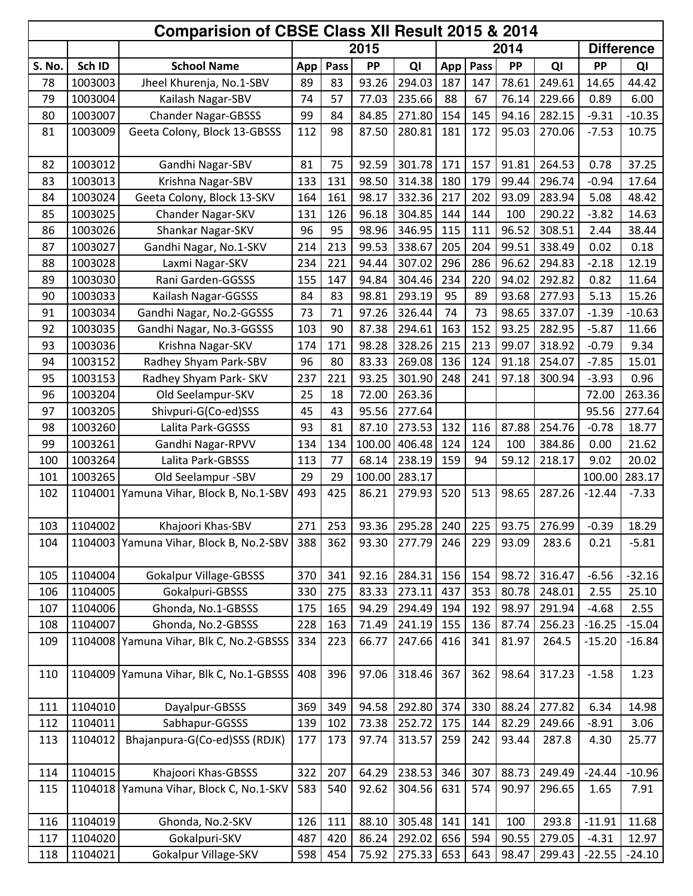|        | Comparision of CBSE Class XII Result 2015 & 2014<br><b>Difference</b> |                                         |     |      |        |               |     |      |       |                                   |          |          |  |  |
|--------|-----------------------------------------------------------------------|-----------------------------------------|-----|------|--------|---------------|-----|------|-------|-----------------------------------|----------|----------|--|--|
|        |                                                                       |                                         |     |      | 2015   |               |     |      | 2014  |                                   |          |          |  |  |
| S. No. | Sch ID                                                                | <b>School Name</b>                      | App | Pass | PP     | QI            | App | Pass | PP    | QI                                | PP       | QI       |  |  |
| 78     | 1003003                                                               | Jheel Khurenja, No.1-SBV                | 89  | 83   | 93.26  | 294.03        | 187 | 147  | 78.61 | 249.61                            | 14.65    | 44.42    |  |  |
| 79     | 1003004                                                               | Kailash Nagar-SBV                       | 74  | 57   | 77.03  | 235.66        | 88  | 67   | 76.14 | 229.66                            | 0.89     | 6.00     |  |  |
| 80     | 1003007                                                               | <b>Chander Nagar-GBSSS</b>              | 99  | 84   | 84.85  | 271.80        | 154 | 145  | 94.16 | 282.15                            | $-9.31$  | $-10.35$ |  |  |
| 81     | 1003009                                                               | Geeta Colony, Block 13-GBSSS            | 112 | 98   | 87.50  | 280.81        | 181 | 172  | 95.03 | 270.06                            | $-7.53$  | 10.75    |  |  |
| 82     | 1003012                                                               | Gandhi Nagar-SBV                        | 81  | 75   | 92.59  | 301.78        | 171 | 157  | 91.81 | 264.53                            | 0.78     | 37.25    |  |  |
| 83     | 1003013                                                               | Krishna Nagar-SBV                       | 133 | 131  | 98.50  | 314.38        | 180 | 179  | 99.44 | 296.74                            | $-0.94$  | 17.64    |  |  |
| 84     | 1003024                                                               | Geeta Colony, Block 13-SKV              | 164 | 161  | 98.17  | 332.36        | 217 | 202  | 93.09 | 283.94                            | 5.08     | 48.42    |  |  |
| 85     | 1003025                                                               | Chander Nagar-SKV                       | 131 | 126  | 96.18  | 304.85        | 144 | 144  | 100   | 290.22                            | $-3.82$  | 14.63    |  |  |
| 86     | 1003026                                                               | Shankar Nagar-SKV                       | 96  | 95   | 98.96  | 346.95        | 115 | 111  | 96.52 | 308.51                            | 2.44     | 38.44    |  |  |
| 87     | 1003027                                                               | Gandhi Nagar, No.1-SKV                  | 214 | 213  | 99.53  | 338.67        | 205 | 204  | 99.51 | 338.49                            | 0.02     | 0.18     |  |  |
| 88     | 1003028                                                               | Laxmi Nagar-SKV                         | 234 | 221  | 94.44  | 307.02        | 296 | 286  | 96.62 | 294.83                            | $-2.18$  | 12.19    |  |  |
| 89     | 1003030                                                               | Rani Garden-GGSSS                       | 155 | 147  | 94.84  | 304.46        | 234 | 220  | 94.02 | 292.82                            | 0.82     | 11.64    |  |  |
| 90     | 1003033                                                               | Kailash Nagar-GGSSS                     | 84  | 83   | 98.81  | 293.19        | 95  | 89   | 93.68 | 277.93                            | 5.13     | 15.26    |  |  |
| 91     | 1003034                                                               | Gandhi Nagar, No.2-GGSSS                | 73  | 71   | 97.26  | 326.44        | 74  | 73   | 98.65 | 337.07                            | $-1.39$  | $-10.63$ |  |  |
| 92     | 1003035                                                               | Gandhi Nagar, No.3-GGSSS                | 103 | 90   | 87.38  | 294.61        | 163 | 152  | 93.25 | 282.95                            | $-5.87$  | 11.66    |  |  |
| 93     | 1003036                                                               | Krishna Nagar-SKV                       | 174 | 171  | 98.28  | 328.26        | 215 | 213  | 99.07 | 318.92                            | $-0.79$  | 9.34     |  |  |
| 94     | 1003152                                                               | Radhey Shyam Park-SBV                   | 96  | 80   | 83.33  | 269.08        | 136 | 124  | 91.18 | 254.07                            | $-7.85$  | 15.01    |  |  |
| 95     | 1003153                                                               | Radhey Shyam Park- SKV                  | 237 | 221  | 93.25  | 301.90        | 248 | 241  | 97.18 | 300.94                            | $-3.93$  | 0.96     |  |  |
| 96     | 1003204                                                               | Old Seelampur-SKV                       | 25  | 18   | 72.00  | 263.36        |     |      |       |                                   | 72.00    | 263.36   |  |  |
| 97     | 1003205                                                               | Shivpuri-G(Co-ed)SSS                    | 45  | 43   | 95.56  | 277.64        |     |      |       |                                   | 95.56    | 277.64   |  |  |
| 98     | 1003260                                                               | Lalita Park-GGSSS                       | 93  | 81   | 87.10  | 273.53        | 132 | 116  | 87.88 | 254.76                            | $-0.78$  | 18.77    |  |  |
| 99     | 1003261                                                               | Gandhi Nagar-RPVV                       | 134 | 134  | 100.00 | 406.48        | 124 | 124  | 100   | 384.86                            | 0.00     | 21.62    |  |  |
| 100    | 1003264                                                               | Lalita Park-GBSSS                       | 113 | 77   | 68.14  | 238.19        | 159 | 94   | 59.12 | 218.17                            | 9.02     | 20.02    |  |  |
| 101    | 1003265                                                               | Old Seelampur -SBV                      | 29  | 29   |        | 100.00 283.17 |     |      |       |                                   | 100.00   | 283.17   |  |  |
| 102    | 1104001                                                               | Yamuna Vihar, Block B, No.1-SBV         | 493 | 425  | 86.21  | 279.93        | 520 | 513  | 98.65 | 287.26                            | $-12.44$ | $-7.33$  |  |  |
| 103    | 1104002                                                               | Khajoori Khas-SBV                       | 271 | 253  |        |               |     |      |       | 93.36 295.28 240 225 93.75 276.99 | $-0.39$  | 18.29    |  |  |
| 104    |                                                                       | 1104003 Yamuna Vihar, Block B, No.2-SBV | 388 | 362  | 93.30  | 277.79        | 246 | 229  | 93.09 | 283.6                             | 0.21     | $-5.81$  |  |  |
| 105    | 1104004                                                               | <b>Gokalpur Village-GBSSS</b>           | 370 | 341  | 92.16  | 284.31        | 156 | 154  | 98.72 | 316.47                            | $-6.56$  | $-32.16$ |  |  |
| 106    | 1104005                                                               | Gokalpuri-GBSSS                         | 330 | 275  | 83.33  | 273.11        | 437 | 353  | 80.78 | 248.01                            | 2.55     | 25.10    |  |  |
| 107    | 1104006                                                               | Ghonda, No.1-GBSSS                      | 175 | 165  | 94.29  | 294.49        | 194 | 192  | 98.97 | 291.94                            | $-4.68$  | 2.55     |  |  |
| 108    | 1104007                                                               | Ghonda, No.2-GBSSS                      | 228 | 163  | 71.49  | 241.19        | 155 | 136  | 87.74 | 256.23                            | $-16.25$ | $-15.04$ |  |  |
| 109    |                                                                       | 1104008 Yamuna Vihar, Blk C, No.2-GBSSS | 334 | 223  | 66.77  | 247.66        | 416 | 341  | 81.97 | 264.5                             | $-15.20$ | $-16.84$ |  |  |
| 110    |                                                                       | 1104009 Yamuna Vihar, Blk C, No.1-GBSSS | 408 | 396  | 97.06  | 318.46        | 367 | 362  | 98.64 | 317.23                            | $-1.58$  | 1.23     |  |  |
| 111    | 1104010                                                               | Dayalpur-GBSSS                          | 369 | 349  | 94.58  | 292.80        | 374 | 330  | 88.24 | 277.82                            | 6.34     | 14.98    |  |  |
| 112    | 1104011                                                               | Sabhapur-GGSSS                          | 139 | 102  | 73.38  | 252.72        | 175 | 144  | 82.29 | 249.66                            | $-8.91$  | 3.06     |  |  |
| 113    | 1104012                                                               | Bhajanpura-G(Co-ed)SSS (RDJK)           | 177 | 173  | 97.74  | 313.57        | 259 | 242  | 93.44 | 287.8                             | 4.30     | 25.77    |  |  |
| 114    | 1104015                                                               | Khajoori Khas-GBSSS                     | 322 | 207  | 64.29  | 238.53        | 346 | 307  | 88.73 | 249.49                            | $-24.44$ | $-10.96$ |  |  |
| 115    | 1104018                                                               | Yamuna Vihar, Block C, No.1-SKV         | 583 | 540  | 92.62  | 304.56        | 631 | 574  | 90.97 | 296.65                            | 1.65     | 7.91     |  |  |
| 116    | 1104019                                                               | Ghonda, No.2-SKV                        | 126 | 111  | 88.10  | 305.48        | 141 | 141  | 100   | 293.8                             | $-11.91$ | 11.68    |  |  |
| 117    | 1104020                                                               | Gokalpuri-SKV                           | 487 | 420  | 86.24  | 292.02        | 656 | 594  | 90.55 | 279.05                            | $-4.31$  | 12.97    |  |  |
| 118    | 1104021                                                               | Gokalpur Village-SKV                    | 598 | 454  | 75.92  | 275.33        | 653 | 643  | 98.47 | 299.43                            | $-22.55$ | $-24.10$ |  |  |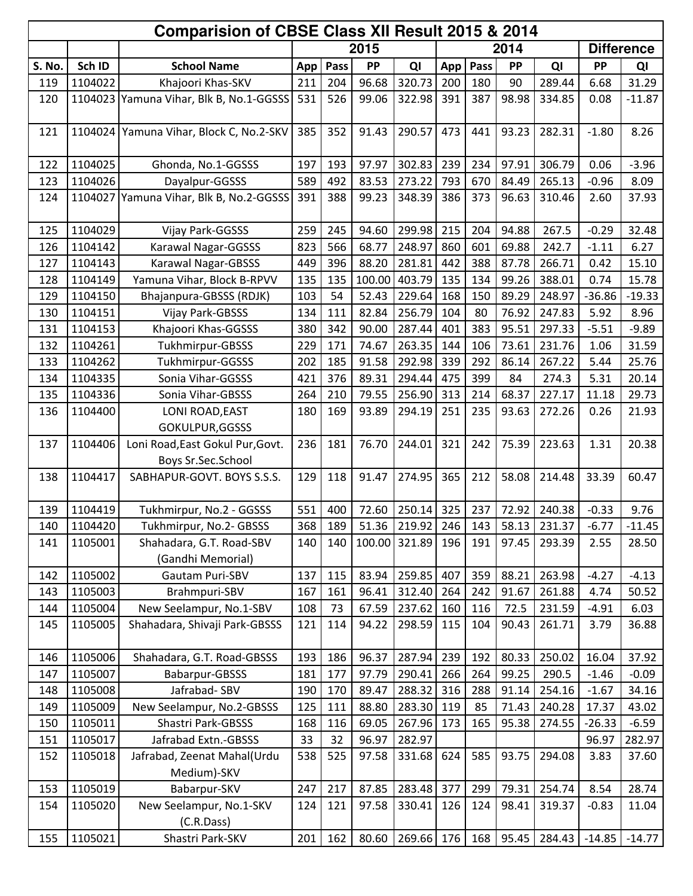|        |         | Comparision of CBSE Class XII Result 2015 & 2014       |     |      |        |                      |     |      |       |              |           |                   |
|--------|---------|--------------------------------------------------------|-----|------|--------|----------------------|-----|------|-------|--------------|-----------|-------------------|
|        |         |                                                        |     |      | 2015   |                      |     |      | 2014  |              |           | <b>Difference</b> |
| S. No. | Sch ID  | <b>School Name</b>                                     | App | Pass | PP     | QI                   | App | Pass | PP    | QI           | <b>PP</b> | QI                |
| 119    | 1104022 | Khajoori Khas-SKV                                      | 211 | 204  | 96.68  | 320.73               | 200 | 180  | 90    | 289.44       | 6.68      | 31.29             |
| 120    |         | 1104023 Yamuna Vihar, Blk B, No.1-GGSSS                | 531 | 526  | 99.06  | 322.98               | 391 | 387  | 98.98 | 334.85       | 0.08      | $-11.87$          |
| 121    | 1104024 | Yamuna Vihar, Block C, No.2-SKV                        | 385 | 352  | 91.43  | 290.57               | 473 | 441  | 93.23 | 282.31       | $-1.80$   | 8.26              |
| 122    | 1104025 | Ghonda, No.1-GGSSS                                     | 197 | 193  | 97.97  | 302.83               | 239 | 234  | 97.91 | 306.79       | 0.06      | $-3.96$           |
| 123    | 1104026 | Dayalpur-GGSSS                                         | 589 | 492  | 83.53  | 273.22               | 793 | 670  | 84.49 | 265.13       | $-0.96$   | 8.09              |
| 124    | 1104027 | Yamuna Vihar, Blk B, No.2-GGSSS                        | 391 | 388  | 99.23  | 348.39               | 386 | 373  | 96.63 | 310.46       | 2.60      | 37.93             |
| 125    | 1104029 | Vijay Park-GGSSS                                       | 259 | 245  | 94.60  | 299.98               | 215 | 204  | 94.88 | 267.5        | $-0.29$   | 32.48             |
| 126    | 1104142 | Karawal Nagar-GGSSS                                    | 823 | 566  | 68.77  | 248.97               | 860 | 601  | 69.88 | 242.7        | $-1.11$   | 6.27              |
| 127    | 1104143 | <b>Karawal Nagar-GBSSS</b>                             | 449 | 396  | 88.20  | 281.81               | 442 | 388  | 87.78 | 266.71       | 0.42      | 15.10             |
| 128    | 1104149 | Yamuna Vihar, Block B-RPVV                             | 135 | 135  | 100.00 | 403.79               | 135 | 134  | 99.26 | 388.01       | 0.74      | 15.78             |
| 129    | 1104150 | Bhajanpura-GBSSS (RDJK)                                | 103 | 54   | 52.43  | 229.64               | 168 | 150  | 89.29 | 248.97       | $-36.86$  | $-19.33$          |
| 130    | 1104151 | <b>Vijay Park-GBSSS</b>                                | 134 | 111  | 82.84  | 256.79               | 104 | 80   | 76.92 | 247.83       | 5.92      | 8.96              |
| 131    | 1104153 | Khajoori Khas-GGSSS                                    | 380 | 342  | 90.00  | 287.44               | 401 | 383  | 95.51 | 297.33       | $-5.51$   | $-9.89$           |
| 132    | 1104261 | Tukhmirpur-GBSSS                                       | 229 | 171  | 74.67  | 263.35               | 144 | 106  | 73.61 | 231.76       | 1.06      | 31.59             |
| 133    | 1104262 | Tukhmirpur-GGSSS                                       | 202 | 185  | 91.58  | 292.98               | 339 | 292  | 86.14 | 267.22       | 5.44      | 25.76             |
| 134    | 1104335 | Sonia Vihar-GGSSS                                      | 421 | 376  | 89.31  | 294.44               | 475 | 399  | 84    | 274.3        | 5.31      | 20.14             |
| 135    | 1104336 | Sonia Vihar-GBSSS                                      | 264 | 210  | 79.55  | 256.90               | 313 | 214  | 68.37 | 227.17       | 11.18     | 29.73             |
| 136    | 1104400 | LONI ROAD, EAST                                        | 180 | 169  | 93.89  | 294.19               | 251 | 235  | 93.63 | 272.26       | 0.26      | 21.93             |
|        |         | GOKULPUR, GGSSS                                        |     |      |        |                      |     |      |       |              |           |                   |
| 137    | 1104406 | Loni Road, East Gokul Pur, Govt.<br>Boys Sr.Sec.School | 236 | 181  | 76.70  | 244.01               | 321 | 242  | 75.39 | 223.63       | 1.31      | 20.38             |
| 138    | 1104417 | SABHAPUR-GOVT. BOYS S.S.S.                             | 129 | 118  | 91.47  | 274.95               | 365 | 212  | 58.08 | 214.48       | 33.39     | 60.47             |
|        |         |                                                        |     |      |        |                      |     |      |       |              |           |                   |
| 139    | 1104419 | Tukhmirpur, No.2 - GGSSS                               | 551 | 400  | 72.60  | 250.14               | 325 | 237  | 72.92 | 240.38       | $-0.33$   | 9.76              |
| 140    | 1104420 | Tukhmirpur, No.2- GBSSS                                | 368 | 189  |        | 51.36 219.92 246 143 |     |      |       | 58.13 231.37 | $-6.77$   | $-11.45$          |
| 141    | 1105001 | Shahadara, G.T. Road-SBV<br>(Gandhi Memorial)          | 140 | 140  |        | 100.00 321.89        | 196 | 191  | 97.45 | 293.39       | 2.55      | 28.50             |
| 142    | 1105002 | Gautam Puri-SBV                                        | 137 | 115  | 83.94  | 259.85               | 407 | 359  | 88.21 | 263.98       | $-4.27$   | $-4.13$           |
| 143    | 1105003 | Brahmpuri-SBV                                          | 167 | 161  | 96.41  | 312.40               | 264 | 242  | 91.67 | 261.88       | 4.74      | 50.52             |
| 144    | 1105004 | New Seelampur, No.1-SBV                                | 108 | 73   | 67.59  | 237.62               | 160 | 116  | 72.5  | 231.59       | $-4.91$   | 6.03              |
| 145    | 1105005 | Shahadara, Shivaji Park-GBSSS                          | 121 | 114  | 94.22  | 298.59               | 115 | 104  | 90.43 | 261.71       | 3.79      | 36.88             |
| 146    | 1105006 | Shahadara, G.T. Road-GBSSS                             | 193 | 186  | 96.37  | 287.94               | 239 | 192  | 80.33 | 250.02       | 16.04     | 37.92             |
| 147    | 1105007 | Babarpur-GBSSS                                         | 181 | 177  | 97.79  | 290.41               | 266 | 264  | 99.25 | 290.5        | $-1.46$   | $-0.09$           |
| 148    | 1105008 | Jafrabad-SBV                                           | 190 | 170  | 89.47  | 288.32               | 316 | 288  | 91.14 | 254.16       | $-1.67$   | 34.16             |
| 149    | 1105009 | New Seelampur, No.2-GBSSS                              | 125 | 111  | 88.80  | 283.30               | 119 | 85   | 71.43 | 240.28       | 17.37     | 43.02             |
| 150    | 1105011 | Shastri Park-GBSSS                                     | 168 | 116  | 69.05  | 267.96               | 173 | 165  | 95.38 | 274.55       | $-26.33$  | $-6.59$           |
| 151    | 1105017 | Jafrabad Extn.-GBSSS                                   | 33  | 32   | 96.97  | 282.97               |     |      |       |              | 96.97     | 282.97            |
| 152    | 1105018 | Jafrabad, Zeenat Mahal(Urdu                            | 538 | 525  | 97.58  | 331.68               | 624 | 585  | 93.75 | 294.08       | 3.83      | 37.60             |
|        |         | Medium)-SKV                                            |     |      |        |                      |     |      |       |              |           |                   |
| 153    | 1105019 | Babarpur-SKV                                           | 247 | 217  | 87.85  | 283.48               | 377 | 299  | 79.31 | 254.74       | 8.54      | 28.74             |
| 154    | 1105020 | New Seelampur, No.1-SKV                                | 124 | 121  | 97.58  | 330.41               | 126 | 124  | 98.41 | 319.37       | $-0.83$   | 11.04             |
|        |         | (C.R.Dass)                                             |     |      |        |                      |     |      |       |              |           |                   |
| 155    | 1105021 | Shastri Park-SKV                                       | 201 | 162  | 80.60  | 269.66               | 176 | 168  | 95.45 | 284.43       | $-14.85$  | $-14.77$          |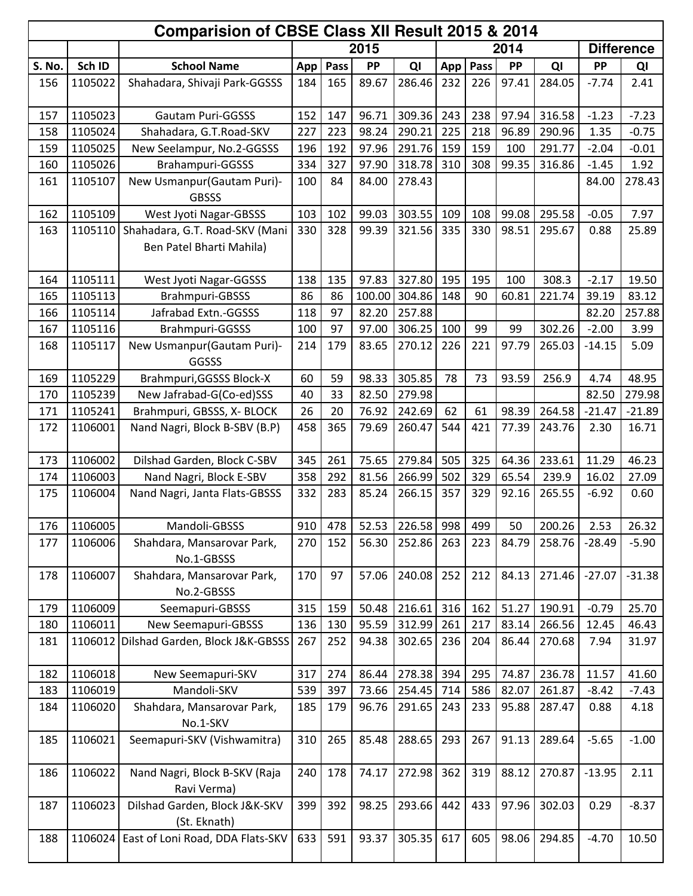|        | Comparision of CBSE Class XII Result 2015 & 2014 |                                                            |     |      |        |                  |     |      |       |        |          |                   |  |
|--------|--------------------------------------------------|------------------------------------------------------------|-----|------|--------|------------------|-----|------|-------|--------|----------|-------------------|--|
|        |                                                  |                                                            |     |      | 2015   |                  |     |      | 2014  |        |          | <b>Difference</b> |  |
| S. No. | Sch ID                                           | <b>School Name</b>                                         | App | Pass | PP     | QI               | App | Pass | PP    | QI     | PP       | QI                |  |
| 156    | 1105022                                          | Shahadara, Shivaji Park-GGSSS                              | 184 | 165  | 89.67  | 286.46           | 232 | 226  | 97.41 | 284.05 | $-7.74$  | 2.41              |  |
| 157    | 1105023                                          | <b>Gautam Puri-GGSSS</b>                                   | 152 | 147  | 96.71  | 309.36           | 243 | 238  | 97.94 | 316.58 | $-1.23$  | $-7.23$           |  |
| 158    | 1105024                                          | Shahadara, G.T.Road-SKV                                    | 227 | 223  | 98.24  | 290.21           | 225 | 218  | 96.89 | 290.96 | 1.35     | $-0.75$           |  |
| 159    | 1105025                                          | New Seelampur, No.2-GGSSS                                  | 196 | 192  | 97.96  | 291.76           | 159 | 159  | 100   | 291.77 | $-2.04$  | $-0.01$           |  |
| 160    | 1105026                                          | Brahampuri-GGSSS                                           | 334 | 327  | 97.90  | 318.78           | 310 | 308  | 99.35 | 316.86 | $-1.45$  | 1.92              |  |
| 161    | 1105107                                          | New Usmanpur(Gautam Puri)-<br><b>GBSSS</b>                 | 100 | 84   | 84.00  | 278.43           |     |      |       |        | 84.00    | 278.43            |  |
| 162    | 1105109                                          | <b>West Jyoti Nagar-GBSSS</b>                              | 103 | 102  | 99.03  | 303.55           | 109 | 108  | 99.08 | 295.58 | $-0.05$  | 7.97              |  |
| 163    | 1105110                                          | Shahadara, G.T. Road-SKV (Mani<br>Ben Patel Bharti Mahila) | 330 | 328  | 99.39  | 321.56           | 335 | 330  | 98.51 | 295.67 | 0.88     | 25.89             |  |
| 164    | 1105111                                          | West Jyoti Nagar-GGSSS                                     | 138 | 135  | 97.83  | 327.80           | 195 | 195  | 100   | 308.3  | $-2.17$  | 19.50             |  |
| 165    | 1105113                                          | Brahmpuri-GBSSS                                            | 86  | 86   | 100.00 | 304.86           | 148 | 90   | 60.81 | 221.74 | 39.19    | 83.12             |  |
| 166    | 1105114                                          | Jafrabad Extn.-GGSSS                                       | 118 | 97   | 82.20  | 257.88           |     |      |       |        | 82.20    | 257.88            |  |
| 167    | 1105116                                          | Brahmpuri-GGSSS                                            | 100 | 97   | 97.00  | 306.25           | 100 | 99   | 99    | 302.26 | $-2.00$  | 3.99              |  |
| 168    | 1105117                                          | New Usmanpur(Gautam Puri)-<br>GGSSS                        | 214 | 179  | 83.65  | 270.12           | 226 | 221  | 97.79 | 265.03 | $-14.15$ | 5.09              |  |
| 169    | 1105229                                          | Brahmpuri, GGSSS Block-X                                   | 60  | 59   | 98.33  | 305.85           | 78  | 73   | 93.59 | 256.9  | 4.74     | 48.95             |  |
| 170    | 1105239                                          | New Jafrabad-G(Co-ed)SSS                                   | 40  | 33   | 82.50  | 279.98           |     |      |       |        | 82.50    | 279.98            |  |
| 171    | 1105241                                          | Brahmpuri, GBSSS, X- BLOCK                                 | 26  | 20   | 76.92  | 242.69           | 62  | 61   | 98.39 | 264.58 | $-21.47$ | $-21.89$          |  |
| 172    | 1106001                                          | Nand Nagri, Block B-SBV (B.P)                              | 458 | 365  | 79.69  | 260.47           | 544 | 421  | 77.39 | 243.76 | 2.30     | 16.71             |  |
| 173    | 1106002                                          | Dilshad Garden, Block C-SBV                                | 345 | 261  | 75.65  | 279.84           | 505 | 325  | 64.36 | 233.61 | 11.29    | 46.23             |  |
| 174    | 1106003                                          | Nand Nagri, Block E-SBV                                    | 358 | 292  | 81.56  | 266.99           | 502 | 329  | 65.54 | 239.9  | 16.02    | 27.09             |  |
| 175    | 1106004                                          | Nand Nagri, Janta Flats-GBSSS                              | 332 | 283  | 85.24  | 266.15           | 357 | 329  | 92.16 | 265.55 | $-6.92$  | 0.60              |  |
| 176    | 1106005                                          | Mandoli-GBSSS                                              | 910 | 478  |        | 52.53 226.58 998 |     | 499  | 50    | 200.26 | 2.53     | 26.32             |  |
| 177    | 1106006                                          | Shahdara, Mansarovar Park,<br>No.1-GBSSS                   | 270 | 152  | 56.30  | 252.86           | 263 | 223  | 84.79 | 258.76 | $-28.49$ | $-5.90$           |  |
| 178    | 1106007                                          | Shahdara, Mansarovar Park,<br>No.2-GBSSS                   | 170 | 97   | 57.06  | 240.08           | 252 | 212  | 84.13 | 271.46 | $-27.07$ | $-31.38$          |  |
| 179    | 1106009                                          | Seemapuri-GBSSS                                            | 315 | 159  | 50.48  | 216.61           | 316 | 162  | 51.27 | 190.91 | $-0.79$  | 25.70             |  |
| 180    | 1106011                                          | New Seemapuri-GBSSS                                        | 136 | 130  | 95.59  | 312.99           | 261 | 217  | 83.14 | 266.56 | 12.45    | 46.43             |  |
| 181    |                                                  | 1106012 Dilshad Garden, Block J&K-GBSSS                    | 267 | 252  | 94.38  | 302.65           | 236 | 204  | 86.44 | 270.68 | 7.94     | 31.97             |  |
| 182    | 1106018                                          | New Seemapuri-SKV                                          | 317 | 274  | 86.44  | 278.38           | 394 | 295  | 74.87 | 236.78 | 11.57    | 41.60             |  |
| 183    | 1106019                                          | Mandoli-SKV                                                | 539 | 397  | 73.66  | 254.45           | 714 | 586  | 82.07 | 261.87 | $-8.42$  | $-7.43$           |  |
| 184    | 1106020                                          | Shahdara, Mansarovar Park,<br>No.1-SKV                     | 185 | 179  | 96.76  | 291.65           | 243 | 233  | 95.88 | 287.47 | 0.88     | 4.18              |  |
| 185    | 1106021                                          | Seemapuri-SKV (Vishwamitra)                                | 310 | 265  | 85.48  | 288.65           | 293 | 267  | 91.13 | 289.64 | $-5.65$  | $-1.00$           |  |
| 186    | 1106022                                          | Nand Nagri, Block B-SKV (Raja<br>Ravi Verma)               | 240 | 178  | 74.17  | 272.98           | 362 | 319  | 88.12 | 270.87 | $-13.95$ | 2.11              |  |
| 187    | 1106023                                          | Dilshad Garden, Block J&K-SKV<br>(St. Eknath)              | 399 | 392  | 98.25  | 293.66           | 442 | 433  | 97.96 | 302.03 | 0.29     | $-8.37$           |  |
| 188    | 1106024                                          | East of Loni Road, DDA Flats-SKV                           | 633 | 591  | 93.37  | 305.35           | 617 | 605  | 98.06 | 294.85 | $-4.70$  | 10.50             |  |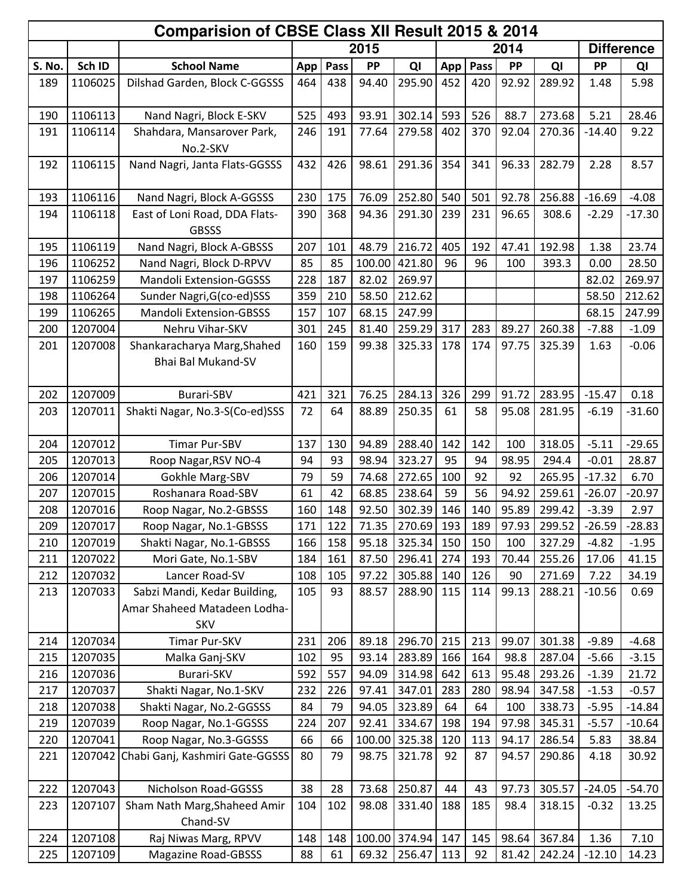|        | Comparision of CBSE Class XII Result 2015 & 2014 |                                                                            |     |      |        |              |     |      |       |                                  |          |                   |
|--------|--------------------------------------------------|----------------------------------------------------------------------------|-----|------|--------|--------------|-----|------|-------|----------------------------------|----------|-------------------|
|        |                                                  |                                                                            |     |      | 2015   |              |     |      | 2014  |                                  |          | <b>Difference</b> |
| S. No. | Sch ID                                           | <b>School Name</b>                                                         | App | Pass | PP     | QI           | App | Pass | PP    | QI                               | PP       | QI                |
| 189    | 1106025                                          | Dilshad Garden, Block C-GGSSS                                              | 464 | 438  | 94.40  | 295.90       | 452 | 420  | 92.92 | 289.92                           | 1.48     | 5.98              |
| 190    | 1106113                                          | Nand Nagri, Block E-SKV                                                    | 525 | 493  | 93.91  | 302.14       | 593 | 526  | 88.7  | 273.68                           | 5.21     | 28.46             |
| 191    | 1106114                                          | Shahdara, Mansarover Park,<br>No.2-SKV                                     | 246 | 191  | 77.64  | 279.58       | 402 | 370  | 92.04 | 270.36                           | $-14.40$ | 9.22              |
| 192    | 1106115                                          | Nand Nagri, Janta Flats-GGSSS                                              | 432 | 426  | 98.61  | 291.36       | 354 | 341  | 96.33 | 282.79                           | 2.28     | 8.57              |
| 193    | 1106116                                          | Nand Nagri, Block A-GGSSS                                                  | 230 | 175  | 76.09  | 252.80       | 540 | 501  | 92.78 | 256.88                           | $-16.69$ | $-4.08$           |
| 194    | 1106118                                          | East of Loni Road, DDA Flats-<br><b>GBSSS</b>                              | 390 | 368  | 94.36  | 291.30       | 239 | 231  | 96.65 | 308.6                            | $-2.29$  | $-17.30$          |
| 195    | 1106119                                          | Nand Nagri, Block A-GBSSS                                                  | 207 | 101  | 48.79  | 216.72       | 405 | 192  | 47.41 | 192.98                           | 1.38     | 23.74             |
| 196    | 1106252                                          | Nand Nagri, Block D-RPVV                                                   | 85  | 85   | 100.00 | 421.80       | 96  | 96   | 100   | 393.3                            | 0.00     | 28.50             |
| 197    | 1106259                                          | <b>Mandoli Extension-GGSSS</b>                                             | 228 | 187  | 82.02  | 269.97       |     |      |       |                                  | 82.02    | 269.97            |
| 198    | 1106264                                          | Sunder Nagri, G(co-ed) SSS                                                 | 359 | 210  | 58.50  | 212.62       |     |      |       |                                  | 58.50    | 212.62            |
| 199    | 1106265                                          | <b>Mandoli Extension-GBSSS</b>                                             | 157 | 107  | 68.15  | 247.99       |     |      |       |                                  | 68.15    | 247.99            |
| 200    | 1207004                                          | Nehru Vihar-SKV                                                            | 301 | 245  | 81.40  | 259.29       | 317 | 283  | 89.27 | 260.38                           | $-7.88$  | $-1.09$           |
| 201    | 1207008                                          | Shankaracharya Marg, Shahed<br><b>Bhai Bal Mukand-SV</b>                   | 160 | 159  | 99.38  | 325.33       | 178 | 174  | 97.75 | 325.39                           | 1.63     | $-0.06$           |
| 202    | 1207009                                          | <b>Burari-SBV</b>                                                          | 421 | 321  | 76.25  | 284.13       | 326 | 299  | 91.72 | 283.95                           | $-15.47$ | 0.18              |
| 203    | 1207011                                          | Shakti Nagar, No.3-S(Co-ed)SSS                                             | 72  | 64   | 88.89  | 250.35       | 61  | 58   | 95.08 | 281.95                           | $-6.19$  | $-31.60$          |
| 204    | 1207012                                          | Timar Pur-SBV                                                              | 137 | 130  | 94.89  | 288.40       | 142 | 142  | 100   | 318.05                           | $-5.11$  | $-29.65$          |
| 205    | 1207013                                          | Roop Nagar, RSV NO-4                                                       | 94  | 93   | 98.94  | 323.27       | 95  | 94   | 98.95 | 294.4                            | $-0.01$  | 28.87             |
| 206    | 1207014                                          | Gokhle Marg-SBV                                                            | 79  | 59   | 74.68  | 272.65       | 100 | 92   | 92    | 265.95                           | $-17.32$ | 6.70              |
| 207    | 1207015                                          | Roshanara Road-SBV                                                         | 61  | 42   | 68.85  | 238.64       | 59  | 56   | 94.92 | 259.61                           | $-26.07$ | $-20.97$          |
| 208    | 1207016                                          | Roop Nagar, No.2-GBSSS                                                     | 160 | 148  | 92.50  | 302.39       | 146 | 140  | 95.89 | 299.42                           | $-3.39$  | 2.97              |
| 209    | 1207017                                          | Roop Nagar, No.1-GBSSS                                                     | 171 | 122  |        | 71.35 270.69 | 193 | 189  |       | 97.93   299.52   -26.59   -28.83 |          |                   |
| 210    | 1207019                                          | Shakti Nagar, No.1-GBSSS                                                   | 166 | 158  | 95.18  | 325.34       | 150 | 150  | 100   | 327.29                           | $-4.82$  | $-1.95$           |
| 211    | 1207022                                          | Mori Gate, No.1-SBV                                                        | 184 | 161  | 87.50  | 296.41       | 274 | 193  | 70.44 | 255.26                           | 17.06    | 41.15             |
| 212    | 1207032                                          | Lancer Road-SV                                                             | 108 | 105  | 97.22  | 305.88       | 140 | 126  | 90    | 271.69                           | 7.22     | 34.19             |
| 213    | 1207033                                          | Sabzi Mandi, Kedar Building,<br>Amar Shaheed Matadeen Lodha-<br><b>SKV</b> | 105 | 93   | 88.57  | 288.90       | 115 | 114  | 99.13 | 288.21                           | $-10.56$ | 0.69              |
| 214    | 1207034                                          | Timar Pur-SKV                                                              | 231 | 206  | 89.18  | 296.70       | 215 | 213  | 99.07 | 301.38                           | $-9.89$  | $-4.68$           |
| 215    | 1207035                                          | Malka Ganj-SKV                                                             | 102 | 95   | 93.14  | 283.89       | 166 | 164  | 98.8  | 287.04                           | $-5.66$  | $-3.15$           |
| 216    | 1207036                                          | Burari-SKV                                                                 | 592 | 557  | 94.09  | 314.98       | 642 | 613  | 95.48 | 293.26                           | $-1.39$  | 21.72             |
| 217    | 1207037                                          | Shakti Nagar, No.1-SKV                                                     | 232 | 226  | 97.41  | 347.01       | 283 | 280  | 98.94 | 347.58                           | $-1.53$  | $-0.57$           |
| 218    | 1207038                                          | Shakti Nagar, No.2-GGSSS                                                   | 84  | 79   | 94.05  | 323.89       | 64  | 64   | 100   | 338.73                           | $-5.95$  | $-14.84$          |
| 219    | 1207039                                          | Roop Nagar, No.1-GGSSS                                                     | 224 | 207  | 92.41  | 334.67       | 198 | 194  | 97.98 | 345.31                           | $-5.57$  | $-10.64$          |
| 220    | 1207041                                          | Roop Nagar, No.3-GGSSS                                                     | 66  | 66   | 100.00 | 325.38       | 120 | 113  | 94.17 | 286.54                           | 5.83     | 38.84             |
| 221    | 1207042                                          | Chabi Ganj, Kashmiri Gate-GGSSS                                            | 80  | 79   | 98.75  | 321.78       | 92  | 87   | 94.57 | 290.86                           | 4.18     | 30.92             |
| 222    | 1207043                                          | Nicholson Road-GGSSS                                                       | 38  | 28   | 73.68  | 250.87       | 44  | 43   | 97.73 | 305.57                           | $-24.05$ | $-54.70$          |
| 223    | 1207107                                          | Sham Nath Marg, Shaheed Amir<br>Chand-SV                                   | 104 | 102  | 98.08  | 331.40       | 188 | 185  | 98.4  | 318.15                           | $-0.32$  | 13.25             |
| 224    | 1207108                                          | Raj Niwas Marg, RPVV                                                       | 148 | 148  | 100.00 | 374.94       | 147 | 145  | 98.64 | 367.84                           | 1.36     | 7.10              |
| 225    | 1207109                                          | <b>Magazine Road-GBSSS</b>                                                 | 88  | 61   | 69.32  | 256.47       | 113 | 92   | 81.42 | 242.24                           | $-12.10$ | 14.23             |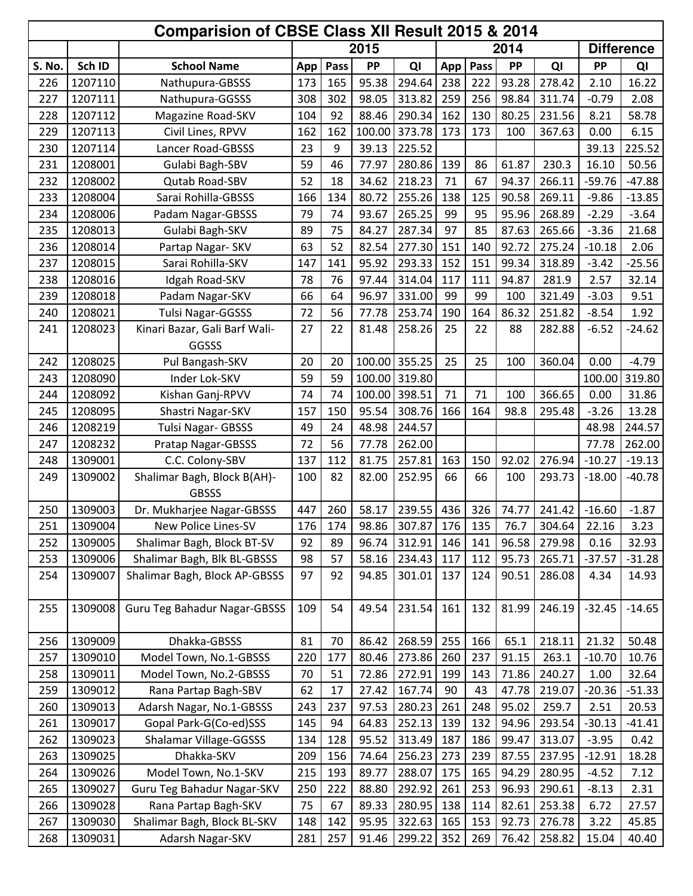|        | Comparision of CBSE Class XII Result 2015 & 2014 |                               |     |      |        |                      |     |      |       |        |          |                   |  |  |
|--------|--------------------------------------------------|-------------------------------|-----|------|--------|----------------------|-----|------|-------|--------|----------|-------------------|--|--|
|        |                                                  |                               |     |      | 2015   |                      |     |      | 2014  |        |          | <b>Difference</b> |  |  |
| S. No. | Sch ID                                           | <b>School Name</b>            | App | Pass | PP     | QI                   | App | Pass | PP    | QI     | PP       | QI                |  |  |
| 226    | 1207110                                          | Nathupura-GBSSS               | 173 | 165  | 95.38  | 294.64               | 238 | 222  | 93.28 | 278.42 | 2.10     | 16.22             |  |  |
| 227    | 1207111                                          | Nathupura-GGSSS               | 308 | 302  | 98.05  | 313.82               | 259 | 256  | 98.84 | 311.74 | $-0.79$  | 2.08              |  |  |
| 228    | 1207112                                          | Magazine Road-SKV             | 104 | 92   | 88.46  | 290.34               | 162 | 130  | 80.25 | 231.56 | 8.21     | 58.78             |  |  |
| 229    | 1207113                                          | Civil Lines, RPVV             | 162 | 162  |        | 100.00 373.78        | 173 | 173  | 100   | 367.63 | 0.00     | 6.15              |  |  |
| 230    | 1207114                                          | Lancer Road-GBSSS             | 23  | 9    | 39.13  | 225.52               |     |      |       |        | 39.13    | 225.52            |  |  |
| 231    | 1208001                                          | Gulabi Bagh-SBV               | 59  | 46   | 77.97  | 280.86               | 139 | 86   | 61.87 | 230.3  | 16.10    | 50.56             |  |  |
| 232    | 1208002                                          | Qutab Road-SBV                | 52  | 18   | 34.62  | 218.23               | 71  | 67   | 94.37 | 266.11 | $-59.76$ | $-47.88$          |  |  |
| 233    | 1208004                                          | Sarai Rohilla-GBSSS           | 166 | 134  | 80.72  | 255.26               | 138 | 125  | 90.58 | 269.11 | $-9.86$  | $-13.85$          |  |  |
| 234    | 1208006                                          | Padam Nagar-GBSSS             | 79  | 74   | 93.67  | 265.25               | 99  | 95   | 95.96 | 268.89 | $-2.29$  | $-3.64$           |  |  |
| 235    | 1208013                                          | Gulabi Bagh-SKV               | 89  | 75   | 84.27  | 287.34               | 97  | 85   | 87.63 | 265.66 | $-3.36$  | 21.68             |  |  |
| 236    | 1208014                                          | Partap Nagar- SKV             | 63  | 52   | 82.54  | 277.30               | 151 | 140  | 92.72 | 275.24 | $-10.18$ | 2.06              |  |  |
| 237    | 1208015                                          | Sarai Rohilla-SKV             | 147 | 141  | 95.92  | 293.33               | 152 | 151  | 99.34 | 318.89 | $-3.42$  | $-25.56$          |  |  |
| 238    | 1208016                                          | Idgah Road-SKV                | 78  | 76   | 97.44  | 314.04               | 117 | 111  | 94.87 | 281.9  | 2.57     | 32.14             |  |  |
| 239    | 1208018                                          | Padam Nagar-SKV               | 66  | 64   | 96.97  | 331.00               | 99  | 99   | 100   | 321.49 | $-3.03$  | 9.51              |  |  |
| 240    | 1208021                                          | <b>Tulsi Nagar-GGSSS</b>      | 72  | 56   | 77.78  | 253.74               | 190 | 164  | 86.32 | 251.82 | $-8.54$  | 1.92              |  |  |
| 241    | 1208023                                          | Kinari Bazar, Gali Barf Wali- | 27  | 22   | 81.48  | 258.26               | 25  | 22   | 88    | 282.88 | $-6.52$  | $-24.62$          |  |  |
|        |                                                  | GGSSS                         |     |      |        |                      |     |      |       |        |          |                   |  |  |
| 242    | 1208025                                          | Pul Bangash-SKV               | 20  | 20   |        | 100.00 355.25        | 25  | 25   | 100   | 360.04 | 0.00     | $-4.79$           |  |  |
| 243    | 1208090                                          | Inder Lok-SKV                 | 59  | 59   | 100.00 | 319.80               |     |      |       |        | 100.00   | 319.80            |  |  |
| 244    | 1208092                                          | Kishan Ganj-RPVV              | 74  | 74   | 100.00 | 398.51               | 71  | 71   | 100   | 366.65 | 0.00     | 31.86             |  |  |
| 245    | 1208095                                          | Shastri Nagar-SKV             | 157 | 150  | 95.54  | 308.76               | 166 | 164  | 98.8  | 295.48 | $-3.26$  | 13.28             |  |  |
| 246    | 1208219                                          | Tulsi Nagar- GBSSS            | 49  | 24   | 48.98  | 244.57               |     |      |       |        | 48.98    | 244.57            |  |  |
| 247    | 1208232                                          | Pratap Nagar-GBSSS            | 72  | 56   | 77.78  | 262.00               |     |      |       |        | 77.78    | 262.00            |  |  |
| 248    | 1309001                                          | C.C. Colony-SBV               | 137 | 112  | 81.75  | 257.81               | 163 | 150  | 92.02 | 276.94 | $-10.27$ | $-19.13$          |  |  |
| 249    | 1309002                                          | Shalimar Bagh, Block B(AH)-   | 100 | 82   | 82.00  | 252.95               | 66  | 66   | 100   | 293.73 | $-18.00$ | $-40.78$          |  |  |
|        |                                                  | <b>GBSSS</b>                  |     |      |        |                      |     |      |       |        |          |                   |  |  |
| 250    | 1309003                                          | Dr. Mukharjee Nagar-GBSSS     | 447 | 260  | 58.17  | 239.55               | 436 | 326  | 74.77 | 241.42 | $-16.60$ | $-1.87$           |  |  |
| 251    | 1309004                                          | New Police Lines-SV           | 176 | 174  |        | 98.86 307.87 176 135 |     |      | 76.7  | 304.64 | 22.16    | 3.23              |  |  |
| 252    | 1309005                                          | Shalimar Bagh, Block BT-SV    | 92  | 89   | 96.74  | 312.91               | 146 | 141  | 96.58 | 279.98 | 0.16     | 32.93             |  |  |
| 253    | 1309006                                          | Shalimar Bagh, Blk BL-GBSSS   | 98  | 57   | 58.16  | 234.43               | 117 | 112  | 95.73 | 265.71 | $-37.57$ | $-31.28$          |  |  |
| 254    | 1309007                                          | Shalimar Bagh, Block AP-GBSSS | 97  | 92   | 94.85  | 301.01               | 137 | 124  | 90.51 | 286.08 | 4.34     | 14.93             |  |  |
|        |                                                  |                               |     |      |        |                      |     |      |       |        |          |                   |  |  |
| 255    | 1309008                                          | Guru Teg Bahadur Nagar-GBSSS  | 109 | 54   | 49.54  | 231.54               | 161 | 132  | 81.99 | 246.19 | $-32.45$ | $-14.65$          |  |  |
|        |                                                  |                               |     |      |        |                      |     |      |       |        |          |                   |  |  |
| 256    | 1309009                                          | Dhakka-GBSSS                  | 81  | 70   | 86.42  | 268.59               | 255 | 166  | 65.1  | 218.11 | 21.32    | 50.48             |  |  |
| 257    | 1309010                                          | Model Town, No.1-GBSSS        | 220 | 177  | 80.46  | 273.86               | 260 | 237  | 91.15 | 263.1  | $-10.70$ | 10.76             |  |  |
| 258    | 1309011                                          | Model Town, No.2-GBSSS        | 70  | 51   | 72.86  | 272.91               | 199 | 143  | 71.86 | 240.27 | 1.00     | 32.64             |  |  |
| 259    | 1309012                                          | Rana Partap Bagh-SBV          | 62  | 17   | 27.42  | 167.74               | 90  | 43   | 47.78 | 219.07 | $-20.36$ | $-51.33$          |  |  |
| 260    | 1309013                                          | Adarsh Nagar, No.1-GBSSS      | 243 | 237  | 97.53  | 280.23               | 261 | 248  | 95.02 | 259.7  | 2.51     | 20.53             |  |  |
| 261    | 1309017                                          | Gopal Park-G(Co-ed)SSS        | 145 | 94   | 64.83  | 252.13               | 139 | 132  | 94.96 | 293.54 | $-30.13$ | $-41.41$          |  |  |
| 262    | 1309023                                          | <b>Shalamar Village-GGSSS</b> | 134 | 128  | 95.52  | 313.49               | 187 | 186  | 99.47 | 313.07 | $-3.95$  | 0.42              |  |  |
| 263    | 1309025                                          | Dhakka-SKV                    | 209 | 156  | 74.64  | 256.23               | 273 | 239  | 87.55 | 237.95 | $-12.91$ | 18.28             |  |  |
| 264    | 1309026                                          | Model Town, No.1-SKV          | 215 | 193  | 89.77  | 288.07               | 175 | 165  | 94.29 | 280.95 | $-4.52$  | 7.12              |  |  |
| 265    | 1309027                                          | Guru Teg Bahadur Nagar-SKV    | 250 | 222  | 88.80  | 292.92               | 261 | 253  | 96.93 | 290.61 | $-8.13$  | 2.31              |  |  |
| 266    | 1309028                                          | Rana Partap Bagh-SKV          | 75  | 67   | 89.33  | 280.95               | 138 | 114  | 82.61 | 253.38 | 6.72     | 27.57             |  |  |
| 267    | 1309030                                          | Shalimar Bagh, Block BL-SKV   | 148 | 142  | 95.95  | 322.63               | 165 | 153  | 92.73 | 276.78 | 3.22     | 45.85             |  |  |
| 268    | 1309031                                          | Adarsh Nagar-SKV              | 281 | 257  | 91.46  | 299.22               | 352 | 269  | 76.42 | 258.82 | 15.04    | 40.40             |  |  |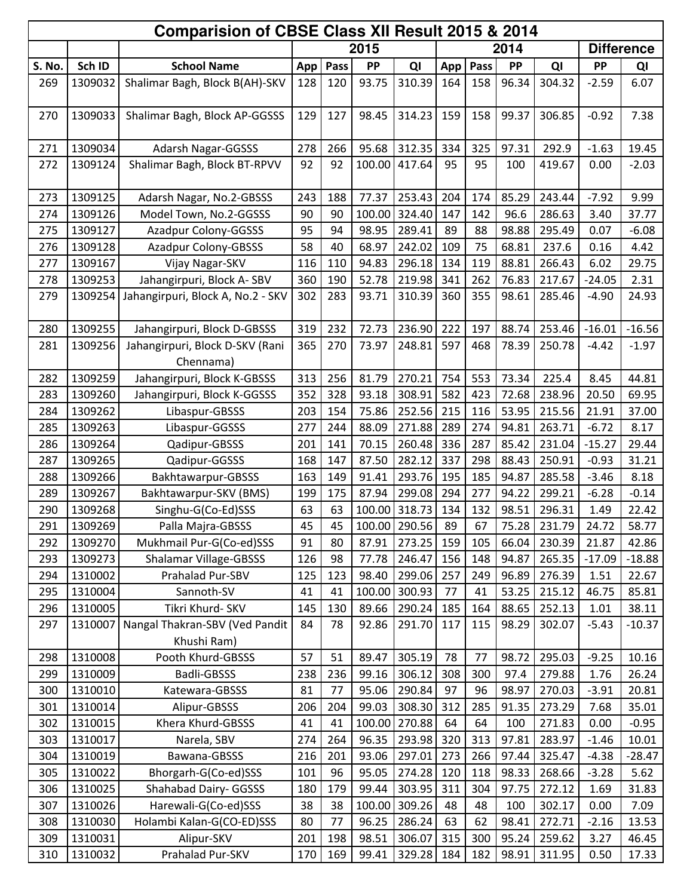|            |                    | Comparision of CBSE Class XII Result 2015 & 2014 |           |           |                 |                  |           |            |                |                  |                 |                   |
|------------|--------------------|--------------------------------------------------|-----------|-----------|-----------------|------------------|-----------|------------|----------------|------------------|-----------------|-------------------|
|            |                    |                                                  |           |           | 2015            |                  |           |            | 2014           |                  |                 | <b>Difference</b> |
| S. No.     | Sch ID             | <b>School Name</b>                               | App       | Pass      | PP              | QI               | App       | Pass       | PP             | QI               | PP              | QI                |
| 269        | 1309032            | Shalimar Bagh, Block B(AH)-SKV                   | 128       | 120       | 93.75           | 310.39           | 164       | 158        | 96.34          | 304.32           | $-2.59$         | 6.07              |
|            |                    |                                                  |           |           |                 |                  |           |            |                |                  |                 |                   |
| 270        | 1309033            | Shalimar Bagh, Block AP-GGSSS                    | 129       | 127       | 98.45           | 314.23           | 159       | 158        | 99.37          | 306.85           | $-0.92$         | 7.38              |
| 271        | 1309034            | <b>Adarsh Nagar-GGSSS</b>                        | 278       | 266       | 95.68           | 312.35           | 334       | 325        | 97.31          | 292.9            | $-1.63$         | 19.45             |
| 272        | 1309124            | Shalimar Bagh, Block BT-RPVV                     | 92        | 92        | 100.00          | 417.64           | 95        | 95         | 100            | 419.67           | 0.00            | $-2.03$           |
| 273        | 1309125            | Adarsh Nagar, No.2-GBSSS                         | 243       | 188       | 77.37           | 253.43           | 204       | 174        | 85.29          | 243.44           | $-7.92$         | 9.99              |
| 274        | 1309126            | Model Town, No.2-GGSSS                           | 90        | 90        | 100.00          | 324.40           | 147       | 142        | 96.6           | 286.63           | 3.40            | 37.77             |
| 275        | 1309127            | <b>Azadpur Colony-GGSSS</b>                      | 95        | 94        | 98.95           | 289.41           | 89        | 88         | 98.88          | 295.49           | 0.07            | $-6.08$           |
| 276        | 1309128            | <b>Azadpur Colony-GBSSS</b>                      | 58        | 40        | 68.97           | 242.02           | 109       | 75         | 68.81          | 237.6            | 0.16            | 4.42              |
| 277        | 1309167            | Vijay Nagar-SKV                                  | 116       | 110       | 94.83           | 296.18           | 134       | 119        | 88.81          | 266.43           | 6.02            | 29.75             |
| 278        | 1309253            | Jahangirpuri, Block A-SBV                        | 360       | 190       | 52.78           | 219.98           | 341       | 262        | 76.83          | 217.67           | $-24.05$        | 2.31              |
| 279        | 1309254            | Jahangirpuri, Block A, No.2 - SKV                | 302       | 283       | 93.71           | 310.39           | 360       | 355        | 98.61          | 285.46           | $-4.90$         | 24.93             |
| 280        | 1309255            | Jahangirpuri, Block D-GBSSS                      | 319       | 232       | 72.73           | 236.90           | 222       | 197        | 88.74          | 253.46           | $-16.01$        | $-16.56$          |
| 281        | 1309256            | Jahangirpuri, Block D-SKV (Rani                  | 365       | 270       | 73.97           | 248.81           | 597       | 468        | 78.39          | 250.78           | $-4.42$         | $-1.97$           |
|            |                    | Chennama)                                        |           |           |                 |                  |           |            |                |                  |                 |                   |
| 282        | 1309259            | Jahangirpuri, Block K-GBSSS                      | 313       | 256       | 81.79           | 270.21           | 754       | 553        | 73.34          | 225.4            | 8.45            | 44.81             |
| 283        | 1309260            | Jahangirpuri, Block K-GGSSS                      | 352       | 328       | 93.18           | 308.91           | 582       | 423        | 72.68          | 238.96           | 20.50           | 69.95             |
| 284        | 1309262            | Libaspur-GBSSS                                   | 203       | 154       | 75.86           | 252.56           | 215       | 116        | 53.95          | 215.56           | 21.91           | 37.00             |
| 285        | 1309263            | Libaspur-GGSSS                                   | 277       | 244       | 88.09           | 271.88           | 289       | 274        | 94.81          | 263.71           | $-6.72$         | 8.17              |
| 286        | 1309264            | Qadipur-GBSSS                                    | 201       | 141       | 70.15           | 260.48           | 336       | 287        | 85.42          | 231.04           | $-15.27$        | 29.44             |
| 287        | 1309265            | Qadipur-GGSSS                                    | 168       | 147       | 87.50           | 282.12           | 337       | 298        | 88.43          | 250.91           | $-0.93$         | 31.21             |
| 288        | 1309266            | Bakhtawarpur-GBSSS                               | 163       | 149       | 91.41           | 293.76           | 195       | 185        | 94.87          | 285.58           | $-3.46$         | 8.18              |
| 289        | 1309267            | Bakhtawarpur-SKV (BMS)                           | 199       | 175       | 87.94           | 299.08           | 294       | 277        | 94.22          | 299.21           | $-6.28$         | $-0.14$           |
| 290        | 1309268            | Singhu-G(Co-Ed)SSS                               | 63        | 63        | 100.00          | 318.73           | 134       | 132        | 98.51          | 296.31           | 1.49            | 22.42             |
| 291        | 1309269            | Palla Majra-GBSSS                                | 45        | 45        |                 | 100.00 290.56    | 89        | 67         |                | 75.28 231.79     | 24.72           | 58.77             |
| 292        | 1309270            | Mukhmail Pur-G(Co-ed)SSS                         | 91        | 80        | 87.91           | 273.25           | 159       | 105        | 66.04          | 230.39           | 21.87           | 42.86             |
| 293        | 1309273<br>1310002 | <b>Shalamar Village-GBSSS</b>                    | 126       | 98        | 77.78           | 246.47           | 156       | 148        | 94.87<br>96.89 | 265.35           | $-17.09$        | $-18.88$<br>22.67 |
| 294        |                    | Prahalad Pur-SBV                                 | 125       | 123       | 98.40           | 299.06           | 257       | 249        |                | 276.39           | 1.51            |                   |
| 295        | 1310004<br>1310005 | Sannoth-SV<br>Tikri Khurd- SKV                   | 41        | 41        | 100.00<br>89.66 | 300.93           | 77<br>185 | 41         | 53.25          | 215.12           | 46.75           | 85.81<br>38.11    |
| 296<br>297 | 1310007            | Nangal Thakran-SBV (Ved Pandit                   | 145<br>84 | 130<br>78 | 92.86           | 290.24<br>291.70 | 117       | 164<br>115 | 88.65<br>98.29 | 252.13<br>302.07 | 1.01<br>$-5.43$ | $-10.37$          |
|            |                    | Khushi Ram)                                      |           |           |                 |                  |           |            |                |                  |                 |                   |
| 298        | 1310008            | Pooth Khurd-GBSSS                                | 57        | 51        | 89.47           | 305.19           | 78        | 77         | 98.72          | 295.03           | $-9.25$         | 10.16             |
| 299        | 1310009            | Badli-GBSSS                                      | 238       | 236       | 99.16           | 306.12           | 308       | 300        | 97.4           | 279.88           | 1.76            | 26.24             |
| 300        | 1310010            | Katewara-GBSSS                                   | 81        | 77        | 95.06           | 290.84           | 97        | 96         | 98.97          | 270.03           | $-3.91$         | 20.81             |
| 301        | 1310014            | Alipur-GBSSS                                     | 206       | 204       | 99.03           | 308.30           | 312       | 285        | 91.35          | 273.29           | 7.68            | 35.01             |
| 302        | 1310015            | Khera Khurd-GBSSS                                | 41        | 41        | 100.00          | 270.88           | 64        | 64         | 100            | 271.83           | 0.00            | $-0.95$           |
| 303        | 1310017            | Narela, SBV                                      | 274       | 264       | 96.35           | 293.98           | 320       | 313        | 97.81          | 283.97           | $-1.46$         | 10.01             |
| 304        | 1310019            | Bawana-GBSSS                                     | 216       | 201       | 93.06           | 297.01           | 273       | 266        | 97.44          | 325.47           | $-4.38$         | $-28.47$          |
| 305        | 1310022            | Bhorgarh-G(Co-ed)SSS                             | 101       | 96        | 95.05           | 274.28           | 120       | 118        | 98.33          | 268.66           | $-3.28$         | 5.62              |
| 306        | 1310025            | Shahabad Dairy- GGSSS                            | 180       | 179       | 99.44           | 303.95           | 311       | 304        | 97.75          | 272.12           | 1.69            | 31.83             |
| 307        | 1310026            | Harewali-G(Co-ed)SSS                             | 38        | 38        | 100.00          | 309.26           | 48        | 48         | 100            | 302.17           | 0.00            | 7.09              |
| 308        | 1310030            | Holambi Kalan-G(CO-ED)SSS                        | 80        | 77        | 96.25           | 286.24           | 63        | 62         | 98.41          | 272.71           | $-2.16$         | 13.53             |
| 309        | 1310031            | Alipur-SKV                                       | 201       | 198       | 98.51           | 306.07           | 315       | 300        | 95.24          | 259.62           | 3.27            | 46.45             |
| 310        | 1310032            | Prahalad Pur-SKV                                 | 170       | 169       | 99.41           | 329.28           | 184       | 182        | 98.91          | 311.95           | 0.50            | 17.33             |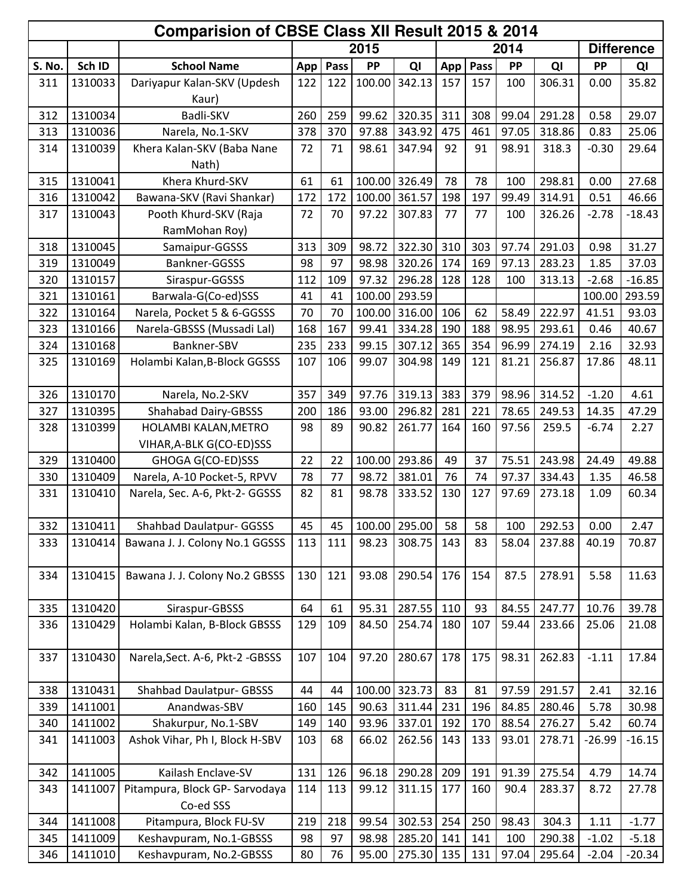|        | Comparision of CBSE Class XII Result 2015 & 2014 |                                  |     |      |        |               |     |      |       |        |           |                   |  |
|--------|--------------------------------------------------|----------------------------------|-----|------|--------|---------------|-----|------|-------|--------|-----------|-------------------|--|
|        |                                                  |                                  |     |      | 2015   |               |     |      | 2014  |        |           | <b>Difference</b> |  |
| S. No. | Sch ID                                           | <b>School Name</b>               | App | Pass | PP     | QI            | App | Pass | PP    | QI     | <b>PP</b> | QI                |  |
| 311    | 1310033                                          | Dariyapur Kalan-SKV (Updesh      | 122 | 122  | 100.00 | 342.13        | 157 | 157  | 100   | 306.31 | 0.00      | 35.82             |  |
|        |                                                  | Kaur)                            |     |      |        |               |     |      |       |        |           |                   |  |
| 312    | 1310034                                          | Badli-SKV                        | 260 | 259  | 99.62  | 320.35        | 311 | 308  | 99.04 | 291.28 | 0.58      | 29.07             |  |
| 313    | 1310036                                          | Narela, No.1-SKV                 | 378 | 370  | 97.88  | 343.92        | 475 | 461  | 97.05 | 318.86 | 0.83      | 25.06             |  |
| 314    | 1310039                                          | Khera Kalan-SKV (Baba Nane       | 72  | 71   | 98.61  | 347.94        | 92  | 91   | 98.91 | 318.3  | $-0.30$   | 29.64             |  |
|        |                                                  | Nath)                            |     |      |        |               |     |      |       |        |           |                   |  |
| 315    | 1310041                                          | Khera Khurd-SKV                  | 61  | 61   |        | 100.00 326.49 | 78  | 78   | 100   | 298.81 | 0.00      | 27.68             |  |
| 316    | 1310042                                          | Bawana-SKV (Ravi Shankar)        | 172 | 172  |        | 100.00 361.57 | 198 | 197  | 99.49 | 314.91 | 0.51      | 46.66             |  |
| 317    | 1310043                                          | Pooth Khurd-SKV (Raja            | 72  | 70   | 97.22  | 307.83        | 77  | 77   | 100   | 326.26 | $-2.78$   | $-18.43$          |  |
|        |                                                  | RamMohan Roy)                    |     |      |        |               |     |      |       |        |           |                   |  |
| 318    | 1310045                                          | Samaipur-GGSSS                   | 313 | 309  | 98.72  | 322.30        | 310 | 303  | 97.74 | 291.03 | 0.98      | 31.27             |  |
| 319    | 1310049                                          | Bankner-GGSSS                    | 98  | 97   | 98.98  | 320.26        | 174 | 169  | 97.13 | 283.23 | 1.85      | 37.03             |  |
| 320    | 1310157                                          | Siraspur-GGSSS                   | 112 | 109  | 97.32  | 296.28        | 128 | 128  | 100   | 313.13 | $-2.68$   | $-16.85$          |  |
| 321    | 1310161                                          | Barwala-G(Co-ed)SSS              | 41  | 41   |        | 100.00 293.59 |     |      |       |        | 100.00    | 293.59            |  |
| 322    | 1310164                                          | Narela, Pocket 5 & 6-GGSSS       | 70  | 70   |        | 100.00 316.00 | 106 | 62   | 58.49 | 222.97 | 41.51     | 93.03             |  |
| 323    | 1310166                                          | Narela-GBSSS (Mussadi Lal)       | 168 | 167  | 99.41  | 334.28        | 190 | 188  | 98.95 | 293.61 | 0.46      | 40.67             |  |
| 324    | 1310168                                          | Bankner-SBV                      | 235 | 233  | 99.15  | 307.12        | 365 | 354  | 96.99 | 274.19 | 2.16      | 32.93             |  |
| 325    | 1310169                                          | Holambi Kalan, B-Block GGSSS     | 107 | 106  | 99.07  | 304.98        | 149 | 121  | 81.21 | 256.87 | 17.86     | 48.11             |  |
| 326    | 1310170                                          | Narela, No.2-SKV                 | 357 | 349  | 97.76  | 319.13        | 383 | 379  | 98.96 | 314.52 | $-1.20$   | 4.61              |  |
| 327    | 1310395                                          | <b>Shahabad Dairy-GBSSS</b>      | 200 | 186  | 93.00  | 296.82        | 281 | 221  | 78.65 | 249.53 | 14.35     | 47.29             |  |
| 328    | 1310399                                          | HOLAMBI KALAN, METRO             | 98  | 89   | 90.82  | 261.77        | 164 | 160  | 97.56 | 259.5  | $-6.74$   | 2.27              |  |
|        |                                                  | VIHAR, A-BLK G(CO-ED)SSS         |     |      |        |               |     |      |       |        |           |                   |  |
| 329    | 1310400                                          | GHOGA G(CO-ED)SSS                | 22  | 22   |        | 100.00 293.86 | 49  | 37   | 75.51 | 243.98 | 24.49     | 49.88             |  |
| 330    | 1310409                                          | Narela, A-10 Pocket-5, RPVV      | 78  | 77   | 98.72  | 381.01        | 76  | 74   | 97.37 | 334.43 | 1.35      | 46.58             |  |
| 331    | 1310410                                          | Narela, Sec. A-6, Pkt-2- GGSSS   | 82  | 81   | 98.78  | 333.52        | 130 | 127  | 97.69 | 273.18 | 1.09      | 60.34             |  |
| 332    | 1310411                                          | <b>Shahbad Daulatpur- GGSSS</b>  | 45  | 45   |        | 100.00 295.00 | 58  | 58   | 100   | 292.53 | 0.00      | 2.47              |  |
| 333    | 1310414                                          | Bawana J. J. Colony No.1 GGSSS   | 113 | 111  | 98.23  | 308.75        | 143 | 83   | 58.04 | 237.88 | 40.19     | 70.87             |  |
| 334    | 1310415                                          | Bawana J. J. Colony No.2 GBSSS   | 130 | 121  | 93.08  | 290.54        | 176 | 154  | 87.5  | 278.91 | 5.58      | 11.63             |  |
|        |                                                  |                                  |     |      |        |               |     |      |       |        |           |                   |  |
| 335    | 1310420                                          | Siraspur-GBSSS                   | 64  | 61   | 95.31  | 287.55        | 110 | 93   | 84.55 | 247.77 | 10.76     | 39.78             |  |
| 336    | 1310429                                          | Holambi Kalan, B-Block GBSSS     | 129 | 109  | 84.50  | 254.74        | 180 | 107  | 59.44 | 233.66 | 25.06     | 21.08             |  |
| 337    | 1310430                                          | Narela, Sect. A-6, Pkt-2 - GBSSS | 107 | 104  | 97.20  | 280.67        | 178 | 175  | 98.31 | 262.83 | $-1.11$   | 17.84             |  |
| 338    | 1310431                                          | <b>Shahbad Daulatpur- GBSSS</b>  | 44  | 44   |        | 100.00 323.73 | 83  | 81   | 97.59 | 291.57 | 2.41      | 32.16             |  |
| 339    | 1411001                                          | Anandwas-SBV                     | 160 | 145  | 90.63  | 311.44        | 231 | 196  | 84.85 | 280.46 | 5.78      | 30.98             |  |
| 340    | 1411002                                          | Shakurpur, No.1-SBV              | 149 | 140  | 93.96  | 337.01        | 192 | 170  | 88.54 | 276.27 | 5.42      | 60.74             |  |
| 341    | 1411003                                          | Ashok Vihar, Ph I, Block H-SBV   | 103 | 68   | 66.02  | 262.56        | 143 | 133  | 93.01 | 278.71 | $-26.99$  | $-16.15$          |  |
| 342    | 1411005                                          | Kailash Enclave-SV               | 131 | 126  | 96.18  | 290.28        | 209 | 191  | 91.39 | 275.54 | 4.79      | 14.74             |  |
| 343    | 1411007                                          | Pitampura, Block GP- Sarvodaya   | 114 | 113  | 99.12  | 311.15        | 177 | 160  | 90.4  | 283.37 | 8.72      | 27.78             |  |
|        |                                                  | Co-ed SSS                        |     |      |        |               |     |      |       |        |           |                   |  |
| 344    | 1411008                                          | Pitampura, Block FU-SV           | 219 | 218  | 99.54  | 302.53        | 254 | 250  | 98.43 | 304.3  | 1.11      | $-1.77$           |  |
| 345    | 1411009                                          | Keshavpuram, No.1-GBSSS          | 98  | 97   | 98.98  | 285.20        | 141 | 141  | 100   | 290.38 | $-1.02$   | $-5.18$           |  |
| 346    | 1411010                                          | Keshavpuram, No.2-GBSSS          | 80  | 76   | 95.00  | 275.30        | 135 | 131  | 97.04 | 295.64 | $-2.04$   | $-20.34$          |  |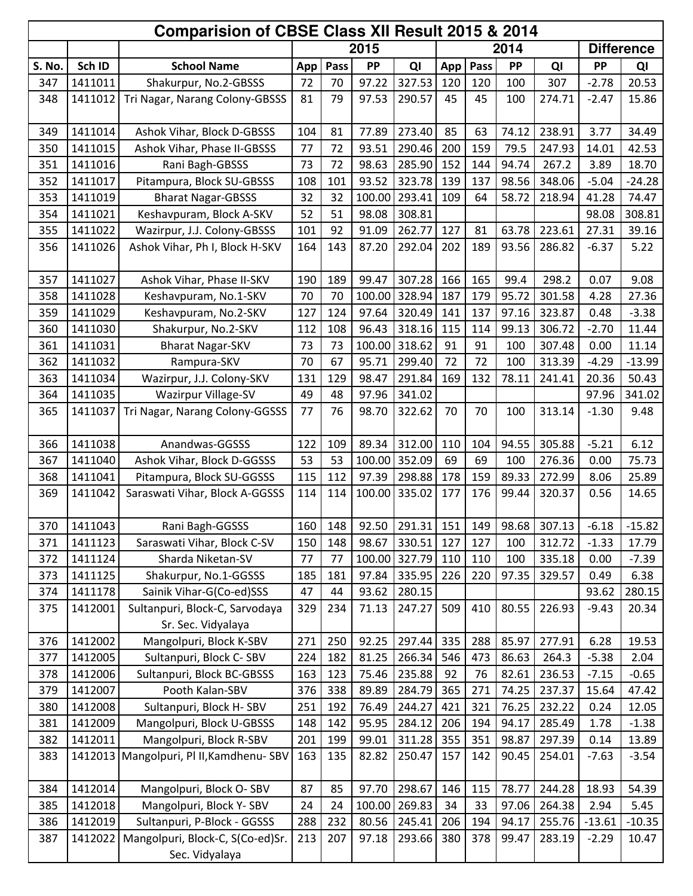|        | Comparision of CBSE Class XII Result 2015 & 2014 |                                                      |     |         |           |                  |     |      |       |        |          |                   |
|--------|--------------------------------------------------|------------------------------------------------------|-----|---------|-----------|------------------|-----|------|-------|--------|----------|-------------------|
|        |                                                  |                                                      |     |         | 2015      |                  |     |      | 2014  |        |          | <b>Difference</b> |
| S. No. | Sch ID                                           | <b>School Name</b>                                   | App | Pass    | <b>PP</b> | QI               | App | Pass | PP    | QI     | PP       | QI                |
| 347    | 1411011                                          | Shakurpur, No.2-GBSSS                                | 72  | 70      | 97.22     | 327.53           | 120 | 120  | 100   | 307    | $-2.78$  | 20.53             |
| 348    | 1411012                                          | Tri Nagar, Narang Colony-GBSSS                       | 81  | 79      | 97.53     | 290.57           | 45  | 45   | 100   | 274.71 | $-2.47$  | 15.86             |
| 349    | 1411014                                          | Ashok Vihar, Block D-GBSSS                           | 104 | 81      | 77.89     | 273.40           | 85  | 63   | 74.12 | 238.91 | 3.77     | 34.49             |
| 350    | 1411015                                          | Ashok Vihar, Phase II-GBSSS                          | 77  | 72      | 93.51     | 290.46           | 200 | 159  | 79.5  | 247.93 | 14.01    | 42.53             |
| 351    | 1411016                                          | Rani Bagh-GBSSS                                      | 73  | 72      | 98.63     | 285.90           | 152 | 144  | 94.74 | 267.2  | 3.89     | 18.70             |
| 352    | 1411017                                          | Pitampura, Block SU-GBSSS                            | 108 | 101     | 93.52     | 323.78           | 139 | 137  | 98.56 | 348.06 | $-5.04$  | $-24.28$          |
| 353    | 1411019                                          | <b>Bharat Nagar-GBSSS</b>                            | 32  | 32      | 100.00    | 293.41           | 109 | 64   | 58.72 | 218.94 | 41.28    | 74.47             |
| 354    | 1411021                                          | Keshavpuram, Block A-SKV                             | 52  | 51      | 98.08     | 308.81           |     |      |       |        | 98.08    | 308.81            |
| 355    | 1411022                                          | Wazirpur, J.J. Colony-GBSSS                          | 101 | 92      | 91.09     | 262.77           | 127 | 81   | 63.78 | 223.61 | 27.31    | 39.16             |
| 356    | 1411026                                          | Ashok Vihar, Ph I, Block H-SKV                       | 164 | 143     | 87.20     | 292.04           | 202 | 189  | 93.56 | 286.82 | $-6.37$  | 5.22              |
| 357    | 1411027                                          | Ashok Vihar, Phase II-SKV                            | 190 | 189     | 99.47     | 307.28           | 166 | 165  | 99.4  | 298.2  | 0.07     | 9.08              |
| 358    | 1411028                                          | Keshavpuram, No.1-SKV                                | 70  | 70      | 100.00    | 328.94           | 187 | 179  | 95.72 | 301.58 | 4.28     | 27.36             |
| 359    | 1411029                                          | Keshavpuram, No.2-SKV                                | 127 | 124     | 97.64     | 320.49           | 141 | 137  | 97.16 | 323.87 | 0.48     | $-3.38$           |
| 360    | 1411030                                          | Shakurpur, No.2-SKV                                  | 112 | 108     | 96.43     | 318.16           | 115 | 114  | 99.13 | 306.72 | $-2.70$  | 11.44             |
| 361    | 1411031                                          | <b>Bharat Nagar-SKV</b>                              | 73  | 73      | 100.00    | 318.62           | 91  | 91   | 100   | 307.48 | 0.00     | 11.14             |
| 362    | 1411032                                          | Rampura-SKV                                          | 70  | 67      | 95.71     | 299.40           | 72  | 72   | 100   | 313.39 | $-4.29$  | $-13.99$          |
| 363    | 1411034                                          | Wazirpur, J.J. Colony-SKV                            | 131 | 129     | 98.47     | 291.84           | 169 | 132  | 78.11 | 241.41 | 20.36    | 50.43             |
| 364    | 1411035                                          | <b>Wazirpur Village-SV</b>                           | 49  | 48      | 97.96     | 341.02           |     |      |       |        | 97.96    | 341.02            |
| 365    | 1411037                                          | Tri Nagar, Narang Colony-GGSSS                       | 77  | 76      | 98.70     | 322.62           | 70  | 70   | 100   | 313.14 | $-1.30$  | 9.48              |
| 366    | 1411038                                          | Anandwas-GGSSS                                       | 122 | 109     | 89.34     | 312.00           | 110 | 104  | 94.55 | 305.88 | $-5.21$  | 6.12              |
| 367    | 1411040                                          | Ashok Vihar, Block D-GGSSS                           | 53  | 53      | 100.00    | 352.09           | 69  | 69   | 100   | 276.36 | 0.00     | 75.73             |
| 368    | 1411041                                          | Pitampura, Block SU-GGSSS                            | 115 | 112     | 97.39     | 298.88           | 178 | 159  | 89.33 | 272.99 | 8.06     | 25.89             |
| 369    | 1411042                                          | Saraswati Vihar, Block A-GGSSS                       | 114 | 114     | 100.00    | 335.02           | 177 | 176  | 99.44 | 320.37 | 0.56     | 14.65             |
| 370    | 1411043                                          | Rani Bagh-GGSSS                                      |     | 160 148 |           | 92.50 291.31 151 |     | 149  | 98.68 | 307.13 | $-6.18$  | $-15.82$          |
| 371    | 1411123                                          | Saraswati Vihar, Block C-SV                          | 150 | 148     | 98.67     | 330.51           | 127 | 127  | 100   | 312.72 | $-1.33$  | 17.79             |
| 372    | 1411124                                          | Sharda Niketan-SV                                    | 77  | 77      | 100.00    | 327.79           | 110 | 110  | 100   | 335.18 | 0.00     | $-7.39$           |
| 373    | 1411125                                          | Shakurpur, No.1-GGSSS                                | 185 | 181     | 97.84     | 335.95           | 226 | 220  | 97.35 | 329.57 | 0.49     | 6.38              |
| 374    | 1411178                                          | Sainik Vihar-G(Co-ed)SSS                             | 47  | 44      | 93.62     | 280.15           |     |      |       |        | 93.62    | 280.15            |
| 375    | 1412001                                          | Sultanpuri, Block-C, Sarvodaya<br>Sr. Sec. Vidyalaya | 329 | 234     | 71.13     | 247.27           | 509 | 410  | 80.55 | 226.93 | $-9.43$  | 20.34             |
| 376    | 1412002                                          | Mangolpuri, Block K-SBV                              | 271 | 250     | 92.25     | 297.44           | 335 | 288  | 85.97 | 277.91 | 6.28     | 19.53             |
| 377    | 1412005                                          | Sultanpuri, Block C-SBV                              | 224 | 182     | 81.25     | 266.34           | 546 | 473  | 86.63 | 264.3  | $-5.38$  | 2.04              |
| 378    | 1412006                                          | Sultanpuri, Block BC-GBSSS                           | 163 | 123     | 75.46     | 235.88           | 92  | 76   | 82.61 | 236.53 | $-7.15$  | $-0.65$           |
| 379    | 1412007                                          | Pooth Kalan-SBV                                      | 376 | 338     | 89.89     | 284.79           | 365 | 271  | 74.25 | 237.37 | 15.64    | 47.42             |
| 380    | 1412008                                          | Sultanpuri, Block H-SBV                              | 251 | 192     | 76.49     | 244.27           | 421 | 321  | 76.25 | 232.22 | 0.24     | 12.05             |
| 381    | 1412009                                          | Mangolpuri, Block U-GBSSS                            | 148 | 142     | 95.95     | 284.12           | 206 | 194  | 94.17 | 285.49 | 1.78     | $-1.38$           |
| 382    | 1412011                                          | Mangolpuri, Block R-SBV                              | 201 | 199     | 99.01     | 311.28           | 355 | 351  | 98.87 | 297.39 | 0.14     | 13.89             |
| 383    |                                                  | 1412013 Mangolpuri, PI II, Kamdhenu-SBV              | 163 | 135     | 82.82     | 250.47           | 157 | 142  | 90.45 | 254.01 | $-7.63$  | $-3.54$           |
| 384    | 1412014                                          | Mangolpuri, Block O-SBV                              | 87  | 85      | 97.70     | 298.67           | 146 | 115  | 78.77 | 244.28 | 18.93    | 54.39             |
| 385    | 1412018                                          | Mangolpuri, Block Y-SBV                              | 24  | 24      | 100.00    | 269.83           | 34  | 33   | 97.06 | 264.38 | 2.94     | 5.45              |
| 386    | 1412019                                          | Sultanpuri, P-Block - GGSSS                          | 288 | 232     | 80.56     | 245.41           | 206 | 194  | 94.17 | 255.76 | $-13.61$ | $-10.35$          |
| 387    | 1412022                                          | Mangolpuri, Block-C, S(Co-ed)Sr.<br>Sec. Vidyalaya   | 213 | 207     | 97.18     | 293.66           | 380 | 378  | 99.47 | 283.19 | $-2.29$  | 10.47             |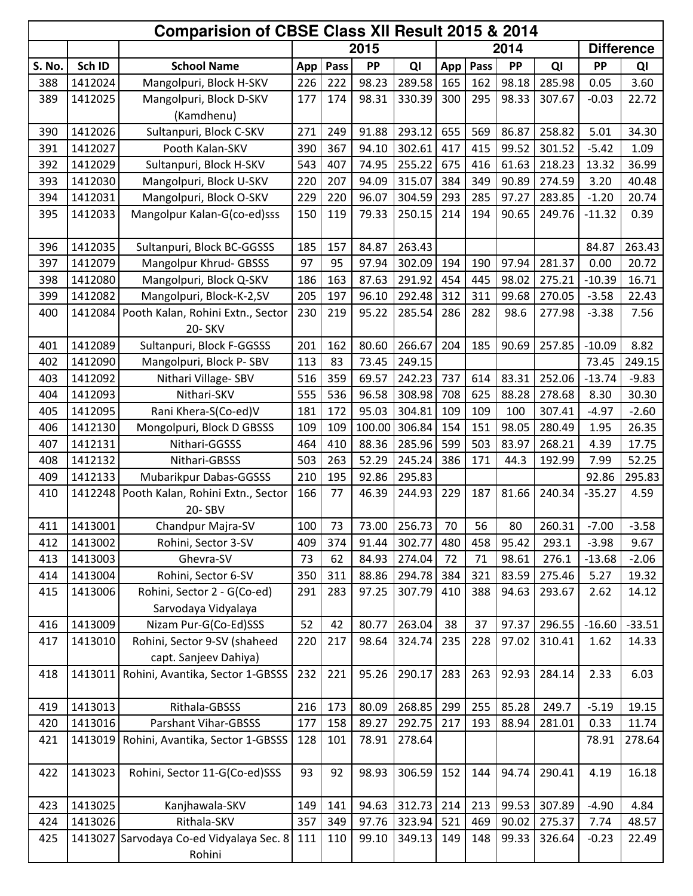|        | Comparision of CBSE Class XII Result 2015 & 2014 |                                                            |     |      |        |                 |     |      |       |        |          |                   |  |
|--------|--------------------------------------------------|------------------------------------------------------------|-----|------|--------|-----------------|-----|------|-------|--------|----------|-------------------|--|
|        |                                                  |                                                            |     |      | 2015   |                 |     |      | 2014  |        |          | <b>Difference</b> |  |
| S. No. | Sch ID                                           | <b>School Name</b>                                         | App | Pass | PP     | QI              | App | Pass | PP    | QI     | PP       | QI                |  |
| 388    | 1412024                                          | Mangolpuri, Block H-SKV                                    | 226 | 222  | 98.23  | 289.58          | 165 | 162  | 98.18 | 285.98 | 0.05     | 3.60              |  |
| 389    | 1412025                                          | Mangolpuri, Block D-SKV                                    | 177 | 174  | 98.31  | 330.39          | 300 | 295  | 98.33 | 307.67 | $-0.03$  | 22.72             |  |
|        |                                                  | (Kamdhenu)                                                 |     |      |        |                 |     |      |       |        |          |                   |  |
| 390    | 1412026                                          | Sultanpuri, Block C-SKV                                    | 271 | 249  | 91.88  | 293.12          | 655 | 569  | 86.87 | 258.82 | 5.01     | 34.30             |  |
| 391    | 1412027                                          | Pooth Kalan-SKV                                            | 390 | 367  | 94.10  | 302.61          | 417 | 415  | 99.52 | 301.52 | $-5.42$  | 1.09              |  |
| 392    | 1412029                                          | Sultanpuri, Block H-SKV                                    | 543 | 407  | 74.95  | 255.22          | 675 | 416  | 61.63 | 218.23 | 13.32    | 36.99             |  |
| 393    | 1412030                                          | Mangolpuri, Block U-SKV                                    | 220 | 207  | 94.09  | 315.07          | 384 | 349  | 90.89 | 274.59 | 3.20     | 40.48             |  |
| 394    | 1412031                                          | Mangolpuri, Block O-SKV                                    | 229 | 220  | 96.07  | 304.59          | 293 | 285  | 97.27 | 283.85 | $-1.20$  | 20.74             |  |
| 395    | 1412033                                          | Mangolpur Kalan-G(co-ed)sss                                | 150 | 119  | 79.33  | 250.15          | 214 | 194  | 90.65 | 249.76 | $-11.32$ | 0.39              |  |
| 396    | 1412035                                          | Sultanpuri, Block BC-GGSSS                                 | 185 | 157  | 84.87  | 263.43          |     |      |       |        | 84.87    | 263.43            |  |
| 397    | 1412079                                          | Mangolpur Khrud- GBSSS                                     | 97  | 95   | 97.94  | 302.09          | 194 | 190  | 97.94 | 281.37 | 0.00     | 20.72             |  |
| 398    | 1412080                                          | Mangolpuri, Block Q-SKV                                    | 186 | 163  | 87.63  | 291.92          | 454 | 445  | 98.02 | 275.21 | $-10.39$ | 16.71             |  |
| 399    | 1412082                                          | Mangolpuri, Block-K-2,SV                                   | 205 | 197  | 96.10  | 292.48          | 312 | 311  | 99.68 | 270.05 | $-3.58$  | 22.43             |  |
| 400    |                                                  | 1412084 Pooth Kalan, Rohini Extn., Sector<br><b>20-SKV</b> | 230 | 219  | 95.22  | 285.54          | 286 | 282  | 98.6  | 277.98 | $-3.38$  | 7.56              |  |
| 401    | 1412089                                          | Sultanpuri, Block F-GGSSS                                  | 201 | 162  | 80.60  | 266.67          | 204 | 185  | 90.69 | 257.85 | $-10.09$ | 8.82              |  |
| 402    | 1412090                                          | Mangolpuri, Block P-SBV                                    | 113 | 83   | 73.45  | 249.15          |     |      |       |        | 73.45    | 249.15            |  |
| 403    | 1412092                                          | Nithari Village-SBV                                        | 516 | 359  | 69.57  | 242.23          | 737 | 614  | 83.31 | 252.06 | $-13.74$ | $-9.83$           |  |
| 404    | 1412093                                          | Nithari-SKV                                                | 555 | 536  | 96.58  | 308.98          | 708 | 625  | 88.28 | 278.68 | 8.30     | 30.30             |  |
| 405    | 1412095                                          | Rani Khera-S(Co-ed)V                                       | 181 | 172  | 95.03  | 304.81          | 109 | 109  | 100   | 307.41 | $-4.97$  | $-2.60$           |  |
| 406    | 1412130                                          | Mongolpuri, Block D GBSSS                                  | 109 | 109  | 100.00 | 306.84          | 154 | 151  | 98.05 | 280.49 | 1.95     | 26.35             |  |
| 407    | 1412131                                          | Nithari-GGSSS                                              | 464 | 410  | 88.36  | 285.96          | 599 | 503  | 83.97 | 268.21 | 4.39     | 17.75             |  |
| 408    | 1412132                                          | Nithari-GBSSS                                              | 503 | 263  | 52.29  | 245.24          | 386 | 171  | 44.3  | 192.99 | 7.99     | 52.25             |  |
| 409    | 1412133                                          | Mubarikpur Dabas-GGSSS                                     | 210 | 195  | 92.86  | 295.83          |     |      |       |        | 92.86    | 295.83            |  |
| 410    | 1412248                                          | Pooth Kalan, Rohini Extn., Sector<br>20-SBV                | 166 | 77   | 46.39  | 244.93          | 229 | 187  | 81.66 | 240.34 | $-35.27$ | 4.59              |  |
| 411    | 1413001                                          | Chandpur Majra-SV                                          | 100 | 73   |        | 73.00 256.73 70 |     | 56   | 80    | 260.31 | $-7.00$  | $-3.58$           |  |
| 412    | 1413002                                          | Rohini, Sector 3-SV                                        | 409 | 374  | 91.44  | 302.77          | 480 | 458  | 95.42 | 293.1  | $-3.98$  | 9.67              |  |
| 413    | 1413003                                          | Ghevra-SV                                                  | 73  | 62   | 84.93  | 274.04          | 72  | 71   | 98.61 | 276.1  | $-13.68$ | $-2.06$           |  |
| 414    | 1413004                                          | Rohini, Sector 6-SV                                        | 350 | 311  | 88.86  | 294.78          | 384 | 321  | 83.59 | 275.46 | 5.27     | 19.32             |  |
| 415    | 1413006                                          | Rohini, Sector 2 - G(Co-ed)                                | 291 | 283  | 97.25  | 307.79          | 410 | 388  | 94.63 | 293.67 | 2.62     | 14.12             |  |
|        |                                                  | Sarvodaya Vidyalaya                                        |     |      |        |                 |     |      |       |        |          |                   |  |
| 416    | 1413009                                          | Nizam Pur-G(Co-Ed)SSS                                      | 52  | 42   | 80.77  | 263.04          | 38  | 37   | 97.37 | 296.55 | $-16.60$ | $-33.51$          |  |
| 417    | 1413010                                          | Rohini, Sector 9-SV (shaheed<br>capt. Sanjeev Dahiya)      | 220 | 217  | 98.64  | 324.74          | 235 | 228  | 97.02 | 310.41 | 1.62     | 14.33             |  |
| 418    | 1413011                                          | Rohini, Avantika, Sector 1-GBSSS                           | 232 | 221  | 95.26  | 290.17          | 283 | 263  | 92.93 | 284.14 | 2.33     | 6.03              |  |
| 419    | 1413013                                          | Rithala-GBSSS                                              | 216 | 173  | 80.09  | 268.85          | 299 | 255  | 85.28 | 249.7  | $-5.19$  | 19.15             |  |
| 420    | 1413016                                          | Parshant Vihar-GBSSS                                       | 177 | 158  | 89.27  | 292.75          | 217 | 193  | 88.94 | 281.01 | 0.33     | 11.74             |  |
| 421    | 1413019                                          | Rohini, Avantika, Sector 1-GBSSS                           | 128 | 101  | 78.91  | 278.64          |     |      |       |        | 78.91    | 278.64            |  |
| 422    | 1413023                                          | Rohini, Sector 11-G(Co-ed)SSS                              | 93  | 92   | 98.93  | 306.59          | 152 | 144  | 94.74 | 290.41 | 4.19     | 16.18             |  |
| 423    | 1413025                                          | Kanjhawala-SKV                                             | 149 | 141  | 94.63  | 312.73          | 214 | 213  | 99.53 | 307.89 | $-4.90$  | 4.84              |  |
| 424    | 1413026                                          | Rithala-SKV                                                | 357 | 349  | 97.76  | 323.94          | 521 | 469  | 90.02 | 275.37 | 7.74     | 48.57             |  |
| 425    |                                                  | 1413027 Sarvodaya Co-ed Vidyalaya Sec. 8<br>Rohini         | 111 | 110  | 99.10  | 349.13          | 149 | 148  | 99.33 | 326.64 | $-0.23$  | 22.49             |  |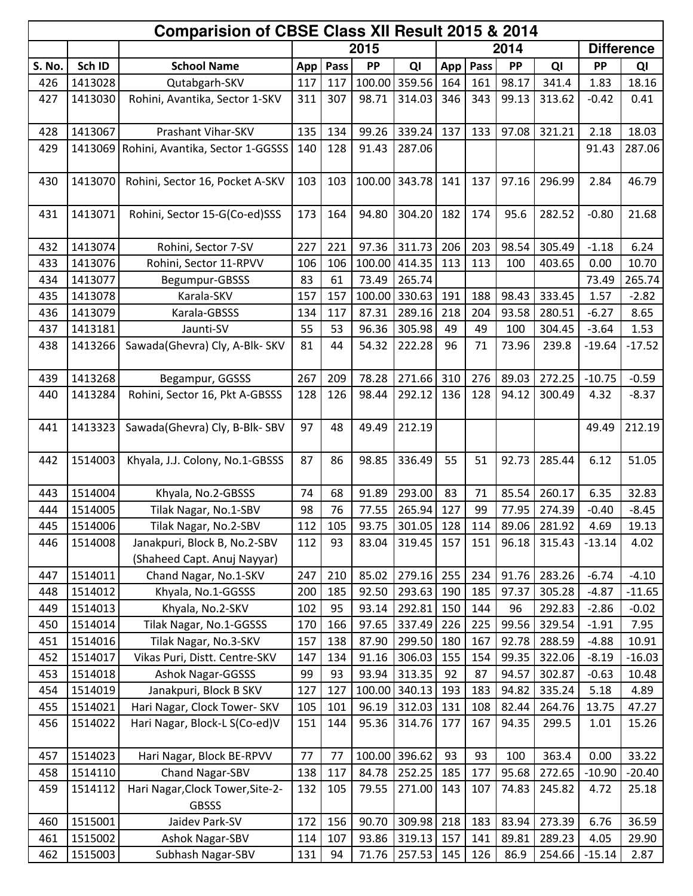| Comparision of CBSE Class XII Result 2015 & 2014 |         |                                                             |     |      |        |               |     |      |       |              |           |                   |
|--------------------------------------------------|---------|-------------------------------------------------------------|-----|------|--------|---------------|-----|------|-------|--------------|-----------|-------------------|
|                                                  |         |                                                             |     |      | 2015   |               |     |      | 2014  |              |           | <b>Difference</b> |
| S. No.                                           | Sch ID  | <b>School Name</b>                                          | App | Pass | PP     | QI            | App | Pass | PP    | QI           | <b>PP</b> | QI                |
| 426                                              | 1413028 | Qutabgarh-SKV                                               | 117 | 117  |        | 100.00 359.56 | 164 | 161  | 98.17 | 341.4        | 1.83      | 18.16             |
| 427                                              | 1413030 | Rohini, Avantika, Sector 1-SKV                              | 311 | 307  | 98.71  | 314.03        | 346 | 343  | 99.13 | 313.62       | $-0.42$   | 0.41              |
| 428                                              | 1413067 | Prashant Vihar-SKV                                          | 135 | 134  | 99.26  | 339.24        | 137 | 133  | 97.08 | 321.21       | 2.18      | 18.03             |
| 429                                              | 1413069 | Rohini, Avantika, Sector 1-GGSSS                            | 140 | 128  | 91.43  | 287.06        |     |      |       |              | 91.43     | 287.06            |
| 430                                              | 1413070 | Rohini, Sector 16, Pocket A-SKV                             | 103 | 103  |        | 100.00 343.78 | 141 | 137  | 97.16 | 296.99       | 2.84      | 46.79             |
| 431                                              | 1413071 | Rohini, Sector 15-G(Co-ed)SSS                               | 173 | 164  | 94.80  | 304.20        | 182 | 174  | 95.6  | 282.52       | $-0.80$   | 21.68             |
| 432                                              | 1413074 | Rohini, Sector 7-SV                                         | 227 | 221  | 97.36  | 311.73        | 206 | 203  | 98.54 | 305.49       | $-1.18$   | 6.24              |
| 433                                              | 1413076 | Rohini, Sector 11-RPVV                                      | 106 | 106  | 100.00 | 414.35        | 113 | 113  | 100   | 403.65       | 0.00      | 10.70             |
| 434                                              | 1413077 | Begumpur-GBSSS                                              | 83  | 61   | 73.49  | 265.74        |     |      |       |              | 73.49     | 265.74            |
| 435                                              | 1413078 | Karala-SKV                                                  | 157 | 157  | 100.00 | 330.63        | 191 | 188  | 98.43 | 333.45       | 1.57      | $-2.82$           |
| 436                                              | 1413079 | Karala-GBSSS                                                | 134 | 117  | 87.31  | 289.16        | 218 | 204  | 93.58 | 280.51       | $-6.27$   | 8.65              |
| 437                                              | 1413181 | Jaunti-SV                                                   | 55  | 53   | 96.36  | 305.98        | 49  | 49   | 100   | 304.45       | $-3.64$   | 1.53              |
| 438                                              | 1413266 | Sawada(Ghevra) Cly, A-Blk- SKV                              | 81  | 44   | 54.32  | 222.28        | 96  | 71   | 73.96 | 239.8        | $-19.64$  | $-17.52$          |
| 439                                              | 1413268 | Begampur, GGSSS                                             | 267 | 209  | 78.28  | 271.66        | 310 | 276  | 89.03 | 272.25       | $-10.75$  | $-0.59$           |
| 440                                              | 1413284 | Rohini, Sector 16, Pkt A-GBSSS                              | 128 | 126  | 98.44  | 292.12        | 136 | 128  | 94.12 | 300.49       | 4.32      | $-8.37$           |
| 441                                              | 1413323 | Sawada(Ghevra) Cly, B-Blk-SBV                               | 97  | 48   | 49.49  | 212.19        |     |      |       |              | 49.49     | 212.19            |
| 442                                              | 1514003 | Khyala, J.J. Colony, No.1-GBSSS                             | 87  | 86   | 98.85  | 336.49        | 55  | 51   | 92.73 | 285.44       | 6.12      | 51.05             |
| 443                                              | 1514004 | Khyala, No.2-GBSSS                                          | 74  | 68   | 91.89  | 293.00        | 83  | 71   | 85.54 | 260.17       | 6.35      | 32.83             |
| 444                                              | 1514005 | Tilak Nagar, No.1-SBV                                       | 98  | 76   | 77.55  | 265.94        | 127 | 99   | 77.95 | 274.39       | $-0.40$   | $-8.45$           |
| 445                                              | 1514006 | Tilak Nagar, No.2-SBV                                       | 112 | 105  | 93.75  | 301.05 128    |     | 114  |       | 89.06 281.92 | 4.69      | 19.13             |
| 446                                              | 1514008 | Janakpuri, Block B, No.2-SBV<br>(Shaheed Capt. Anuj Nayyar) | 112 | 93   | 83.04  | 319.45        | 157 | 151  | 96.18 | 315.43       | $-13.14$  | 4.02              |
| 447                                              | 1514011 | Chand Nagar, No.1-SKV                                       | 247 | 210  | 85.02  | 279.16        | 255 | 234  | 91.76 | 283.26       | $-6.74$   | $-4.10$           |
| 448                                              | 1514012 | Khyala, No.1-GGSSS                                          | 200 | 185  | 92.50  | 293.63        | 190 | 185  | 97.37 | 305.28       | $-4.87$   | $-11.65$          |
| 449                                              | 1514013 | Khyala, No.2-SKV                                            | 102 | 95   | 93.14  | 292.81        | 150 | 144  | 96    | 292.83       | $-2.86$   | $-0.02$           |
| 450                                              | 1514014 | Tilak Nagar, No.1-GGSSS                                     | 170 | 166  | 97.65  | 337.49        | 226 | 225  | 99.56 | 329.54       | $-1.91$   | 7.95              |
| 451                                              | 1514016 | Tilak Nagar, No.3-SKV                                       | 157 | 138  | 87.90  | 299.50        | 180 | 167  | 92.78 | 288.59       | $-4.88$   | 10.91             |
| 452                                              | 1514017 | Vikas Puri, Distt. Centre-SKV                               | 147 | 134  | 91.16  | 306.03        | 155 | 154  | 99.35 | 322.06       | $-8.19$   | $-16.03$          |
| 453                                              | 1514018 | <b>Ashok Nagar-GGSSS</b>                                    | 99  | 93   | 93.94  | 313.35        | 92  | 87   | 94.57 | 302.87       | $-0.63$   | 10.48             |
| 454                                              | 1514019 | Janakpuri, Block B SKV                                      | 127 | 127  | 100.00 | 340.13        | 193 | 183  | 94.82 | 335.24       | 5.18      | 4.89              |
| 455                                              | 1514021 | Hari Nagar, Clock Tower- SKV                                | 105 | 101  | 96.19  | 312.03        | 131 | 108  | 82.44 | 264.76       | 13.75     | 47.27             |
| 456                                              | 1514022 | Hari Nagar, Block-L S(Co-ed)V                               | 151 | 144  | 95.36  | 314.76        | 177 | 167  | 94.35 | 299.5        | 1.01      | 15.26             |
| 457                                              | 1514023 | Hari Nagar, Block BE-RPVV                                   | 77  | 77   | 100.00 | 396.62        | 93  | 93   | 100   | 363.4        | 0.00      | 33.22             |
| 458                                              | 1514110 | Chand Nagar-SBV                                             | 138 | 117  | 84.78  | 252.25        | 185 | 177  | 95.68 | 272.65       | $-10.90$  | $-20.40$          |
| 459                                              | 1514112 | Hari Nagar, Clock Tower, Site-2-<br><b>GBSSS</b>            | 132 | 105  | 79.55  | 271.00        | 143 | 107  | 74.83 | 245.82       | 4.72      | 25.18             |
| 460                                              | 1515001 | Jaidev Park-SV                                              | 172 | 156  | 90.70  | 309.98        | 218 | 183  | 83.94 | 273.39       | 6.76      | 36.59             |
| 461                                              | 1515002 | <b>Ashok Nagar-SBV</b>                                      | 114 | 107  | 93.86  | 319.13        | 157 | 141  | 89.81 | 289.23       | 4.05      | 29.90             |
| 462                                              | 1515003 | Subhash Nagar-SBV                                           | 131 | 94   | 71.76  | 257.53        | 145 | 126  | 86.9  | 254.66       | $-15.14$  | 2.87              |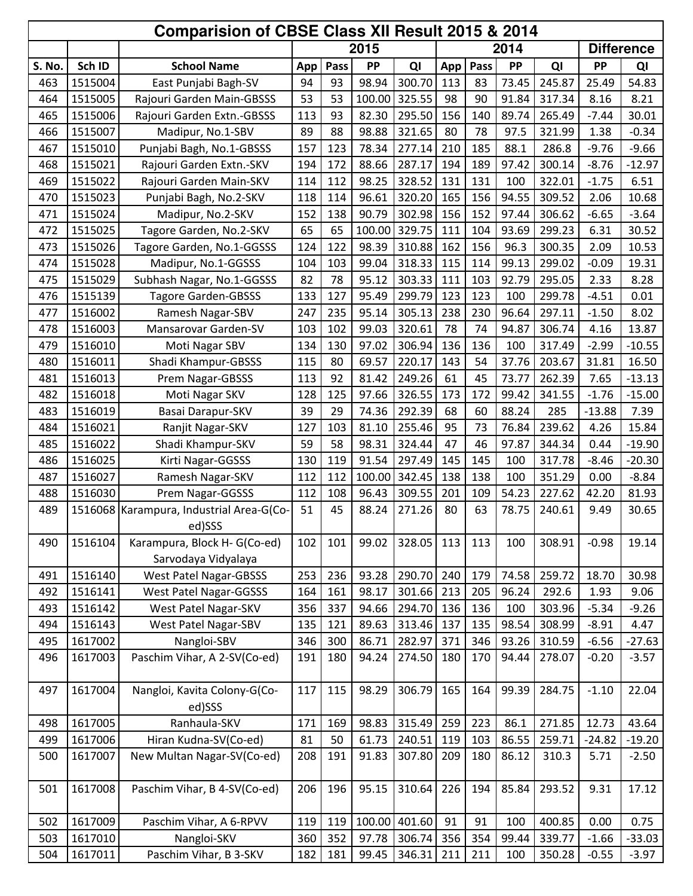|        | Comparision of CBSE Class XII Result 2015 & 2014<br>2015<br><b>Difference</b><br>2014 |                                          |     |      |        |        |     |      |       |        |          |          |  |  |
|--------|---------------------------------------------------------------------------------------|------------------------------------------|-----|------|--------|--------|-----|------|-------|--------|----------|----------|--|--|
|        |                                                                                       |                                          |     |      |        |        |     |      |       |        |          |          |  |  |
| S. No. | Sch ID                                                                                | <b>School Name</b>                       | App | Pass | PP     | QI     | App | Pass | PP    | QI     | PP       | QI       |  |  |
| 463    | 1515004                                                                               | East Punjabi Bagh-SV                     | 94  | 93   | 98.94  | 300.70 | 113 | 83   | 73.45 | 245.87 | 25.49    | 54.83    |  |  |
| 464    | 1515005                                                                               | Rajouri Garden Main-GBSSS                | 53  | 53   | 100.00 | 325.55 | 98  | 90   | 91.84 | 317.34 | 8.16     | 8.21     |  |  |
| 465    | 1515006                                                                               | Rajouri Garden Extn.-GBSSS               | 113 | 93   | 82.30  | 295.50 | 156 | 140  | 89.74 | 265.49 | $-7.44$  | 30.01    |  |  |
| 466    | 1515007                                                                               | Madipur, No.1-SBV                        | 89  | 88   | 98.88  | 321.65 | 80  | 78   | 97.5  | 321.99 | 1.38     | $-0.34$  |  |  |
| 467    | 1515010                                                                               | Punjabi Bagh, No.1-GBSSS                 | 157 | 123  | 78.34  | 277.14 | 210 | 185  | 88.1  | 286.8  | $-9.76$  | $-9.66$  |  |  |
| 468    | 1515021                                                                               | Rajouri Garden Extn.-SKV                 | 194 | 172  | 88.66  | 287.17 | 194 | 189  | 97.42 | 300.14 | $-8.76$  | $-12.97$ |  |  |
| 469    | 1515022                                                                               | Rajouri Garden Main-SKV                  | 114 | 112  | 98.25  | 328.52 | 131 | 131  | 100   | 322.01 | $-1.75$  | 6.51     |  |  |
| 470    | 1515023                                                                               | Punjabi Bagh, No.2-SKV                   | 118 | 114  | 96.61  | 320.20 | 165 | 156  | 94.55 | 309.52 | 2.06     | 10.68    |  |  |
| 471    | 1515024                                                                               | Madipur, No.2-SKV                        | 152 | 138  | 90.79  | 302.98 | 156 | 152  | 97.44 | 306.62 | $-6.65$  | $-3.64$  |  |  |
| 472    | 1515025                                                                               | Tagore Garden, No.2-SKV                  | 65  | 65   | 100.00 | 329.75 | 111 | 104  | 93.69 | 299.23 | 6.31     | 30.52    |  |  |
| 473    | 1515026                                                                               | Tagore Garden, No.1-GGSSS                | 124 | 122  | 98.39  | 310.88 | 162 | 156  | 96.3  | 300.35 | 2.09     | 10.53    |  |  |
| 474    | 1515028                                                                               | Madipur, No.1-GGSSS                      | 104 | 103  | 99.04  | 318.33 | 115 | 114  | 99.13 | 299.02 | $-0.09$  | 19.31    |  |  |
| 475    | 1515029                                                                               | Subhash Nagar, No.1-GGSSS                | 82  | 78   | 95.12  | 303.33 | 111 | 103  | 92.79 | 295.05 | 2.33     | 8.28     |  |  |
| 476    | 1515139                                                                               | <b>Tagore Garden-GBSSS</b>               | 133 | 127  | 95.49  | 299.79 | 123 | 123  | 100   | 299.78 | $-4.51$  | 0.01     |  |  |
| 477    | 1516002                                                                               | Ramesh Nagar-SBV                         | 247 | 235  | 95.14  | 305.13 | 238 | 230  | 96.64 | 297.11 | $-1.50$  | 8.02     |  |  |
| 478    | 1516003                                                                               | Mansarovar Garden-SV                     | 103 | 102  | 99.03  | 320.61 | 78  | 74   | 94.87 | 306.74 | 4.16     | 13.87    |  |  |
| 479    | 1516010                                                                               | Moti Nagar SBV                           | 134 | 130  | 97.02  | 306.94 | 136 | 136  | 100   | 317.49 | $-2.99$  | $-10.55$ |  |  |
| 480    | 1516011                                                                               | Shadi Khampur-GBSSS                      | 115 | 80   | 69.57  | 220.17 | 143 | 54   | 37.76 | 203.67 | 31.81    | 16.50    |  |  |
| 481    | 1516013                                                                               | Prem Nagar-GBSSS                         | 113 | 92   | 81.42  | 249.26 | 61  | 45   | 73.77 | 262.39 | 7.65     | $-13.13$ |  |  |
| 482    | 1516018                                                                               | Moti Nagar SKV                           | 128 | 125  | 97.66  | 326.55 | 173 | 172  | 99.42 | 341.55 | $-1.76$  | $-15.00$ |  |  |
| 483    | 1516019                                                                               | Basai Darapur-SKV                        | 39  | 29   | 74.36  | 292.39 | 68  | 60   | 88.24 | 285    | $-13.88$ | 7.39     |  |  |
| 484    | 1516021                                                                               | Ranjit Nagar-SKV                         | 127 | 103  | 81.10  | 255.46 | 95  | 73   | 76.84 | 239.62 | 4.26     | 15.84    |  |  |
| 485    | 1516022                                                                               | Shadi Khampur-SKV                        | 59  | 58   | 98.31  | 324.44 | 47  | 46   | 97.87 | 344.34 | 0.44     | $-19.90$ |  |  |
| 486    | 1516025                                                                               | Kirti Nagar-GGSSS                        | 130 | 119  | 91.54  | 297.49 | 145 | 145  | 100   | 317.78 | $-8.46$  | $-20.30$ |  |  |
| 487    | 1516027                                                                               | Ramesh Nagar-SKV                         | 112 | 112  | 100.00 | 342.45 | 138 | 138  | 100   | 351.29 | 0.00     | $-8.84$  |  |  |
| 488    | 1516030                                                                               | Prem Nagar-GGSSS                         | 112 | 108  | 96.43  | 309.55 | 201 | 109  | 54.23 | 227.62 | 42.20    | 81.93    |  |  |
| 489    |                                                                                       | 1516068 Karampura, Industrial Area-G(Co- | 51  | 45   | 88.24  | 271.26 | 80  | 63   | 78.75 | 240.61 | 9.49     | 30.65    |  |  |
|        |                                                                                       | ed)SSS                                   |     |      |        |        |     |      |       |        |          |          |  |  |
| 490    | 1516104                                                                               | Karampura, Block H-G(Co-ed)              | 102 | 101  | 99.02  | 328.05 | 113 | 113  | 100   | 308.91 | $-0.98$  | 19.14    |  |  |
|        |                                                                                       | Sarvodaya Vidyalaya                      |     |      |        |        |     |      |       |        |          |          |  |  |
| 491    | 1516140                                                                               | West Patel Nagar-GBSSS                   | 253 | 236  | 93.28  | 290.70 | 240 | 179  | 74.58 | 259.72 | 18.70    | 30.98    |  |  |
| 492    | 1516141                                                                               | <b>West Patel Nagar-GGSSS</b>            | 164 | 161  | 98.17  | 301.66 | 213 | 205  | 96.24 | 292.6  | 1.93     | 9.06     |  |  |
| 493    | 1516142                                                                               | West Patel Nagar-SKV                     | 356 | 337  | 94.66  | 294.70 | 136 | 136  | 100   | 303.96 | $-5.34$  | $-9.26$  |  |  |
| 494    | 1516143                                                                               | West Patel Nagar-SBV                     | 135 | 121  | 89.63  | 313.46 | 137 | 135  | 98.54 | 308.99 | $-8.91$  | 4.47     |  |  |
| 495    | 1617002                                                                               | Nangloi-SBV                              | 346 | 300  | 86.71  | 282.97 | 371 | 346  | 93.26 | 310.59 | $-6.56$  | $-27.63$ |  |  |
| 496    | 1617003                                                                               | Paschim Vihar, A 2-SV(Co-ed)             | 191 | 180  | 94.24  | 274.50 | 180 | 170  | 94.44 | 278.07 | $-0.20$  | $-3.57$  |  |  |
|        |                                                                                       |                                          |     |      |        |        |     |      |       |        |          |          |  |  |
| 497    | 1617004                                                                               | Nangloi, Kavita Colony-G(Co-             | 117 | 115  | 98.29  | 306.79 | 165 | 164  | 99.39 | 284.75 | $-1.10$  | 22.04    |  |  |
|        |                                                                                       | ed)SSS                                   |     |      |        |        |     |      |       |        |          |          |  |  |
| 498    | 1617005                                                                               | Ranhaula-SKV                             | 171 | 169  | 98.83  | 315.49 | 259 | 223  | 86.1  | 271.85 | 12.73    | 43.64    |  |  |
| 499    | 1617006                                                                               | Hiran Kudna-SV(Co-ed)                    | 81  | 50   | 61.73  | 240.51 | 119 | 103  | 86.55 | 259.71 | $-24.82$ | $-19.20$ |  |  |
| 500    | 1617007                                                                               | New Multan Nagar-SV(Co-ed)               | 208 | 191  | 91.83  | 307.80 | 209 | 180  | 86.12 | 310.3  | 5.71     | $-2.50$  |  |  |
|        |                                                                                       |                                          |     |      |        |        |     |      |       |        |          |          |  |  |
| 501    | 1617008                                                                               | Paschim Vihar, B 4-SV(Co-ed)             | 206 | 196  | 95.15  | 310.64 | 226 | 194  | 85.84 | 293.52 | 9.31     | 17.12    |  |  |
|        |                                                                                       |                                          |     |      |        |        |     |      |       |        |          |          |  |  |
| 502    | 1617009                                                                               | Paschim Vihar, A 6-RPVV                  | 119 | 119  | 100.00 | 401.60 | 91  | 91   | 100   | 400.85 | 0.00     | 0.75     |  |  |
| 503    | 1617010                                                                               | Nangloi-SKV                              | 360 | 352  | 97.78  | 306.74 | 356 | 354  | 99.44 | 339.77 | $-1.66$  | $-33.03$ |  |  |
| 504    | 1617011                                                                               | Paschim Vihar, B 3-SKV                   | 182 | 181  | 99.45  | 346.31 | 211 | 211  | 100   | 350.28 | $-0.55$  | $-3.97$  |  |  |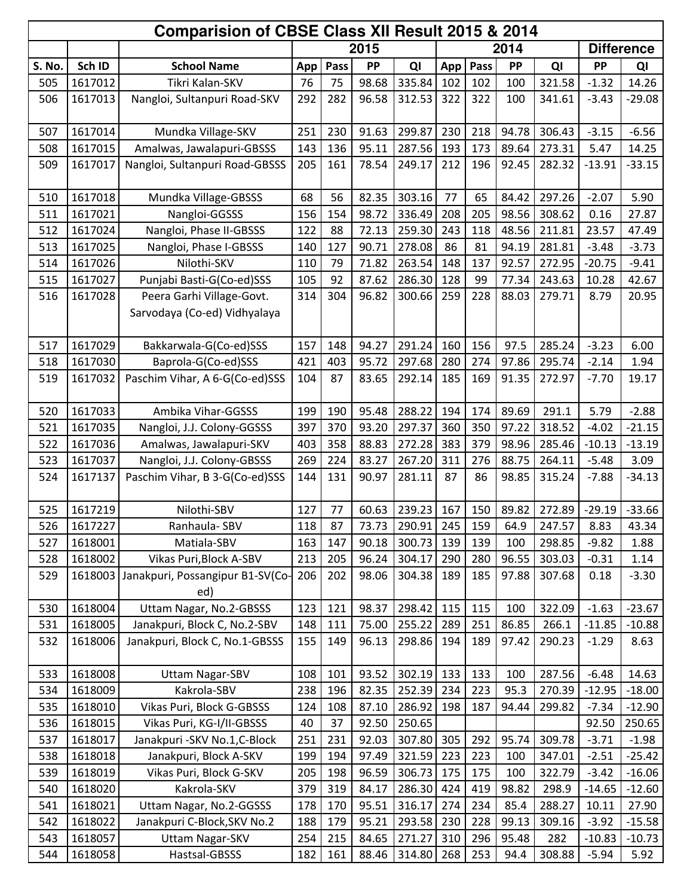| Comparision of CBSE Class XII Result 2015 & 2014<br>2015<br>2014<br><b>Difference</b> |         |                                                           |     |      |       |        |     |      |       |        |          |          |  |
|---------------------------------------------------------------------------------------|---------|-----------------------------------------------------------|-----|------|-------|--------|-----|------|-------|--------|----------|----------|--|
|                                                                                       |         |                                                           |     |      |       |        |     |      |       |        |          |          |  |
| S. No.                                                                                | Sch ID  | <b>School Name</b>                                        | App | Pass | PP    | QI     | App | Pass | PP    | QI     | PP       | QI       |  |
| 505                                                                                   | 1617012 | Tikri Kalan-SKV                                           | 76  | 75   | 98.68 | 335.84 | 102 | 102  | 100   | 321.58 | $-1.32$  | 14.26    |  |
| 506                                                                                   | 1617013 | Nangloi, Sultanpuri Road-SKV                              | 292 | 282  | 96.58 | 312.53 | 322 | 322  | 100   | 341.61 | $-3.43$  | $-29.08$ |  |
| 507                                                                                   | 1617014 | Mundka Village-SKV                                        | 251 | 230  | 91.63 | 299.87 | 230 | 218  | 94.78 | 306.43 | $-3.15$  | $-6.56$  |  |
| 508                                                                                   | 1617015 | Amalwas, Jawalapuri-GBSSS                                 | 143 | 136  | 95.11 | 287.56 | 193 | 173  | 89.64 | 273.31 | 5.47     | 14.25    |  |
| 509                                                                                   | 1617017 | Nangloi, Sultanpuri Road-GBSSS                            | 205 | 161  | 78.54 | 249.17 | 212 | 196  | 92.45 | 282.32 | $-13.91$ | $-33.15$ |  |
| 510                                                                                   | 1617018 | Mundka Village-GBSSS                                      | 68  | 56   | 82.35 | 303.16 | 77  | 65   | 84.42 | 297.26 | $-2.07$  | 5.90     |  |
| 511                                                                                   | 1617021 | Nangloi-GGSSS                                             | 156 | 154  | 98.72 | 336.49 | 208 | 205  | 98.56 | 308.62 | 0.16     | 27.87    |  |
| 512                                                                                   | 1617024 | Nangloi, Phase II-GBSSS                                   | 122 | 88   | 72.13 | 259.30 | 243 | 118  | 48.56 | 211.81 | 23.57    | 47.49    |  |
| 513                                                                                   | 1617025 | Nangloi, Phase I-GBSSS                                    | 140 | 127  | 90.71 | 278.08 | 86  | 81   | 94.19 | 281.81 | $-3.48$  | $-3.73$  |  |
| 514                                                                                   | 1617026 | Nilothi-SKV                                               | 110 | 79   | 71.82 | 263.54 | 148 | 137  | 92.57 | 272.95 | $-20.75$ | $-9.41$  |  |
| 515                                                                                   | 1617027 | Punjabi Basti-G(Co-ed)SSS                                 | 105 | 92   | 87.62 | 286.30 | 128 | 99   | 77.34 | 243.63 | 10.28    | 42.67    |  |
| 516                                                                                   | 1617028 | Peera Garhi Village-Govt.<br>Sarvodaya (Co-ed) Vidhyalaya | 314 | 304  | 96.82 | 300.66 | 259 | 228  | 88.03 | 279.71 | 8.79     | 20.95    |  |
| 517                                                                                   | 1617029 | Bakkarwala-G(Co-ed)SSS                                    | 157 | 148  | 94.27 | 291.24 | 160 | 156  | 97.5  | 285.24 | $-3.23$  | 6.00     |  |
| 518                                                                                   | 1617030 | Baprola-G(Co-ed)SSS                                       | 421 | 403  | 95.72 | 297.68 | 280 | 274  | 97.86 | 295.74 | $-2.14$  | 1.94     |  |
| 519                                                                                   | 1617032 | Paschim Vihar, A 6-G(Co-ed)SSS                            | 104 | 87   | 83.65 | 292.14 | 185 | 169  | 91.35 | 272.97 | $-7.70$  | 19.17    |  |
| 520                                                                                   | 1617033 | Ambika Vihar-GGSSS                                        | 199 | 190  | 95.48 | 288.22 | 194 | 174  | 89.69 | 291.1  | 5.79     | $-2.88$  |  |
| 521                                                                                   | 1617035 | Nangloi, J.J. Colony-GGSSS                                | 397 | 370  | 93.20 | 297.37 | 360 | 350  | 97.22 | 318.52 | $-4.02$  | $-21.15$ |  |
| 522                                                                                   | 1617036 | Amalwas, Jawalapuri-SKV                                   | 403 | 358  | 88.83 | 272.28 | 383 | 379  | 98.96 | 285.46 | $-10.13$ | $-13.19$ |  |
| 523                                                                                   | 1617037 | Nangloi, J.J. Colony-GBSSS                                | 269 | 224  | 83.27 | 267.20 | 311 | 276  | 88.75 | 264.11 | $-5.48$  | 3.09     |  |
| 524                                                                                   | 1617137 | Paschim Vihar, B 3-G(Co-ed)SSS                            | 144 | 131  | 90.97 | 281.11 | 87  | 86   | 98.85 | 315.24 | $-7.88$  | $-34.13$ |  |
| 525                                                                                   | 1617219 | Nilothi-SBV                                               | 127 | 77   | 60.63 | 239.23 | 167 | 150  | 89.82 | 272.89 | $-29.19$ | $-33.66$ |  |
| 526                                                                                   | 1617227 | Ranhaula- SBV                                             | 118 | 87   | 73.73 | 290.91 | 245 | 159  | 64.9  | 247.57 | 8.83     | 43.34    |  |
| 527                                                                                   | 1618001 | Matiala-SBV                                               | 163 | 147  | 90.18 | 300.73 | 139 | 139  | 100   | 298.85 | $-9.82$  | 1.88     |  |
| 528                                                                                   | 1618002 | Vikas Puri, Block A-SBV                                   | 213 | 205  | 96.24 | 304.17 | 290 | 280  | 96.55 | 303.03 | $-0.31$  | 1.14     |  |
| 529                                                                                   |         | 1618003 Janakpuri, Possangipur B1-SV(Co-<br>ed)           | 206 | 202  | 98.06 | 304.38 | 189 | 185  | 97.88 | 307.68 | 0.18     | $-3.30$  |  |
| 530                                                                                   | 1618004 | Uttam Nagar, No.2-GBSSS                                   | 123 | 121  | 98.37 | 298.42 | 115 | 115  | 100   | 322.09 | $-1.63$  | $-23.67$ |  |
| 531                                                                                   | 1618005 | Janakpuri, Block C, No.2-SBV                              | 148 | 111  | 75.00 | 255.22 | 289 | 251  | 86.85 | 266.1  | $-11.85$ | $-10.88$ |  |
| 532                                                                                   | 1618006 | Janakpuri, Block C, No.1-GBSSS                            | 155 | 149  | 96.13 | 298.86 | 194 | 189  | 97.42 | 290.23 | $-1.29$  | 8.63     |  |
| 533                                                                                   | 1618008 | <b>Uttam Nagar-SBV</b>                                    | 108 | 101  | 93.52 | 302.19 | 133 | 133  | 100   | 287.56 | $-6.48$  | 14.63    |  |
| 534                                                                                   | 1618009 | Kakrola-SBV                                               | 238 | 196  | 82.35 | 252.39 | 234 | 223  | 95.3  | 270.39 | $-12.95$ | $-18.00$ |  |
| 535                                                                                   | 1618010 | Vikas Puri, Block G-GBSSS                                 | 124 | 108  | 87.10 | 286.92 | 198 | 187  | 94.44 | 299.82 | $-7.34$  | $-12.90$ |  |
| 536                                                                                   | 1618015 | Vikas Puri, KG-I/II-GBSSS                                 | 40  | 37   | 92.50 | 250.65 |     |      |       |        | 92.50    | 250.65   |  |
| 537                                                                                   | 1618017 | Janakpuri - SKV No.1, C-Block                             | 251 | 231  | 92.03 | 307.80 | 305 | 292  | 95.74 | 309.78 | $-3.71$  | $-1.98$  |  |
| 538                                                                                   | 1618018 | Janakpuri, Block A-SKV                                    | 199 | 194  | 97.49 | 321.59 | 223 | 223  | 100   | 347.01 | $-2.51$  | $-25.42$ |  |
| 539                                                                                   | 1618019 | Vikas Puri, Block G-SKV                                   | 205 | 198  | 96.59 | 306.73 | 175 | 175  | 100   | 322.79 | $-3.42$  | $-16.06$ |  |
| 540                                                                                   | 1618020 | Kakrola-SKV                                               | 379 | 319  | 84.17 | 286.30 | 424 | 419  | 98.82 | 298.9  | $-14.65$ | $-12.60$ |  |
| 541                                                                                   | 1618021 | Uttam Nagar, No.2-GGSSS                                   | 178 | 170  | 95.51 | 316.17 | 274 | 234  | 85.4  | 288.27 | 10.11    | 27.90    |  |
| 542                                                                                   | 1618022 | Janakpuri C-Block, SKV No.2                               | 188 | 179  | 95.21 | 293.58 | 230 | 228  | 99.13 | 309.16 | $-3.92$  | $-15.58$ |  |
| 543                                                                                   | 1618057 | <b>Uttam Nagar-SKV</b>                                    | 254 | 215  | 84.65 | 271.27 | 310 | 296  | 95.48 | 282    | $-10.83$ | $-10.73$ |  |
| 544                                                                                   | 1618058 | Hastsal-GBSSS                                             | 182 | 161  | 88.46 | 314.80 | 268 | 253  | 94.4  | 308.88 | $-5.94$  | 5.92     |  |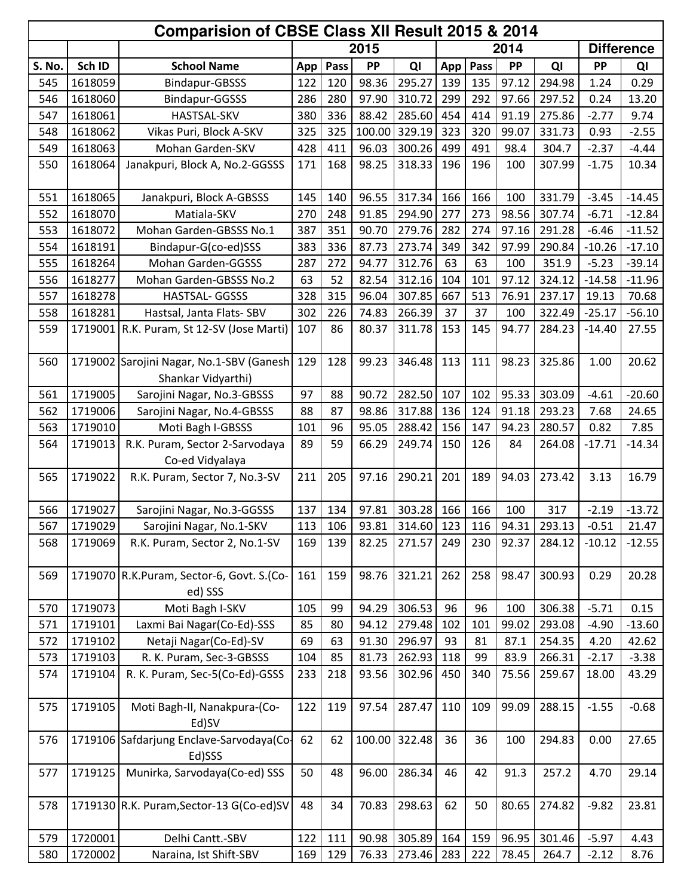| Comparision of CBSE Class XII Result 2015 & 2014<br>2015<br><b>Difference</b><br>2014 |         |                                                                |     |      |        |                |     |      |       |              |          |          |
|---------------------------------------------------------------------------------------|---------|----------------------------------------------------------------|-----|------|--------|----------------|-----|------|-------|--------------|----------|----------|
|                                                                                       |         |                                                                |     |      |        |                |     |      |       |              |          |          |
| S. No.                                                                                | Sch ID  | <b>School Name</b>                                             | App | Pass | PP     | QI             | App | Pass | PP    | QI           | PP       | QI       |
| 545                                                                                   | 1618059 | Bindapur-GBSSS                                                 | 122 | 120  | 98.36  | 295.27         | 139 | 135  | 97.12 | 294.98       | 1.24     | 0.29     |
| 546                                                                                   | 1618060 | Bindapur-GGSSS                                                 | 286 | 280  | 97.90  | 310.72         | 299 | 292  | 97.66 | 297.52       | 0.24     | 13.20    |
| 547                                                                                   | 1618061 | HASTSAL-SKV                                                    | 380 | 336  | 88.42  | 285.60         | 454 | 414  | 91.19 | 275.86       | $-2.77$  | 9.74     |
| 548                                                                                   | 1618062 | Vikas Puri, Block A-SKV                                        | 325 | 325  | 100.00 | 329.19         | 323 | 320  | 99.07 | 331.73       | 0.93     | $-2.55$  |
| 549                                                                                   | 1618063 | Mohan Garden-SKV                                               | 428 | 411  | 96.03  | 300.26         | 499 | 491  | 98.4  | 304.7        | $-2.37$  | $-4.44$  |
| 550                                                                                   | 1618064 | Janakpuri, Block A, No.2-GGSSS                                 | 171 | 168  | 98.25  | 318.33         | 196 | 196  | 100   | 307.99       | $-1.75$  | 10.34    |
| 551                                                                                   | 1618065 | Janakpuri, Block A-GBSSS                                       | 145 | 140  | 96.55  | 317.34         | 166 | 166  | 100   | 331.79       | $-3.45$  | $-14.45$ |
| 552                                                                                   | 1618070 | Matiala-SKV                                                    | 270 | 248  | 91.85  | 294.90         | 277 | 273  | 98.56 | 307.74       | $-6.71$  | $-12.84$ |
| 553                                                                                   | 1618072 | Mohan Garden-GBSSS No.1                                        | 387 | 351  | 90.70  | 279.76         | 282 | 274  | 97.16 | 291.28       | $-6.46$  | $-11.52$ |
| 554                                                                                   | 1618191 | Bindapur-G(co-ed)SSS                                           | 383 | 336  | 87.73  | 273.74         | 349 | 342  | 97.99 | 290.84       | $-10.26$ | $-17.10$ |
| 555                                                                                   | 1618264 | Mohan Garden-GGSSS                                             | 287 | 272  | 94.77  | 312.76         | 63  | 63   | 100   | 351.9        | $-5.23$  | $-39.14$ |
| 556                                                                                   | 1618277 | Mohan Garden-GBSSS No.2                                        | 63  | 52   | 82.54  | 312.16         | 104 | 101  | 97.12 | 324.12       | $-14.58$ | $-11.96$ |
| 557                                                                                   | 1618278 | HASTSAL- GGSSS                                                 | 328 | 315  | 96.04  | 307.85         | 667 | 513  | 76.91 | 237.17       | 19.13    | 70.68    |
| 558                                                                                   | 1618281 | Hastsal, Janta Flats- SBV                                      | 302 | 226  | 74.83  | 266.39         | 37  | 37   | 100   | 322.49       | $-25.17$ | $-56.10$ |
| 559                                                                                   |         | 1719001 R.K. Puram, St 12-SV (Jose Marti)                      | 107 | 86   | 80.37  | 311.78         | 153 | 145  | 94.77 | 284.23       | $-14.40$ | 27.55    |
| 560                                                                                   |         | 1719002 Sarojini Nagar, No.1-SBV (Ganesh<br>Shankar Vidyarthi) | 129 | 128  | 99.23  | 346.48         | 113 | 111  | 98.23 | 325.86       | 1.00     | 20.62    |
| 561                                                                                   | 1719005 | Sarojini Nagar, No.3-GBSSS                                     | 97  | 88   | 90.72  | 282.50         | 107 | 102  | 95.33 | 303.09       | $-4.61$  | $-20.60$ |
| 562                                                                                   | 1719006 | Sarojini Nagar, No.4-GBSSS                                     | 88  | 87   | 98.86  | 317.88         | 136 | 124  | 91.18 | 293.23       | 7.68     | 24.65    |
| 563                                                                                   | 1719010 | Moti Bagh I-GBSSS                                              | 101 | 96   | 95.05  | 288.42         | 156 | 147  | 94.23 | 280.57       | 0.82     | 7.85     |
| 564                                                                                   | 1719013 | R.K. Puram, Sector 2-Sarvodaya<br>Co-ed Vidyalaya              | 89  | 59   | 66.29  | 249.74         | 150 | 126  | 84    | 264.08       | $-17.71$ | $-14.34$ |
| 565                                                                                   | 1719022 | R.K. Puram, Sector 7, No.3-SV                                  | 211 | 205  | 97.16  | 290.21         | 201 | 189  | 94.03 | 273.42       | 3.13     | 16.79    |
| 566                                                                                   | 1719027 | Sarojini Nagar, No.3-GGSSS                                     | 137 | 134  | 97.81  | 303.28         | 166 | 166  | 100   | 317          | $-2.19$  | $-13.72$ |
| 567                                                                                   | 1719029 | Sarojini Nagar, No.1-SKV                                       | 113 | 106  | 93.81  | 314.60 123 116 |     |      |       | 94.31 293.13 | $-0.51$  | 21.47    |
| 568                                                                                   | 1719069 | R.K. Puram, Sector 2, No.1-SV                                  | 169 | 139  | 82.25  | 271.57         | 249 | 230  | 92.37 | 284.12       | $-10.12$ | $-12.55$ |
| 569                                                                                   |         | 1719070 R.K.Puram, Sector-6, Govt. S.(Co-                      | 161 | 159  | 98.76  | 321.21         | 262 | 258  | 98.47 | 300.93       | 0.29     | 20.28    |
|                                                                                       |         | ed) SSS                                                        |     |      |        |                |     |      |       |              |          |          |
| 570                                                                                   | 1719073 | Moti Bagh I-SKV                                                | 105 | 99   | 94.29  | 306.53         | 96  | 96   | 100   | 306.38       | $-5.71$  | 0.15     |
| 571                                                                                   | 1719101 | Laxmi Bai Nagar(Co-Ed)-SSS                                     | 85  | 80   | 94.12  | 279.48         | 102 | 101  | 99.02 | 293.08       | $-4.90$  | $-13.60$ |
| 572                                                                                   | 1719102 | Netaji Nagar(Co-Ed)-SV                                         | 69  | 63   | 91.30  | 296.97         | 93  | 81   | 87.1  | 254.35       | 4.20     | 42.62    |
| 573                                                                                   | 1719103 | R. K. Puram, Sec-3-GBSSS                                       | 104 | 85   | 81.73  | 262.93         | 118 | 99   | 83.9  | 266.31       | $-2.17$  | $-3.38$  |
| 574                                                                                   | 1719104 | R. K. Puram, Sec-5(Co-Ed)-GSSS                                 | 233 | 218  | 93.56  | 302.96         | 450 | 340  | 75.56 | 259.67       | 18.00    | 43.29    |
| 575                                                                                   | 1719105 | Moti Bagh-II, Nanakpura-(Co-<br>Ed)SV                          | 122 | 119  | 97.54  | 287.47         | 110 | 109  | 99.09 | 288.15       | $-1.55$  | $-0.68$  |
| 576                                                                                   |         | 1719106 Safdarjung Enclave-Sarvodaya(Co-<br>Ed)SSS             | 62  | 62   |        | 100.00 322.48  | 36  | 36   | 100   | 294.83       | 0.00     | 27.65    |
| 577                                                                                   | 1719125 | Munirka, Sarvodaya(Co-ed) SSS                                  | 50  | 48   | 96.00  | 286.34         | 46  | 42   | 91.3  | 257.2        | 4.70     | 29.14    |
| 578                                                                                   |         | 1719130 R.K. Puram, Sector-13 G(Co-ed)SV                       | 48  | 34   | 70.83  | 298.63         | 62  | 50   | 80.65 | 274.82       | $-9.82$  | 23.81    |
| 579                                                                                   | 1720001 | Delhi Cantt.-SBV                                               | 122 | 111  | 90.98  | 305.89         | 164 | 159  | 96.95 | 301.46       | $-5.97$  | 4.43     |
| 580                                                                                   | 1720002 | Naraina, Ist Shift-SBV                                         | 169 | 129  | 76.33  | 273.46         | 283 | 222  | 78.45 | 264.7        | $-2.12$  | 8.76     |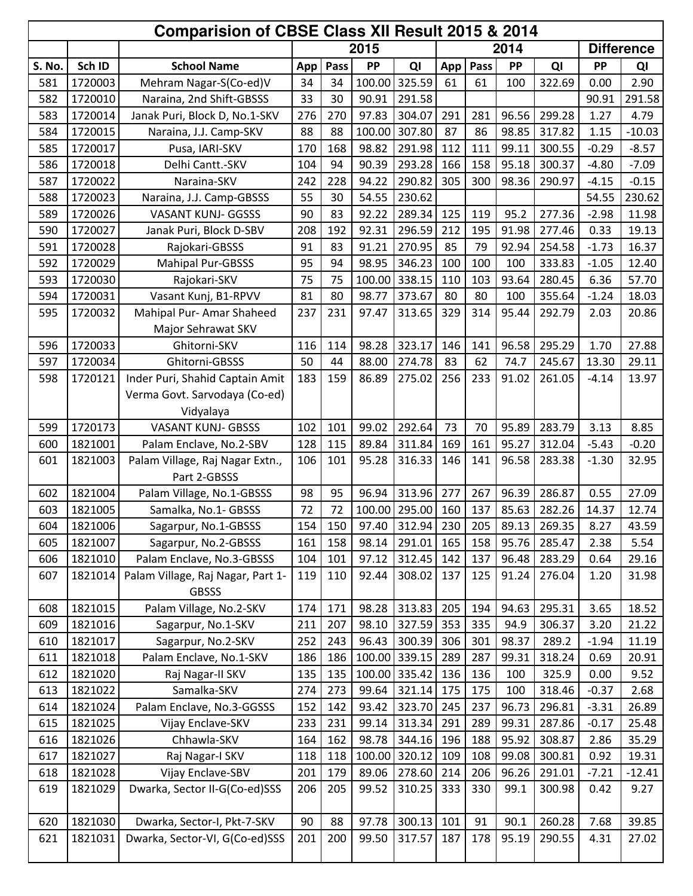| Comparision of CBSE Class XII Result 2015 & 2014<br><b>Difference</b><br>2015<br>2014 |                    |                                                |            |            |                |                                |            |            |                |                  |                    |                |  |
|---------------------------------------------------------------------------------------|--------------------|------------------------------------------------|------------|------------|----------------|--------------------------------|------------|------------|----------------|------------------|--------------------|----------------|--|
|                                                                                       |                    |                                                |            |            |                |                                |            |            |                |                  |                    |                |  |
| S. No.                                                                                | Sch ID             | <b>School Name</b>                             | App        | Pass       | PP             | QI                             | App        | Pass       | <b>PP</b>      | QI               | PP                 | QI             |  |
| 581                                                                                   | 1720003            | Mehram Nagar-S(Co-ed)V                         | 34         | 34         | 100.00         | 325.59                         | 61         | 61         | 100            | 322.69           | 0.00               | 2.90           |  |
| 582                                                                                   | 1720010            | Naraina, 2nd Shift-GBSSS                       | 33         | 30         | 90.91          | 291.58                         |            |            |                |                  | 90.91              | 291.58         |  |
| 583                                                                                   | 1720014            | Janak Puri, Block D, No.1-SKV                  | 276        | 270        | 97.83          | 304.07                         | 291        | 281        | 96.56          | 299.28           | 1.27               | 4.79           |  |
| 584                                                                                   | 1720015            | Naraina, J.J. Camp-SKV                         | 88         | 88         | 100.00         | 307.80                         | 87         | 86         | 98.85          | 317.82           | 1.15               | $-10.03$       |  |
| 585                                                                                   | 1720017            | Pusa, IARI-SKV                                 | 170        | 168        | 98.82          | 291.98                         | 112        | 111        | 99.11          | 300.55           | $-0.29$            | $-8.57$        |  |
| 586                                                                                   | 1720018            | Delhi Cantt.-SKV                               | 104        | 94         | 90.39          | 293.28                         | 166        | 158        | 95.18          | 300.37           | $-4.80$            | $-7.09$        |  |
| 587                                                                                   | 1720022            | Naraina-SKV                                    | 242        | 228        | 94.22          | 290.82                         | 305        | 300        | 98.36          | 290.97           | $-4.15$            | $-0.15$        |  |
| 588                                                                                   | 1720023            | Naraina, J.J. Camp-GBSSS                       | 55         | 30         | 54.55          | 230.62                         |            |            |                |                  | 54.55              | 230.62         |  |
| 589                                                                                   | 1720026            | <b>VASANT KUNJ- GGSSS</b>                      | 90         | 83         | 92.22          | 289.34                         | 125        | 119        | 95.2           | 277.36           | $-2.98$            | 11.98          |  |
| 590                                                                                   | 1720027            | Janak Puri, Block D-SBV                        | 208        | 192        | 92.31          | 296.59                         | 212        | 195        | 91.98          | 277.46           | 0.33               | 19.13          |  |
| 591                                                                                   | 1720028            | Rajokari-GBSSS                                 | 91         | 83         | 91.21          | 270.95                         | 85         | 79         | 92.94          | 254.58           | $-1.73$            | 16.37          |  |
| 592                                                                                   | 1720029            | <b>Mahipal Pur-GBSSS</b>                       | 95         | 94         | 98.95          | 346.23                         | 100        | 100        | 100            | 333.83           | $-1.05$            | 12.40          |  |
| 593                                                                                   | 1720030            | Rajokari-SKV                                   | 75         | 75         | 100.00         | 338.15                         | 110        | 103        | 93.64          | 280.45           | 6.36               | 57.70          |  |
| 594                                                                                   | 1720031            | Vasant Kunj, B1-RPVV                           | 81         | 80         | 98.77          | 373.67                         | 80         | 80         | 100            | 355.64           | $-1.24$            | 18.03          |  |
| 595                                                                                   | 1720032            | Mahipal Pur- Amar Shaheed                      | 237        | 231        | 97.47          | 313.65                         | 329        | 314        | 95.44          | 292.79           | 2.03               | 20.86          |  |
|                                                                                       |                    | Major Sehrawat SKV                             |            |            |                |                                |            |            |                |                  |                    |                |  |
| 596                                                                                   | 1720033            | Ghitorni-SKV                                   | 116        | 114        | 98.28          | 323.17                         | 146        | 141        | 96.58          | 295.29           | 1.70               | 27.88          |  |
| 597                                                                                   | 1720034            | Ghitorni-GBSSS                                 | 50         | 44         | 88.00          | 274.78                         | 83         | 62         | 74.7           | 245.67           | 13.30              | 29.11          |  |
| 598                                                                                   | 1720121            | Inder Puri, Shahid Captain Amit                | 183        | 159        | 86.89          | 275.02                         | 256        | 233        | 91.02          | 261.05           | $-4.14$            | 13.97          |  |
|                                                                                       |                    | Verma Govt. Sarvodaya (Co-ed)                  |            |            |                |                                |            |            |                |                  |                    |                |  |
|                                                                                       |                    | Vidyalaya                                      |            |            |                |                                |            |            |                |                  |                    |                |  |
| 599                                                                                   | 1720173            | <b>VASANT KUNJ- GBSSS</b>                      | 102        | 101        | 99.02          | 292.64                         | 73         | 70         | 95.89          | 283.79           | 3.13               | 8.85           |  |
| 600                                                                                   | 1821001            | Palam Enclave, No.2-SBV                        | 128        | 115        | 89.84          | 311.84                         | 169        | 161        | 95.27          | 312.04           | $-5.43$            | $-0.20$        |  |
| 601                                                                                   | 1821003            | Palam Village, Raj Nagar Extn.,                | 106        | 101        | 95.28          | 316.33                         | 146        | 141        | 96.58          | 283.38           | $-1.30$            | 32.95          |  |
|                                                                                       |                    | Part 2-GBSSS                                   |            |            |                |                                |            |            |                |                  |                    |                |  |
| 602                                                                                   | 1821004            | Palam Village, No.1-GBSSS                      | 98         | 95         | 96.94          | 313.96                         | 277        | 267        | 96.39          | 286.87           | 0.55               | 27.09          |  |
| 603                                                                                   | 1821005            | Samalka, No.1- GBSSS                           | 72         | 72         |                | 100.00 295.00                  | 160        | 137        | 85.63          | 282.26           | 14.37              | 12.74          |  |
| 604                                                                                   | 1821006            | Sagarpur, No.1-GBSSS                           | 154        | 150        |                | 97.40 312.94 230               |            | 205        |                | 89.13 269.35     | 8.27               | 43.59          |  |
| 605                                                                                   | 1821007            | Sagarpur, No.2-GBSSS                           | 161        | 158        | 98.14          | 291.01                         | 165        | 158        | 95.76          | 285.47           | 2.38               | 5.54           |  |
| 606                                                                                   | 1821010            | Palam Enclave, No.3-GBSSS                      | 104        | 101        | 97.12          | 312.45                         | 142        | 137        | 96.48          | 283.29           | 0.64               | 29.16          |  |
| 607                                                                                   | 1821014            | Palam Village, Raj Nagar, Part 1-              | 119        | 110        | 92.44          | 308.02                         | 137        | 125        | 91.24          | 276.04           | 1.20               | 31.98          |  |
|                                                                                       |                    | <b>GBSSS</b>                                   |            |            |                |                                |            |            |                |                  |                    |                |  |
| 608                                                                                   | 1821015            | Palam Village, No.2-SKV                        | 174        | 171        | 98.28          | 313.83                         | 205        | 194        | 94.63          | 295.31           | 3.65               | 18.52          |  |
| 609                                                                                   | 1821016            | Sagarpur, No.1-SKV                             | 211        | 207        | 98.10          | 327.59                         | 353        | 335        | 94.9           | 306.37           | 3.20               | 21.22          |  |
| 610                                                                                   | 1821017            | Sagarpur, No.2-SKV                             | 252        | 243        | 96.43          | 300.39                         | 306        | 301        | 98.37          | 289.2            | $-1.94$            | 11.19          |  |
| 611                                                                                   | 1821018            | Palam Enclave, No.1-SKV                        | 186        | 186        |                | 100.00 339.15<br>100.00 335.42 | 289        | 287<br>136 | 99.31          | 318.24           | 0.69               | 20.91          |  |
| 612                                                                                   | 1821020            | Raj Nagar-II SKV<br>Samalka-SKV                | 135        | 135        |                |                                | 136        | 175        | 100            | 325.9<br>318.46  | 0.00               | 9.52           |  |
| 613                                                                                   | 1821022            |                                                | 274        | 273        | 99.64          | 321.14                         | 175        |            | 100            |                  | $-0.37$            | 2.68           |  |
| 614<br>615                                                                            | 1821024<br>1821025 | Palam Enclave, No.3-GGSSS<br>Vijay Enclave-SKV | 152<br>233 | 142<br>231 | 93.42<br>99.14 | 323.70<br>313.34               | 245<br>291 | 237<br>289 | 96.73<br>99.31 | 296.81<br>287.86 | $-3.31$<br>$-0.17$ | 26.89<br>25.48 |  |
|                                                                                       |                    | Chhawla-SKV                                    |            | 162        |                |                                |            |            |                |                  |                    |                |  |
| 616<br>617                                                                            | 1821026<br>1821027 | Raj Nagar-I SKV                                | 164<br>118 | 118        | 98.78          | 344.16<br>100.00 320.12        | 196<br>109 | 188<br>108 | 95.92<br>99.08 | 308.87<br>300.81 | 2.86<br>0.92       | 35.29<br>19.31 |  |
| 618                                                                                   | 1821028            | Vijay Enclave-SBV                              | 201        | 179        | 89.06          | 278.60                         | 214        | 206        | 96.26          | 291.01           | $-7.21$            | $-12.41$       |  |
| 619                                                                                   | 1821029            | Dwarka, Sector II-G(Co-ed)SSS                  | 206        | 205        | 99.52          | 310.25                         | 333        | 330        | 99.1           | 300.98           | 0.42               | 9.27           |  |
|                                                                                       |                    |                                                |            |            |                |                                |            |            |                |                  |                    |                |  |
| 620                                                                                   | 1821030            | Dwarka, Sector-I, Pkt-7-SKV                    | 90         | 88         | 97.78          | 300.13                         | 101        | 91         | 90.1           | 260.28           | 7.68               | 39.85          |  |
| 621                                                                                   | 1821031            | Dwarka, Sector-VI, G(Co-ed)SSS                 | 201        | 200        | 99.50          | 317.57                         | 187        | 178        | 95.19          | 290.55           | 4.31               | 27.02          |  |
|                                                                                       |                    |                                                |            |            |                |                                |            |            |                |                  |                    |                |  |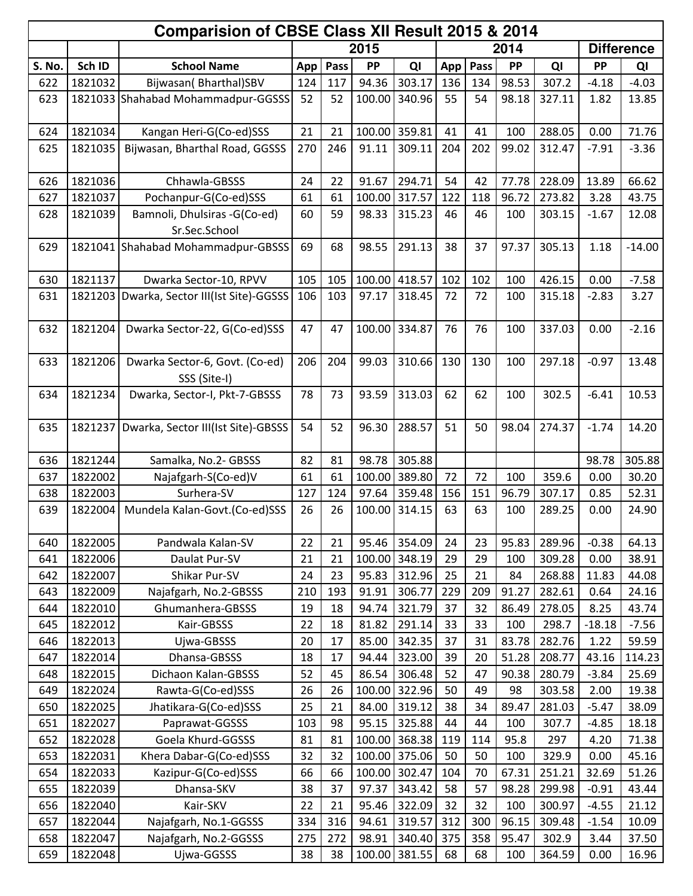|        | Comparision of CBSE Class XII Result 2015 & 2014<br><b>Difference</b><br>2015<br>2014 |                                                |     |      |        |               |     |      |       |        |          |          |  |  |
|--------|---------------------------------------------------------------------------------------|------------------------------------------------|-----|------|--------|---------------|-----|------|-------|--------|----------|----------|--|--|
|        |                                                                                       |                                                |     |      |        |               |     |      |       |        |          |          |  |  |
| S. No. | Sch ID                                                                                | <b>School Name</b>                             | App | Pass | PP     | QI            | App | Pass | PP    | QI     | PP       | QI       |  |  |
| 622    | 1821032                                                                               | Bijwasan(Bharthal)SBV                          | 124 | 117  | 94.36  | 303.17        | 136 | 134  | 98.53 | 307.2  | $-4.18$  | $-4.03$  |  |  |
| 623    |                                                                                       | 1821033 Shahabad Mohammadpur-GGSSS             | 52  | 52   | 100.00 | 340.96        | 55  | 54   | 98.18 | 327.11 | 1.82     | 13.85    |  |  |
| 624    | 1821034                                                                               | Kangan Heri-G(Co-ed)SSS                        | 21  | 21   |        | 100.00 359.81 | 41  | 41   | 100   | 288.05 | 0.00     | 71.76    |  |  |
| 625    | 1821035                                                                               | Bijwasan, Bharthal Road, GGSSS                 | 270 | 246  | 91.11  | 309.11        | 204 | 202  | 99.02 | 312.47 | $-7.91$  | $-3.36$  |  |  |
| 626    | 1821036                                                                               | Chhawla-GBSSS                                  | 24  | 22   | 91.67  | 294.71        | 54  | 42   | 77.78 | 228.09 | 13.89    | 66.62    |  |  |
| 627    | 1821037                                                                               | Pochanpur-G(Co-ed)SSS                          | 61  | 61   | 100.00 | 317.57        | 122 | 118  | 96.72 | 273.82 | 3.28     | 43.75    |  |  |
| 628    | 1821039                                                                               | Bamnoli, Dhulsiras -G(Co-ed)<br>Sr.Sec.School  | 60  | 59   | 98.33  | 315.23        | 46  | 46   | 100   | 303.15 | $-1.67$  | 12.08    |  |  |
| 629    |                                                                                       | 1821041 Shahabad Mohammadpur-GBSSS             | 69  | 68   | 98.55  | 291.13        | 38  | 37   | 97.37 | 305.13 | 1.18     | $-14.00$ |  |  |
| 630    | 1821137                                                                               | Dwarka Sector-10, RPVV                         | 105 | 105  | 100.00 | 418.57        | 102 | 102  | 100   | 426.15 | 0.00     | $-7.58$  |  |  |
| 631    | 1821203                                                                               | Dwarka, Sector III(Ist Site)-GGSSS             | 106 | 103  | 97.17  | 318.45        | 72  | 72   | 100   | 315.18 | $-2.83$  | 3.27     |  |  |
| 632    | 1821204                                                                               | Dwarka Sector-22, G(Co-ed)SSS                  | 47  | 47   |        | 100.00 334.87 | 76  | 76   | 100   | 337.03 | 0.00     | $-2.16$  |  |  |
| 633    | 1821206                                                                               | Dwarka Sector-6, Govt. (Co-ed)<br>SSS (Site-I) | 206 | 204  | 99.03  | 310.66        | 130 | 130  | 100   | 297.18 | $-0.97$  | 13.48    |  |  |
| 634    | 1821234                                                                               | Dwarka, Sector-I, Pkt-7-GBSSS                  | 78  | 73   | 93.59  | 313.03        | 62  | 62   | 100   | 302.5  | $-6.41$  | 10.53    |  |  |
| 635    | 1821237                                                                               | Dwarka, Sector III(Ist Site)-GBSSS             | 54  | 52   | 96.30  | 288.57        | 51  | 50   | 98.04 | 274.37 | $-1.74$  | 14.20    |  |  |
| 636    | 1821244                                                                               | Samalka, No.2- GBSSS                           | 82  | 81   | 98.78  | 305.88        |     |      |       |        | 98.78    | 305.88   |  |  |
| 637    | 1822002                                                                               | Najafgarh-S(Co-ed)V                            | 61  | 61   | 100.00 | 389.80        | 72  | 72   | 100   | 359.6  | 0.00     | 30.20    |  |  |
| 638    | 1822003                                                                               | Surhera-SV                                     | 127 | 124  | 97.64  | 359.48        | 156 | 151  | 96.79 | 307.17 | 0.85     | 52.31    |  |  |
| 639    | 1822004                                                                               | Mundela Kalan-Govt.(Co-ed)SSS                  | 26  | 26   | 100.00 | 314.15        | 63  | 63   | 100   | 289.25 | 0.00     | 24.90    |  |  |
| 640    | 1822005                                                                               | Pandwala Kalan-SV                              | 22  | 21   | 95.46  | 354.09        | 24  | 23   | 95.83 | 289.96 | $-0.38$  | 64.13    |  |  |
| 641    | 1822006                                                                               | Daulat Pur-SV                                  | 21  | 21   | 100.00 | 348.19        | 29  | 29   | 100   | 309.28 | 0.00     | 38.91    |  |  |
| 642    | 1822007                                                                               | Shikar Pur-SV                                  | 24  | 23   | 95.83  | 312.96        | 25  | 21   | 84    | 268.88 | 11.83    | 44.08    |  |  |
| 643    | 1822009                                                                               | Najafgarh, No.2-GBSSS                          | 210 | 193  | 91.91  | 306.77        | 229 | 209  | 91.27 | 282.61 | 0.64     | 24.16    |  |  |
| 644    | 1822010                                                                               | Ghumanhera-GBSSS                               | 19  | 18   | 94.74  | 321.79        | 37  | 32   | 86.49 | 278.05 | 8.25     | 43.74    |  |  |
| 645    | 1822012                                                                               | Kair-GBSSS                                     | 22  | 18   | 81.82  | 291.14        | 33  | 33   | 100   | 298.7  | $-18.18$ | $-7.56$  |  |  |
| 646    | 1822013                                                                               | Ujwa-GBSSS                                     | 20  | 17   | 85.00  | 342.35        | 37  | 31   | 83.78 | 282.76 | 1.22     | 59.59    |  |  |
| 647    | 1822014                                                                               | Dhansa-GBSSS                                   | 18  | 17   | 94.44  | 323.00        | 39  | 20   | 51.28 | 208.77 | 43.16    | 114.23   |  |  |
| 648    | 1822015                                                                               | Dichaon Kalan-GBSSS                            | 52  | 45   | 86.54  | 306.48        | 52  | 47   | 90.38 | 280.79 | $-3.84$  | 25.69    |  |  |
| 649    | 1822024                                                                               | Rawta-G(Co-ed)SSS                              | 26  | 26   | 100.00 | 322.96        | 50  | 49   | 98    | 303.58 | 2.00     | 19.38    |  |  |
| 650    | 1822025                                                                               | Jhatikara-G(Co-ed)SSS                          | 25  | 21   | 84.00  | 319.12        | 38  | 34   | 89.47 | 281.03 | $-5.47$  | 38.09    |  |  |
| 651    | 1822027                                                                               | Paprawat-GGSSS                                 | 103 | 98   | 95.15  | 325.88        | 44  | 44   | 100   | 307.7  | $-4.85$  | 18.18    |  |  |
| 652    | 1822028                                                                               | Goela Khurd-GGSSS                              | 81  | 81   |        | 100.00 368.38 | 119 | 114  | 95.8  | 297    | 4.20     | 71.38    |  |  |
| 653    | 1822031                                                                               | Khera Dabar-G(Co-ed)SSS                        | 32  | 32   |        | 100.00 375.06 | 50  | 50   | 100   | 329.9  | 0.00     | 45.16    |  |  |
| 654    | 1822033                                                                               | Kazipur-G(Co-ed)SSS                            | 66  | 66   | 100.00 | 302.47        | 104 | 70   | 67.31 | 251.21 | 32.69    | 51.26    |  |  |
| 655    | 1822039                                                                               | Dhansa-SKV                                     | 38  | 37   | 97.37  | 343.42        | 58  | 57   | 98.28 | 299.98 | $-0.91$  | 43.44    |  |  |
| 656    | 1822040                                                                               | Kair-SKV                                       | 22  | 21   | 95.46  | 322.09        | 32  | 32   | 100   | 300.97 | $-4.55$  | 21.12    |  |  |
| 657    | 1822044                                                                               | Najafgarh, No.1-GGSSS                          | 334 | 316  | 94.61  | 319.57        | 312 | 300  | 96.15 | 309.48 | $-1.54$  | 10.09    |  |  |
| 658    | 1822047                                                                               | Najafgarh, No.2-GGSSS                          | 275 | 272  | 98.91  | 340.40        | 375 | 358  | 95.47 | 302.9  | 3.44     | 37.50    |  |  |
| 659    | 1822048                                                                               | Ujwa-GGSSS                                     | 38  | 38   |        | 100.00 381.55 | 68  | 68   | 100   | 364.59 | 0.00     | 16.96    |  |  |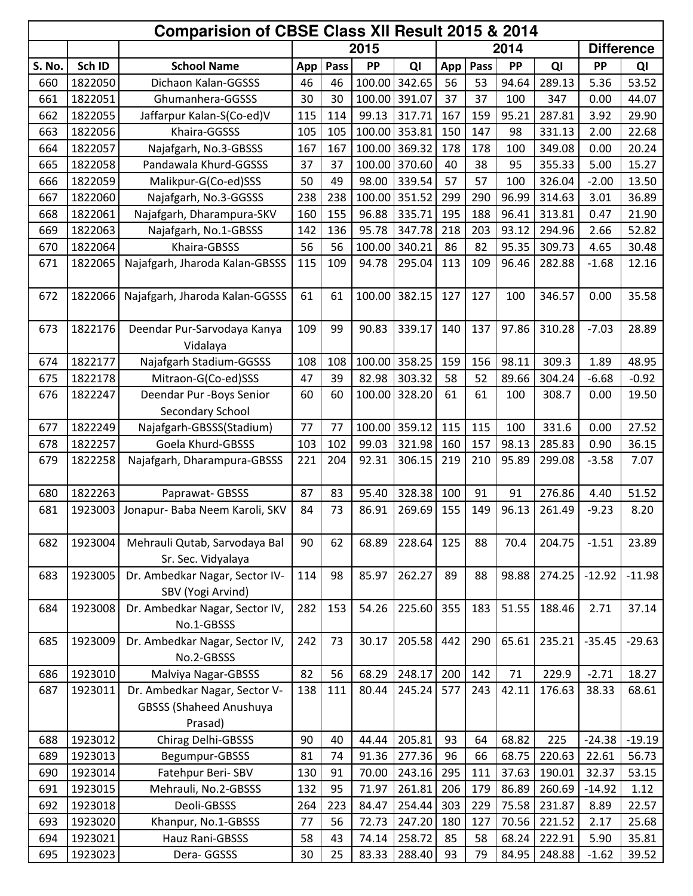|            | Comparision of CBSE Class XII Result 2015 & 2014<br>2015<br><b>Difference</b><br>2014 |                                                |           |           |                 |        |                                        |     |       |        |          |          |  |  |
|------------|---------------------------------------------------------------------------------------|------------------------------------------------|-----------|-----------|-----------------|--------|----------------------------------------|-----|-------|--------|----------|----------|--|--|
|            |                                                                                       |                                                |           |           |                 |        | PP<br>Pass<br>App<br>56<br>53<br>94.64 |     |       |        |          |          |  |  |
| S. No.     | Sch ID                                                                                | <b>School Name</b>                             | App       | Pass      | PP              | QI     |                                        |     |       | QI     | PP       | QI       |  |  |
| 660        | 1822050                                                                               | Dichaon Kalan-GGSSS                            | 46        | 46        | 100.00          | 342.65 |                                        |     |       | 289.13 | 5.36     | 53.52    |  |  |
| 661        | 1822051                                                                               | Ghumanhera-GGSSS                               | 30        | 30        | 100.00          | 391.07 | 37                                     | 37  | 100   | 347    | 0.00     | 44.07    |  |  |
| 662        | 1822055                                                                               | Jaffarpur Kalan-S(Co-ed)V                      | 115       | 114       | 99.13           | 317.71 | 167                                    | 159 | 95.21 | 287.81 | 3.92     | 29.90    |  |  |
| 663        | 1822056                                                                               | Khaira-GGSSS                                   | 105       | 105       | 100.00          | 353.81 | 150                                    | 147 | 98    | 331.13 | 2.00     | 22.68    |  |  |
| 664        | 1822057                                                                               | Najafgarh, No.3-GBSSS                          | 167       | 167       | 100.00          | 369.32 | 178                                    | 178 | 100   | 349.08 | 0.00     | 20.24    |  |  |
| 665        | 1822058                                                                               | Pandawala Khurd-GGSSS                          | 37        | 37        | 100.00          | 370.60 | 40                                     | 38  | 95    | 355.33 | 5.00     | 15.27    |  |  |
| 666        | 1822059                                                                               | Malikpur-G(Co-ed)SSS                           | 50        | 49        | 98.00           | 339.54 | 57                                     | 57  | 100   | 326.04 | $-2.00$  | 13.50    |  |  |
| 667        | 1822060                                                                               | Najafgarh, No.3-GGSSS                          | 238       | 238       | 100.00          | 351.52 | 299                                    | 290 | 96.99 | 314.63 | 3.01     | 36.89    |  |  |
| 668        | 1822061                                                                               | Najafgarh, Dharampura-SKV                      | 160       | 155       | 96.88           | 335.71 | 195                                    | 188 | 96.41 | 313.81 | 0.47     | 21.90    |  |  |
| 669        | 1822063                                                                               | Najafgarh, No.1-GBSSS                          | 142       | 136       | 95.78           | 347.78 | 218                                    | 203 | 93.12 | 294.96 | 2.66     | 52.82    |  |  |
| 670        | 1822064                                                                               | Khaira-GBSSS                                   | 56        | 56        | 100.00          | 340.21 | 86                                     | 82  | 95.35 | 309.73 | 4.65     | 30.48    |  |  |
| 671        | 1822065                                                                               | Najafgarh, Jharoda Kalan-GBSSS                 | 115       | 109       | 94.78           | 295.04 | 113                                    | 109 | 96.46 | 282.88 | $-1.68$  | 12.16    |  |  |
| 672        | 1822066                                                                               | Najafgarh, Jharoda Kalan-GGSSS                 | 61        | 61        | 100.00          | 382.15 | 127                                    | 127 | 100   | 346.57 | 0.00     | 35.58    |  |  |
|            |                                                                                       |                                                |           |           |                 |        |                                        |     |       |        |          |          |  |  |
| 673        | 1822176                                                                               | Deendar Pur-Sarvodaya Kanya                    | 109       | 99        | 90.83           | 339.17 | 140                                    | 137 | 97.86 | 310.28 | $-7.03$  | 28.89    |  |  |
|            | 1822177                                                                               | Vidalaya                                       |           |           |                 | 358.25 | 159                                    | 156 | 98.11 | 309.3  | 1.89     | 48.95    |  |  |
| 674<br>675 | 1822178                                                                               | Najafgarh Stadium-GGSSS<br>Mitraon-G(Co-ed)SSS | 108<br>47 | 108<br>39 | 100.00<br>82.98 | 303.32 | 58                                     | 52  | 89.66 | 304.24 | $-6.68$  | $-0.92$  |  |  |
| 676        | 1822247                                                                               | Deendar Pur -Boys Senior                       | 60        | 60        | 100.00          | 328.20 | 61                                     | 61  | 100   | 308.7  | 0.00     | 19.50    |  |  |
|            |                                                                                       | Secondary School                               |           |           |                 |        |                                        |     |       |        |          |          |  |  |
| 677        | 1822249                                                                               | Najafgarh-GBSSS(Stadium)                       | 77        | 77        | 100.00          | 359.12 | 115                                    | 115 | 100   | 331.6  | 0.00     | 27.52    |  |  |
| 678        | 1822257                                                                               | Goela Khurd-GBSSS                              | 103       | 102       | 99.03           | 321.98 | 160                                    | 157 | 98.13 | 285.83 | 0.90     | 36.15    |  |  |
| 679        | 1822258                                                                               | Najafgarh, Dharampura-GBSSS                    | 221       | 204       | 92.31           | 306.15 | 219                                    | 210 | 95.89 | 299.08 | $-3.58$  | 7.07     |  |  |
|            |                                                                                       |                                                |           |           |                 |        |                                        |     |       |        |          |          |  |  |
| 680        | 1822263                                                                               | Paprawat- GBSSS                                | 87        | 83        | 95.40           | 328.38 | 100                                    | 91  | 91    | 276.86 | 4.40     | 51.52    |  |  |
| 681        | 1923003                                                                               | Jonapur- Baba Neem Karoli, SKV                 | 84        | 73        | 86.91           | 269.69 | 155                                    | 149 | 96.13 | 261.49 | $-9.23$  | 8.20     |  |  |
| 682        | 1923004                                                                               | Mehrauli Qutab, Sarvodaya Bal                  | 90        | 62        | 68.89           | 228.64 | 125                                    | 88  | 70.4  | 204.75 | $-1.51$  | 23.89    |  |  |
|            |                                                                                       | Sr. Sec. Vidyalaya                             |           |           |                 |        |                                        |     |       |        |          |          |  |  |
| 683        | 1923005                                                                               | Dr. Ambedkar Nagar, Sector IV-                 | 114       | 98        | 85.97           | 262.27 | 89                                     | 88  | 98.88 | 274.25 | $-12.92$ | $-11.98$ |  |  |
|            |                                                                                       | SBV (Yogi Arvind)                              |           |           |                 |        |                                        |     |       |        |          |          |  |  |
| 684        | 1923008                                                                               | Dr. Ambedkar Nagar, Sector IV,<br>No.1-GBSSS   | 282       | 153       | 54.26           | 225.60 | 355                                    | 183 | 51.55 | 188.46 | 2.71     | 37.14    |  |  |
| 685        | 1923009                                                                               | Dr. Ambedkar Nagar, Sector IV,<br>No.2-GBSSS   | 242       | 73        | 30.17           | 205.58 | 442                                    | 290 | 65.61 | 235.21 | $-35.45$ | $-29.63$ |  |  |
| 686        | 1923010                                                                               | Malviya Nagar-GBSSS                            | 82        | 56        | 68.29           | 248.17 | 200                                    | 142 | 71    | 229.9  | $-2.71$  | 18.27    |  |  |
| 687        | 1923011                                                                               | Dr. Ambedkar Nagar, Sector V-                  | 138       | 111       | 80.44           | 245.24 | 577                                    | 243 | 42.11 | 176.63 | 38.33    | 68.61    |  |  |
|            |                                                                                       | <b>GBSSS (Shaheed Anushuya</b>                 |           |           |                 |        |                                        |     |       |        |          |          |  |  |
|            |                                                                                       | Prasad)                                        |           |           |                 |        |                                        |     |       |        |          |          |  |  |
| 688        | 1923012                                                                               | Chirag Delhi-GBSSS                             | 90        | 40        | 44.44           | 205.81 | 93                                     | 64  | 68.82 | 225    | $-24.38$ | $-19.19$ |  |  |
| 689        | 1923013                                                                               | Begumpur-GBSSS                                 | 81        | 74        | 91.36           | 277.36 | 96                                     | 66  | 68.75 | 220.63 | 22.61    | 56.73    |  |  |
| 690        | 1923014                                                                               | Fatehpur Beri-SBV                              | 130       | 91        | 70.00           | 243.16 | 295                                    | 111 | 37.63 | 190.01 | 32.37    | 53.15    |  |  |
| 691        | 1923015                                                                               | Mehrauli, No.2-GBSSS                           | 132       | 95        | 71.97           | 261.81 | 206                                    | 179 | 86.89 | 260.69 | $-14.92$ | 1.12     |  |  |
| 692        | 1923018                                                                               | Deoli-GBSSS                                    | 264       | 223       | 84.47           | 254.44 | 303                                    | 229 | 75.58 | 231.87 | 8.89     | 22.57    |  |  |
| 693        | 1923020                                                                               | Khanpur, No.1-GBSSS                            | 77        | 56        | 72.73           | 247.20 | 180                                    | 127 | 70.56 | 221.52 | 2.17     | 25.68    |  |  |
| 694        | 1923021                                                                               | Hauz Rani-GBSSS                                | 58        | 43        | 74.14           | 258.72 | 85                                     | 58  | 68.24 | 222.91 | 5.90     | 35.81    |  |  |
| 695        | 1923023                                                                               | Dera-GGSSS                                     | 30        | 25        | 83.33           | 288.40 | 93                                     | 79  | 84.95 | 248.88 | $-1.62$  | 39.52    |  |  |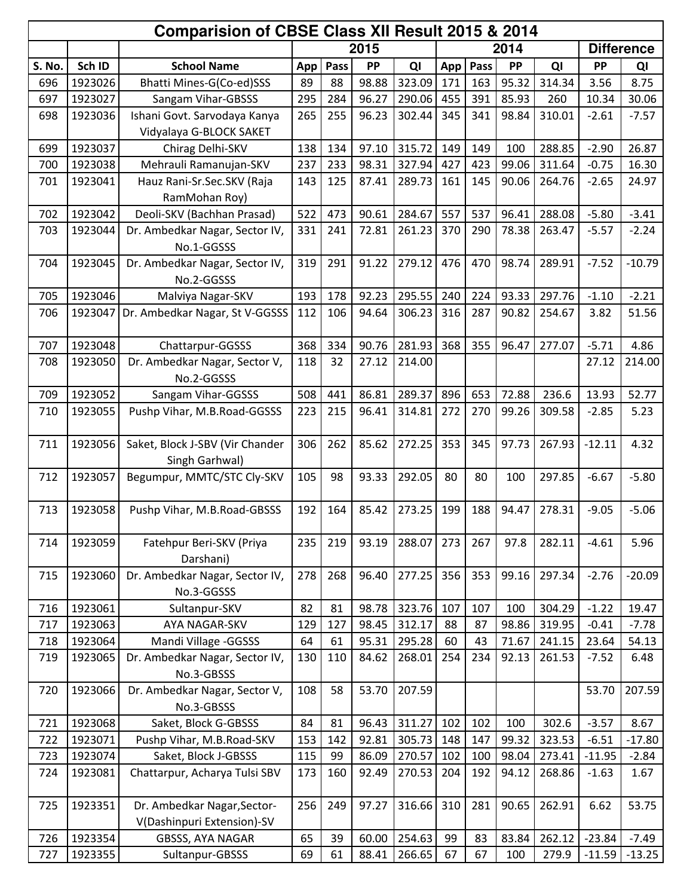| Comparision of CBSE Class XII Result 2015 & 2014<br><b>Difference</b><br>2015<br>2014 |         |                                 |     |      |       |        |     |      |       |        |          |          |
|---------------------------------------------------------------------------------------|---------|---------------------------------|-----|------|-------|--------|-----|------|-------|--------|----------|----------|
|                                                                                       |         |                                 |     |      |       |        |     |      |       |        |          |          |
| S. No.                                                                                | Sch ID  | <b>School Name</b>              | App | Pass | PP    | QI     | App | Pass | PP    | QI     | PP       | QI       |
| 696                                                                                   | 1923026 | Bhatti Mines-G(Co-ed)SSS        | 89  | 88   | 98.88 | 323.09 | 171 | 163  | 95.32 | 314.34 | 3.56     | 8.75     |
| 697                                                                                   | 1923027 | Sangam Vihar-GBSSS              | 295 | 284  | 96.27 | 290.06 | 455 | 391  | 85.93 | 260    | 10.34    | 30.06    |
| 698                                                                                   | 1923036 | Ishani Govt. Sarvodaya Kanya    | 265 | 255  | 96.23 | 302.44 | 345 | 341  | 98.84 | 310.01 | $-2.61$  | $-7.57$  |
|                                                                                       |         | Vidyalaya G-BLOCK SAKET         |     |      |       |        |     |      |       |        |          |          |
| 699                                                                                   | 1923037 | Chirag Delhi-SKV                | 138 | 134  | 97.10 | 315.72 | 149 | 149  | 100   | 288.85 | $-2.90$  | 26.87    |
| 700                                                                                   | 1923038 | Mehrauli Ramanujan-SKV          | 237 | 233  | 98.31 | 327.94 | 427 | 423  | 99.06 | 311.64 | $-0.75$  | 16.30    |
| 701                                                                                   | 1923041 | Hauz Rani-Sr.Sec.SKV (Raja      | 143 | 125  | 87.41 | 289.73 | 161 | 145  | 90.06 | 264.76 | $-2.65$  | 24.97    |
|                                                                                       |         | RamMohan Roy)                   |     |      |       |        |     |      |       |        |          |          |
| 702                                                                                   | 1923042 | Deoli-SKV (Bachhan Prasad)      | 522 | 473  | 90.61 | 284.67 | 557 | 537  | 96.41 | 288.08 | $-5.80$  | $-3.41$  |
| 703                                                                                   | 1923044 | Dr. Ambedkar Nagar, Sector IV,  | 331 | 241  | 72.81 | 261.23 | 370 | 290  | 78.38 | 263.47 | $-5.57$  | $-2.24$  |
|                                                                                       |         | No.1-GGSSS                      |     |      |       |        |     |      |       |        |          |          |
| 704                                                                                   | 1923045 | Dr. Ambedkar Nagar, Sector IV,  | 319 | 291  | 91.22 | 279.12 | 476 | 470  | 98.74 | 289.91 | $-7.52$  | $-10.79$ |
|                                                                                       |         | No.2-GGSSS                      |     |      |       |        |     |      |       |        |          |          |
| 705                                                                                   | 1923046 | Malviya Nagar-SKV               | 193 | 178  | 92.23 | 295.55 | 240 | 224  | 93.33 | 297.76 | $-1.10$  | $-2.21$  |
| 706                                                                                   | 1923047 | Dr. Ambedkar Nagar, St V-GGSSS  | 112 | 106  | 94.64 | 306.23 | 316 | 287  | 90.82 | 254.67 | 3.82     | 51.56    |
|                                                                                       |         |                                 |     |      |       |        |     |      |       |        |          |          |
| 707                                                                                   | 1923048 | Chattarpur-GGSSS                | 368 | 334  | 90.76 | 281.93 | 368 | 355  | 96.47 | 277.07 | $-5.71$  | 4.86     |
| 708                                                                                   | 1923050 | Dr. Ambedkar Nagar, Sector V,   | 118 | 32   | 27.12 | 214.00 |     |      |       |        | 27.12    | 214.00   |
|                                                                                       |         | No.2-GGSSS                      |     |      |       |        |     |      |       |        |          |          |
| 709                                                                                   | 1923052 | Sangam Vihar-GGSSS              | 508 | 441  | 86.81 | 289.37 | 896 | 653  | 72.88 | 236.6  | 13.93    | 52.77    |
| 710                                                                                   | 1923055 | Pushp Vihar, M.B.Road-GGSSS     | 223 | 215  | 96.41 | 314.81 | 272 | 270  | 99.26 | 309.58 | $-2.85$  | 5.23     |
|                                                                                       |         |                                 |     |      |       |        |     |      |       |        |          |          |
| 711                                                                                   | 1923056 | Saket, Block J-SBV (Vir Chander | 306 | 262  | 85.62 | 272.25 | 353 | 345  | 97.73 | 267.93 | $-12.11$ | 4.32     |
|                                                                                       |         | Singh Garhwal)                  |     |      |       |        |     |      |       |        |          |          |
| 712                                                                                   | 1923057 | Begumpur, MMTC/STC Cly-SKV      | 105 | 98   | 93.33 | 292.05 | 80  | 80   | 100   | 297.85 | $-6.67$  | $-5.80$  |
|                                                                                       |         |                                 |     |      |       |        |     |      |       |        |          |          |
| 713                                                                                   | 1923058 | Pushp Vihar, M.B.Road-GBSSS     | 192 | 164  | 85.42 | 273.25 | 199 | 188  | 94.47 | 278.31 | $-9.05$  | $-5.06$  |
|                                                                                       |         |                                 |     |      |       |        |     |      |       |        |          |          |
| 714                                                                                   | 1923059 | Fatehpur Beri-SKV (Priya        | 235 | 219  | 93.19 | 288.07 | 273 | 267  | 97.8  | 282.11 | $-4.61$  | 5.96     |
|                                                                                       |         | Darshani)                       |     |      |       |        |     |      |       |        |          |          |
| 715                                                                                   | 1923060 | Dr. Ambedkar Nagar, Sector IV,  | 278 | 268  | 96.40 | 277.25 | 356 | 353  | 99.16 | 297.34 | $-2.76$  | $-20.09$ |
|                                                                                       |         | No.3-GGSSS                      |     |      |       |        |     |      |       |        |          |          |
| 716                                                                                   | 1923061 | Sultanpur-SKV                   | 82  | 81   | 98.78 | 323.76 | 107 | 107  | 100   | 304.29 | $-1.22$  | 19.47    |
| 717                                                                                   | 1923063 | AYA NAGAR-SKV                   | 129 | 127  | 98.45 | 312.17 | 88  | 87   | 98.86 | 319.95 | $-0.41$  | $-7.78$  |
| 718                                                                                   | 1923064 | Mandi Village - GGSSS           | 64  | 61   | 95.31 | 295.28 | 60  | 43   | 71.67 | 241.15 | 23.64    | 54.13    |
| 719                                                                                   | 1923065 | Dr. Ambedkar Nagar, Sector IV,  | 130 | 110  | 84.62 | 268.01 | 254 | 234  | 92.13 | 261.53 | $-7.52$  | 6.48     |
|                                                                                       |         | No.3-GBSSS                      |     |      |       |        |     |      |       |        |          |          |
| 720                                                                                   | 1923066 | Dr. Ambedkar Nagar, Sector V,   | 108 | 58   | 53.70 | 207.59 |     |      |       |        | 53.70    | 207.59   |
|                                                                                       |         | No.3-GBSSS                      |     |      |       |        |     |      |       |        |          |          |
| 721                                                                                   | 1923068 | Saket, Block G-GBSSS            | 84  | 81   | 96.43 | 311.27 | 102 | 102  | 100   | 302.6  | $-3.57$  | 8.67     |
| 722                                                                                   | 1923071 | Pushp Vihar, M.B.Road-SKV       | 153 | 142  | 92.81 | 305.73 | 148 | 147  | 99.32 | 323.53 | $-6.51$  | $-17.80$ |
| 723                                                                                   | 1923074 | Saket, Block J-GBSSS            | 115 | 99   | 86.09 | 270.57 | 102 | 100  | 98.04 | 273.41 | $-11.95$ | $-2.84$  |
| 724                                                                                   | 1923081 | Chattarpur, Acharya Tulsi SBV   | 173 | 160  | 92.49 | 270.53 | 204 | 192  | 94.12 | 268.86 | $-1.63$  | 1.67     |
|                                                                                       |         |                                 |     |      |       |        |     |      |       |        |          |          |
| 725                                                                                   | 1923351 | Dr. Ambedkar Nagar, Sector-     | 256 | 249  | 97.27 | 316.66 | 310 | 281  | 90.65 | 262.91 | 6.62     | 53.75    |
|                                                                                       |         | V(Dashinpuri Extension)-SV      |     |      |       |        |     |      |       |        |          |          |
| 726                                                                                   | 1923354 | <b>GBSSS, AYA NAGAR</b>         | 65  | 39   | 60.00 | 254.63 | 99  | 83   | 83.84 | 262.12 | $-23.84$ | $-7.49$  |
| 727                                                                                   | 1923355 | Sultanpur-GBSSS                 | 69  | 61   | 88.41 | 266.65 | 67  | 67   | 100   | 279.9  | $-11.59$ | $-13.25$ |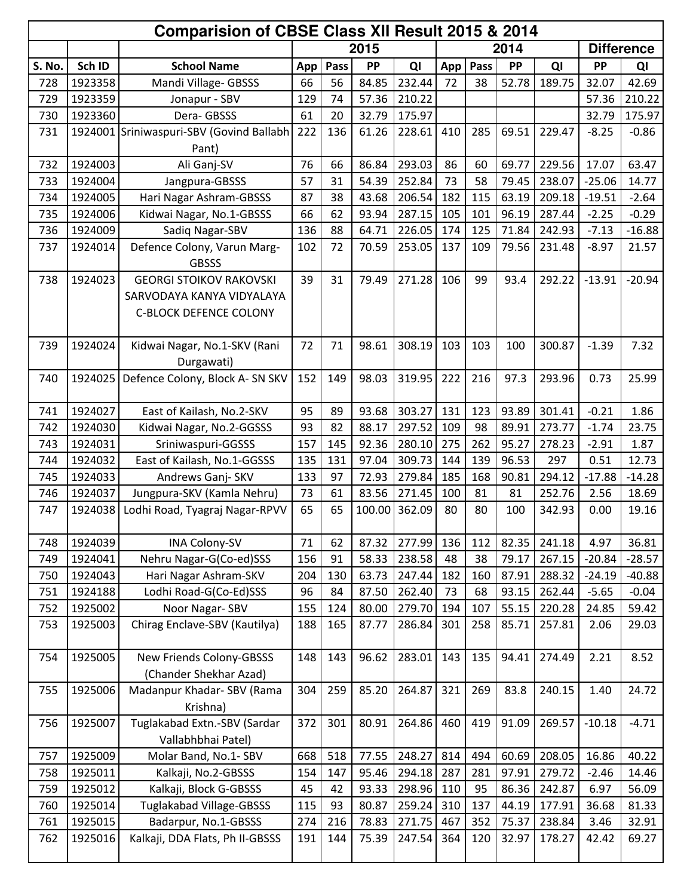| Comparision of CBSE Class XII Result 2015 & 2014<br>2015<br><b>Difference</b><br>2014 |         |                                                    |     |      |        |        |     |      |       |        |          |          |  |
|---------------------------------------------------------------------------------------|---------|----------------------------------------------------|-----|------|--------|--------|-----|------|-------|--------|----------|----------|--|
|                                                                                       |         |                                                    |     |      |        |        |     |      |       |        |          |          |  |
| S. No.                                                                                | Sch ID  | <b>School Name</b>                                 | App | Pass | PP     | QI     | App | Pass | PP    | QI     | PP       | QI       |  |
| 728                                                                                   | 1923358 | Mandi Village- GBSSS                               | 66  | 56   | 84.85  | 232.44 | 72  | 38   | 52.78 | 189.75 | 32.07    | 42.69    |  |
| 729                                                                                   | 1923359 | Jonapur - SBV                                      | 129 | 74   | 57.36  | 210.22 |     |      |       |        | 57.36    | 210.22   |  |
| 730                                                                                   | 1923360 | Dera-GBSSS                                         | 61  | 20   | 32.79  | 175.97 |     |      |       |        | 32.79    | 175.97   |  |
| 731                                                                                   | 1924001 | Sriniwaspuri-SBV (Govind Ballabh                   | 222 | 136  | 61.26  | 228.61 | 410 | 285  | 69.51 | 229.47 | $-8.25$  | $-0.86$  |  |
|                                                                                       |         | Pant)                                              |     |      |        |        |     |      |       |        |          |          |  |
| 732                                                                                   | 1924003 | Ali Ganj-SV                                        | 76  | 66   | 86.84  | 293.03 | 86  | 60   | 69.77 | 229.56 | 17.07    | 63.47    |  |
| 733                                                                                   | 1924004 | Jangpura-GBSSS                                     | 57  | 31   | 54.39  | 252.84 | 73  | 58   | 79.45 | 238.07 | $-25.06$ | 14.77    |  |
| 734                                                                                   | 1924005 | Hari Nagar Ashram-GBSSS                            | 87  | 38   | 43.68  | 206.54 | 182 | 115  | 63.19 | 209.18 | $-19.51$ | $-2.64$  |  |
| 735                                                                                   | 1924006 | Kidwai Nagar, No.1-GBSSS                           | 66  | 62   | 93.94  | 287.15 | 105 | 101  | 96.19 | 287.44 | $-2.25$  | $-0.29$  |  |
| 736                                                                                   | 1924009 | Sadiq Nagar-SBV                                    | 136 | 88   | 64.71  | 226.05 | 174 | 125  | 71.84 | 242.93 | $-7.13$  | $-16.88$ |  |
| 737                                                                                   | 1924014 | Defence Colony, Varun Marg-<br><b>GBSSS</b>        | 102 | 72   | 70.59  | 253.05 | 137 | 109  | 79.56 | 231.48 | $-8.97$  | 21.57    |  |
| 738                                                                                   | 1924023 | <b>GEORGI STOIKOV RAKOVSKI</b>                     | 39  | 31   | 79.49  | 271.28 | 106 | 99   | 93.4  | 292.22 | $-13.91$ | $-20.94$ |  |
|                                                                                       |         | SARVODAYA KANYA VIDYALAYA                          |     |      |        |        |     |      |       |        |          |          |  |
|                                                                                       |         | <b>C-BLOCK DEFENCE COLONY</b>                      |     |      |        |        |     |      |       |        |          |          |  |
| 739                                                                                   | 1924024 | Kidwai Nagar, No.1-SKV (Rani<br>Durgawati)         | 72  | 71   | 98.61  | 308.19 | 103 | 103  | 100   | 300.87 | $-1.39$  | 7.32     |  |
| 740                                                                                   | 1924025 | Defence Colony, Block A- SN SKV                    | 152 | 149  | 98.03  | 319.95 | 222 | 216  | 97.3  | 293.96 | 0.73     | 25.99    |  |
| 741                                                                                   | 1924027 | East of Kailash, No.2-SKV                          | 95  | 89   | 93.68  | 303.27 | 131 | 123  | 93.89 | 301.41 | $-0.21$  | 1.86     |  |
| 742                                                                                   | 1924030 | Kidwai Nagar, No.2-GGSSS                           | 93  | 82   | 88.17  | 297.52 | 109 | 98   | 89.91 | 273.77 | $-1.74$  | 23.75    |  |
| 743                                                                                   | 1924031 | Sriniwaspuri-GGSSS                                 | 157 | 145  | 92.36  | 280.10 | 275 | 262  | 95.27 | 278.23 | $-2.91$  | 1.87     |  |
| 744                                                                                   | 1924032 | East of Kailash, No.1-GGSSS                        | 135 | 131  | 97.04  | 309.73 | 144 | 139  | 96.53 | 297    | 0.51     | 12.73    |  |
| 745                                                                                   | 1924033 | Andrews Ganj-SKV                                   | 133 | 97   | 72.93  | 279.84 | 185 | 168  | 90.81 | 294.12 | $-17.88$ | $-14.28$ |  |
| 746                                                                                   | 1924037 | Jungpura-SKV (Kamla Nehru)                         | 73  | 61   | 83.56  | 271.45 | 100 | 81   | 81    | 252.76 | 2.56     | 18.69    |  |
| 747                                                                                   | 1924038 | Lodhi Road, Tyagraj Nagar-RPVV                     | 65  | 65   | 100.00 | 362.09 | 80  | 80   | 100   | 342.93 | 0.00     | 19.16    |  |
| 748                                                                                   | 1924039 | <b>INA Colony-SV</b>                               | 71  | 62   | 87.32  | 277.99 | 136 | 112  | 82.35 | 241.18 | 4.97     | 36.81    |  |
| 749                                                                                   | 1924041 | Nehru Nagar-G(Co-ed)SSS                            | 156 | 91   | 58.33  | 238.58 | 48  | 38   | 79.17 | 267.15 | $-20.84$ | $-28.57$ |  |
| 750                                                                                   | 1924043 | Hari Nagar Ashram-SKV                              | 204 | 130  | 63.73  | 247.44 | 182 | 160  | 87.91 | 288.32 | $-24.19$ | $-40.88$ |  |
| 751                                                                                   | 1924188 | Lodhi Road-G(Co-Ed)SSS                             | 96  | 84   | 87.50  | 262.40 | 73  | 68   | 93.15 | 262.44 | $-5.65$  | $-0.04$  |  |
| 752                                                                                   | 1925002 | Noor Nagar-SBV                                     | 155 | 124  | 80.00  | 279.70 | 194 | 107  | 55.15 | 220.28 | 24.85    | 59.42    |  |
| 753                                                                                   | 1925003 | Chirag Enclave-SBV (Kautilya)                      | 188 | 165  | 87.77  | 286.84 | 301 | 258  | 85.71 | 257.81 | 2.06     | 29.03    |  |
| 754                                                                                   | 1925005 | New Friends Colony-GBSSS<br>(Chander Shekhar Azad) | 148 | 143  | 96.62  | 283.01 | 143 | 135  | 94.41 | 274.49 | 2.21     | 8.52     |  |
| 755                                                                                   | 1925006 | Madanpur Khadar- SBV (Rama<br>Krishna)             | 304 | 259  | 85.20  | 264.87 | 321 | 269  | 83.8  | 240.15 | 1.40     | 24.72    |  |
| 756                                                                                   | 1925007 | Tuglakabad Extn.-SBV (Sardar<br>Vallabhbhai Patel) | 372 | 301  | 80.91  | 264.86 | 460 | 419  | 91.09 | 269.57 | $-10.18$ | $-4.71$  |  |
| 757                                                                                   | 1925009 | Molar Band, No.1- SBV                              | 668 | 518  | 77.55  | 248.27 | 814 | 494  | 60.69 | 208.05 | 16.86    | 40.22    |  |
| 758                                                                                   | 1925011 | Kalkaji, No.2-GBSSS                                | 154 | 147  | 95.46  | 294.18 | 287 | 281  | 97.91 | 279.72 | $-2.46$  | 14.46    |  |
| 759                                                                                   | 1925012 | Kalkaji, Block G-GBSSS                             | 45  | 42   | 93.33  | 298.96 | 110 | 95   | 86.36 | 242.87 | 6.97     | 56.09    |  |
| 760                                                                                   | 1925014 | <b>Tuglakabad Village-GBSSS</b>                    | 115 | 93   | 80.87  | 259.24 | 310 | 137  | 44.19 | 177.91 | 36.68    | 81.33    |  |
| 761                                                                                   | 1925015 | Badarpur, No.1-GBSSS                               | 274 | 216  | 78.83  | 271.75 | 467 | 352  | 75.37 | 238.84 | 3.46     | 32.91    |  |
| 762                                                                                   | 1925016 | Kalkaji, DDA Flats, Ph II-GBSSS                    | 191 | 144  | 75.39  | 247.54 | 364 | 120  | 32.97 | 178.27 | 42.42    | 69.27    |  |
|                                                                                       |         |                                                    |     |      |        |        |     |      |       |        |          |          |  |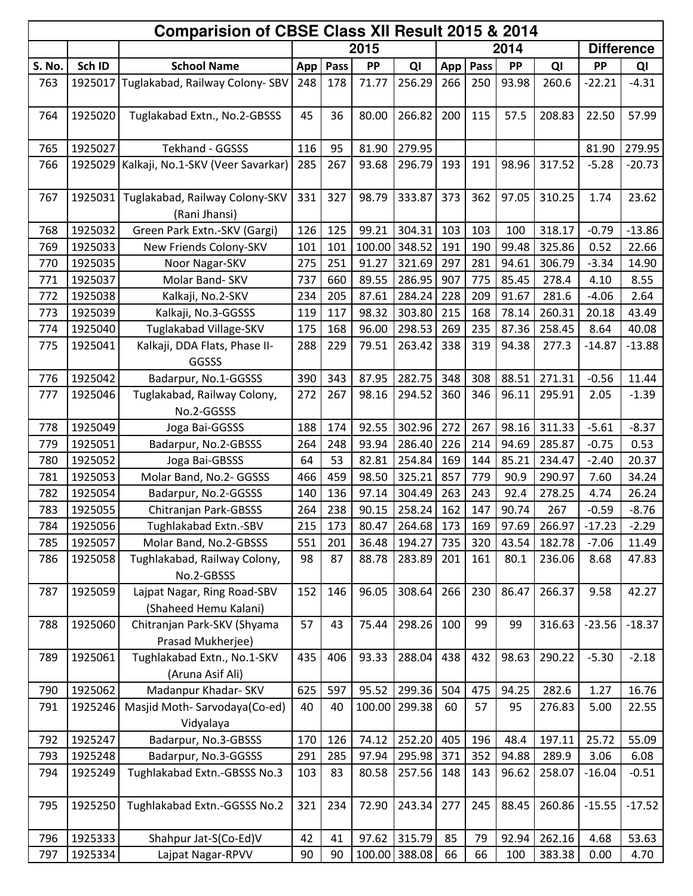| Comparision of CBSE Class XII Result 2015 & 2014<br><b>Difference</b><br>2015<br>2014 |         |                                                      |     |      |        |                      |     |      |       |                         |          |          |
|---------------------------------------------------------------------------------------|---------|------------------------------------------------------|-----|------|--------|----------------------|-----|------|-------|-------------------------|----------|----------|
|                                                                                       |         |                                                      |     |      |        |                      |     |      |       |                         |          |          |
| S. No.                                                                                | Sch ID  | <b>School Name</b>                                   | App | Pass | PP     | QI                   | App | Pass | PP    | QI                      | PP       | QI       |
| 763                                                                                   | 1925017 | Tuglakabad, Railway Colony- SBV                      | 248 | 178  | 71.77  | 256.29               | 266 | 250  | 93.98 | 260.6                   | $-22.21$ | $-4.31$  |
| 764                                                                                   | 1925020 | Tuglakabad Extn., No.2-GBSSS                         | 45  | 36   | 80.00  | 266.82               | 200 | 115  | 57.5  | 208.83                  | 22.50    | 57.99    |
| 765                                                                                   | 1925027 | Tekhand - GGSSS                                      | 116 | 95   | 81.90  | 279.95               |     |      |       |                         | 81.90    | 279.95   |
| 766                                                                                   | 1925029 | Kalkaji, No.1-SKV (Veer Savarkar)                    | 285 | 267  | 93.68  | 296.79               | 193 | 191  | 98.96 | 317.52                  | $-5.28$  | $-20.73$ |
| 767                                                                                   | 1925031 | Tuglakabad, Railway Colony-SKV<br>(Rani Jhansi)      | 331 | 327  | 98.79  | 333.87               | 373 | 362  | 97.05 | 310.25                  | 1.74     | 23.62    |
| 768                                                                                   | 1925032 | Green Park Extn.-SKV (Gargi)                         | 126 | 125  | 99.21  | 304.31               | 103 | 103  | 100   | 318.17                  | $-0.79$  | $-13.86$ |
| 769                                                                                   | 1925033 | New Friends Colony-SKV                               | 101 | 101  | 100.00 | 348.52               | 191 | 190  | 99.48 | 325.86                  | 0.52     | 22.66    |
| 770                                                                                   | 1925035 | Noor Nagar-SKV                                       | 275 | 251  | 91.27  | 321.69               | 297 | 281  | 94.61 | 306.79                  | $-3.34$  | 14.90    |
| 771                                                                                   | 1925037 | Molar Band- SKV                                      | 737 | 660  | 89.55  | 286.95               | 907 | 775  | 85.45 | 278.4                   | 4.10     | 8.55     |
| 772                                                                                   | 1925038 | Kalkaji, No.2-SKV                                    | 234 | 205  | 87.61  | 284.24               | 228 | 209  | 91.67 | 281.6                   | $-4.06$  | 2.64     |
| 773                                                                                   | 1925039 | Kalkaji, No.3-GGSSS                                  | 119 | 117  | 98.32  | 303.80               | 215 | 168  | 78.14 | 260.31                  | 20.18    | 43.49    |
| 774                                                                                   | 1925040 | Tuglakabad Village-SKV                               | 175 | 168  | 96.00  | 298.53               | 269 | 235  | 87.36 | 258.45                  | 8.64     | 40.08    |
| 775                                                                                   | 1925041 | Kalkaji, DDA Flats, Phase II-<br>GGSSS               | 288 | 229  | 79.51  | 263.42               | 338 | 319  | 94.38 | 277.3                   | $-14.87$ | $-13.88$ |
| 776                                                                                   | 1925042 | Badarpur, No.1-GGSSS                                 | 390 | 343  | 87.95  | 282.75               | 348 | 308  | 88.51 | 271.31                  | $-0.56$  | 11.44    |
| 777                                                                                   | 1925046 | Tuglakabad, Railway Colony,<br>No.2-GGSSS            | 272 | 267  | 98.16  | 294.52               | 360 | 346  | 96.11 | 295.91                  | 2.05     | $-1.39$  |
| 778                                                                                   | 1925049 | Joga Bai-GGSSS                                       | 188 | 174  | 92.55  | 302.96               | 272 | 267  | 98.16 | 311.33                  | $-5.61$  | $-8.37$  |
| 779                                                                                   | 1925051 | Badarpur, No.2-GBSSS                                 | 264 | 248  | 93.94  | 286.40               | 226 | 214  | 94.69 | 285.87                  | $-0.75$  | 0.53     |
| 780                                                                                   | 1925052 | Joga Bai-GBSSS                                       | 64  | 53   | 82.81  | 254.84               | 169 | 144  | 85.21 | 234.47                  | $-2.40$  | 20.37    |
| 781                                                                                   | 1925053 | Molar Band, No.2- GGSSS                              | 466 | 459  | 98.50  | 325.21               | 857 | 779  | 90.9  | 290.97                  | 7.60     | 34.24    |
| 782                                                                                   | 1925054 | Badarpur, No.2-GGSSS                                 | 140 | 136  | 97.14  | 304.49               | 263 | 243  | 92.4  | 278.25                  | 4.74     | 26.24    |
| 783                                                                                   | 1925055 | Chitranjan Park-GBSSS                                | 264 | 238  | 90.15  | 258.24               | 162 | 147  | 90.74 | 267                     | $-0.59$  | $-8.76$  |
| 784                                                                                   | 1925056 | Tughlakabad Extn.-SBV                                | 215 | 173  |        | 80.47 264.68 173 169 |     |      |       | 97.69   266.97   -17.23 |          | $-2.29$  |
| 785                                                                                   | 1925057 | Molar Band, No.2-GBSSS                               | 551 | 201  | 36.48  | 194.27               | 735 | 320  | 43.54 | 182.78                  | $-7.06$  | 11.49    |
| 786                                                                                   | 1925058 | Tughlakabad, Railway Colony,<br>No.2-GBSSS           | 98  | 87   | 88.78  | 283.89               | 201 | 161  | 80.1  | 236.06                  | 8.68     | 47.83    |
| 787                                                                                   | 1925059 | Lajpat Nagar, Ring Road-SBV<br>(Shaheed Hemu Kalani) | 152 | 146  | 96.05  | 308.64               | 266 | 230  | 86.47 | 266.37                  | 9.58     | 42.27    |
| 788                                                                                   | 1925060 | Chitranjan Park-SKV (Shyama<br>Prasad Mukherjee)     | 57  | 43   | 75.44  | 298.26               | 100 | 99   | 99    | 316.63                  | $-23.56$ | $-18.37$ |
| 789                                                                                   | 1925061 | Tughlakabad Extn., No.1-SKV<br>(Aruna Asif Ali)      | 435 | 406  | 93.33  | 288.04               | 438 | 432  | 98.63 | 290.22                  | $-5.30$  | $-2.18$  |
| 790                                                                                   | 1925062 | Madanpur Khadar- SKV                                 | 625 | 597  | 95.52  | 299.36               | 504 | 475  | 94.25 | 282.6                   | 1.27     | 16.76    |
| 791                                                                                   | 1925246 | Masjid Moth-Sarvodaya(Co-ed)<br>Vidyalaya            | 40  | 40   | 100.00 | 299.38               | 60  | 57   | 95    | 276.83                  | 5.00     | 22.55    |
| 792                                                                                   | 1925247 | Badarpur, No.3-GBSSS                                 | 170 | 126  | 74.12  | 252.20               | 405 | 196  | 48.4  | 197.11                  | 25.72    | 55.09    |
| 793                                                                                   | 1925248 | Badarpur, No.3-GGSSS                                 | 291 | 285  | 97.94  | 295.98               | 371 | 352  | 94.88 | 289.9                   | 3.06     | 6.08     |
| 794                                                                                   | 1925249 | Tughlakabad Extn.-GBSSS No.3                         | 103 | 83   | 80.58  | 257.56               | 148 | 143  | 96.62 | 258.07                  | $-16.04$ | $-0.51$  |
| 795                                                                                   | 1925250 | Tughlakabad Extn.-GGSSS No.2                         | 321 | 234  | 72.90  | 243.34               | 277 | 245  | 88.45 | 260.86                  | $-15.55$ | $-17.52$ |
| 796                                                                                   | 1925333 | Shahpur Jat-S(Co-Ed)V                                | 42  | 41   | 97.62  | 315.79               | 85  | 79   | 92.94 | 262.16                  | 4.68     | 53.63    |
| 797                                                                                   | 1925334 | Lajpat Nagar-RPVV                                    | 90  | 90   |        | 100.00 388.08        | 66  | 66   | 100   | 383.38                  | 0.00     | 4.70     |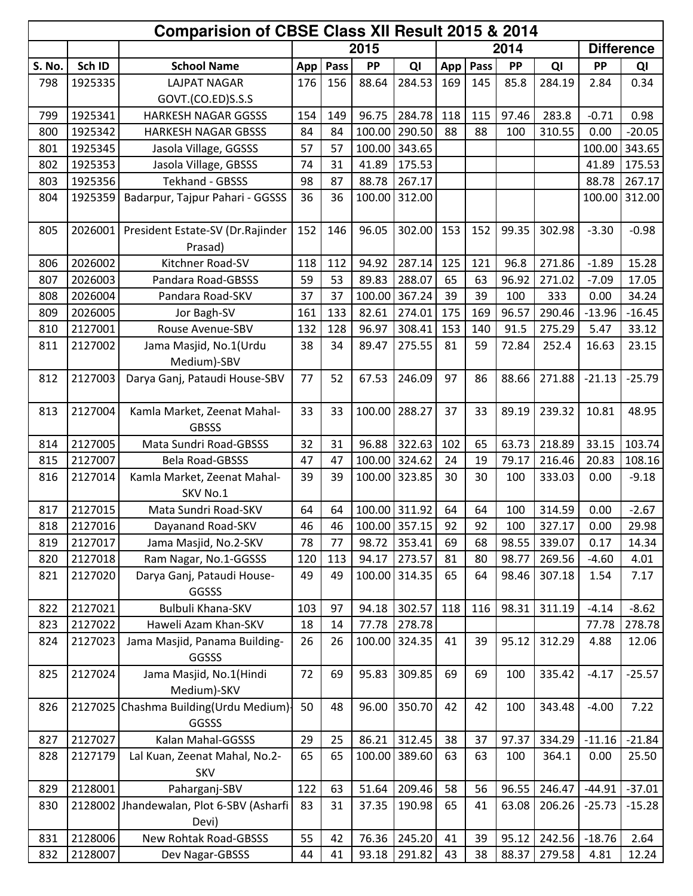| Comparision of CBSE Class XII Result 2015 & 2014<br>2015<br><b>Difference</b><br>2014 |         |                                                 |     |      |        |               |     |      |       |        |          |          |
|---------------------------------------------------------------------------------------|---------|-------------------------------------------------|-----|------|--------|---------------|-----|------|-------|--------|----------|----------|
|                                                                                       |         |                                                 |     |      |        |               |     |      |       |        |          |          |
| S. No.                                                                                | Sch ID  | <b>School Name</b>                              | App | Pass | PP     | QI            | App | Pass | PP    | QI     | PP       | QI       |
| 798                                                                                   | 1925335 | <b>LAJPAT NAGAR</b>                             | 176 | 156  | 88.64  | 284.53        | 169 | 145  | 85.8  | 284.19 | 2.84     | 0.34     |
|                                                                                       |         | GOVT.(CO.ED)S.S.S                               |     |      |        |               |     |      |       |        |          |          |
| 799                                                                                   | 1925341 | <b>HARKESH NAGAR GGSSS</b>                      | 154 | 149  | 96.75  | 284.78        | 118 | 115  | 97.46 | 283.8  | $-0.71$  | 0.98     |
| 800                                                                                   | 1925342 | <b>HARKESH NAGAR GBSSS</b>                      | 84  | 84   |        | 100.00 290.50 | 88  | 88   | 100   | 310.55 | 0.00     | $-20.05$ |
| 801                                                                                   | 1925345 | Jasola Village, GGSSS                           | 57  | 57   |        | 100.00 343.65 |     |      |       |        | 100.00   | 343.65   |
| 802                                                                                   | 1925353 | Jasola Village, GBSSS                           | 74  | 31   | 41.89  | 175.53        |     |      |       |        | 41.89    | 175.53   |
| 803                                                                                   | 1925356 | Tekhand - GBSSS                                 | 98  | 87   | 88.78  | 267.17        |     |      |       |        | 88.78    | 267.17   |
| 804                                                                                   | 1925359 | Badarpur, Tajpur Pahari - GGSSS                 | 36  | 36   | 100.00 | 312.00        |     |      |       |        | 100.00   | 312.00   |
| 805                                                                                   | 2026001 | President Estate-SV (Dr.Rajinder<br>Prasad)     | 152 | 146  | 96.05  | 302.00        | 153 | 152  | 99.35 | 302.98 | $-3.30$  | $-0.98$  |
| 806                                                                                   | 2026002 | Kitchner Road-SV                                | 118 | 112  | 94.92  | 287.14        | 125 | 121  | 96.8  | 271.86 | $-1.89$  | 15.28    |
| 807                                                                                   | 2026003 | Pandara Road-GBSSS                              | 59  | 53   | 89.83  | 288.07        | 65  | 63   | 96.92 | 271.02 | $-7.09$  | 17.05    |
| 808                                                                                   | 2026004 | Pandara Road-SKV                                | 37  | 37   | 100.00 | 367.24        | 39  | 39   | 100   | 333    | 0.00     | 34.24    |
| 809                                                                                   | 2026005 | Jor Bagh-SV                                     | 161 | 133  | 82.61  | 274.01        | 175 | 169  | 96.57 | 290.46 | $-13.96$ | $-16.45$ |
| 810                                                                                   | 2127001 | Rouse Avenue-SBV                                | 132 | 128  | 96.97  | 308.41        | 153 | 140  | 91.5  | 275.29 | 5.47     | 33.12    |
| 811                                                                                   | 2127002 | Jama Masjid, No.1(Urdu<br>Medium)-SBV           | 38  | 34   | 89.47  | 275.55        | 81  | 59   | 72.84 | 252.4  | 16.63    | 23.15    |
| 812                                                                                   | 2127003 | Darya Ganj, Pataudi House-SBV                   | 77  | 52   | 67.53  | 246.09        | 97  | 86   | 88.66 | 271.88 | $-21.13$ | $-25.79$ |
| 813                                                                                   | 2127004 | Kamla Market, Zeenat Mahal-<br><b>GBSSS</b>     | 33  | 33   |        | 100.00 288.27 | 37  | 33   | 89.19 | 239.32 | 10.81    | 48.95    |
| 814                                                                                   | 2127005 | Mata Sundri Road-GBSSS                          | 32  | 31   | 96.88  | 322.63        | 102 | 65   | 63.73 | 218.89 | 33.15    | 103.74   |
| 815                                                                                   | 2127007 | <b>Bela Road-GBSSS</b>                          | 47  | 47   |        | 100.00 324.62 | 24  | 19   | 79.17 | 216.46 | 20.83    | 108.16   |
| 816                                                                                   | 2127014 | Kamla Market, Zeenat Mahal-<br>SKV No.1         | 39  | 39   |        | 100.00 323.85 | 30  | 30   | 100   | 333.03 | 0.00     | $-9.18$  |
| 817                                                                                   | 2127015 | Mata Sundri Road-SKV                            | 64  | 64   |        | 100.00 311.92 | 64  | 64   | 100   | 314.59 | 0.00     | $-2.67$  |
| 818                                                                                   | 2127016 | Dayanand Road-SKV                               | 46  | 46   |        | 100.00 357.15 | 92  | 92   | 100   | 327.17 | 0.00     | 29.98    |
| 819                                                                                   | 2127017 | Jama Masjid, No.2-SKV                           | 78  | 77   | 98.72  | 353.41        | 69  | 68   | 98.55 | 339.07 | 0.17     | 14.34    |
| 820                                                                                   | 2127018 | Ram Nagar, No.1-GGSSS                           | 120 | 113  | 94.17  | 273.57        | 81  | 80   | 98.77 | 269.56 | $-4.60$  | 4.01     |
| 821                                                                                   | 2127020 | Darya Ganj, Pataudi House-                      | 49  | 49   |        | 100.00 314.35 | 65  | 64   | 98.46 | 307.18 | 1.54     | 7.17     |
|                                                                                       |         | GGSSS                                           |     |      |        |               |     |      |       |        |          |          |
| 822                                                                                   | 2127021 | Bulbuli Khana-SKV                               | 103 | 97   | 94.18  | 302.57        | 118 | 116  | 98.31 | 311.19 | $-4.14$  | $-8.62$  |
| 823                                                                                   | 2127022 | Haweli Azam Khan-SKV                            | 18  | 14   | 77.78  | 278.78        |     |      |       |        | 77.78    | 278.78   |
| 824                                                                                   | 2127023 | Jama Masjid, Panama Building-<br>GGSSS          | 26  | 26   |        | 100.00 324.35 | 41  | 39   | 95.12 | 312.29 | 4.88     | 12.06    |
| 825                                                                                   | 2127024 | Jama Masjid, No.1(Hindi<br>Medium)-SKV          | 72  | 69   | 95.83  | 309.85        | 69  | 69   | 100   | 335.42 | $-4.17$  | $-25.57$ |
| 826                                                                                   |         | 2127025 Chashma Building (Urdu Medium)<br>GGSSS | 50  | 48   | 96.00  | 350.70        | 42  | 42   | 100   | 343.48 | $-4.00$  | 7.22     |
| 827                                                                                   | 2127027 | Kalan Mahal-GGSSS                               | 29  | 25   | 86.21  | 312.45        | 38  | 37   | 97.37 | 334.29 | $-11.16$ | $-21.84$ |
| 828                                                                                   | 2127179 | Lal Kuan, Zeenat Mahal, No.2-<br><b>SKV</b>     | 65  | 65   |        | 100.00 389.60 | 63  | 63   | 100   | 364.1  | 0.00     | 25.50    |
| 829                                                                                   | 2128001 | Paharganj-SBV                                   | 122 | 63   | 51.64  | 209.46        | 58  | 56   | 96.55 | 246.47 | $-44.91$ | $-37.01$ |
| 830                                                                                   | 2128002 | Jhandewalan, Plot 6-SBV (Asharfi<br>Devi)       | 83  | 31   | 37.35  | 190.98        | 65  | 41   | 63.08 | 206.26 | $-25.73$ | $-15.28$ |
| 831                                                                                   | 2128006 | New Rohtak Road-GBSSS                           | 55  | 42   | 76.36  | 245.20        | 41  | 39   | 95.12 | 242.56 | $-18.76$ | 2.64     |
| 832                                                                                   | 2128007 | Dev Nagar-GBSSS                                 | 44  | 41   | 93.18  | 291.82        | 43  | 38   | 88.37 | 279.58 | 4.81     | 12.24    |